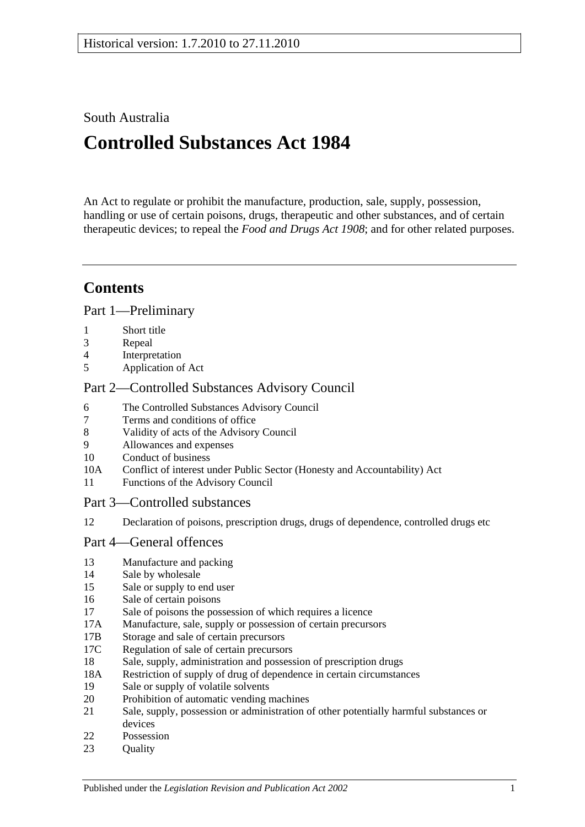# South Australia

# **Controlled Substances Act 1984**

An Act to regulate or prohibit the manufacture, production, sale, supply, possession, handling or use of certain poisons, drugs, therapeutic and other substances, and of certain therapeutic devices; to repeal the *[Food and Drugs Act](http://www.legislation.sa.gov.au/index.aspx?action=legref&type=act&legtitle=Food%20and%20Drugs%20Act%201908) 1908*; and for other related purposes.

# **Contents**

[Part 1—Preliminary](#page-3-0)

- 1 [Short title](#page-3-1)
- 3 [Repeal](#page-3-2)
- 4 [Interpretation](#page-3-3)
- 5 [Application of Act](#page-9-0)

## [Part 2—Controlled Substances Advisory Council](#page-9-1)

- 6 [The Controlled Substances Advisory Council](#page-9-2)
- 7 [Terms and conditions of office](#page-10-0)
- 8 [Validity of acts of the Advisory Council](#page-10-1)
- 9 [Allowances and expenses](#page-10-2)
- 10 [Conduct of business](#page-10-3)
- 10A [Conflict of interest under Public Sector \(Honesty and Accountability\) Act](#page-11-0)
- 11 [Functions of the Advisory Council](#page-11-1)
- [Part 3—Controlled substances](#page-12-0)
- 12 [Declaration of poisons, prescription drugs, drugs of dependence, controlled drugs etc](#page-12-1)

## [Part 4—General offences](#page-13-0)

- 13 [Manufacture and packing](#page-13-1)
- 14 [Sale by wholesale](#page-13-2)
- 15 [Sale or supply to end user](#page-14-0)
- 16 [Sale of certain poisons](#page-14-1)
- 17 [Sale of poisons the possession of which requires a licence](#page-14-2)
- 17A [Manufacture, sale, supply or possession of certain precursors](#page-15-0)
- 17B [Storage and sale of certain precursors](#page-15-1)
- 17C [Regulation of sale of certain precursors](#page-16-0)
- 18 [Sale, supply, administration and possession of prescription drugs](#page-17-0)
- 18A [Restriction of supply of drug of dependence in certain circumstances](#page-18-0)
- 19 [Sale or supply of volatile solvents](#page-19-0)
- 20 [Prohibition of automatic vending machines](#page-19-1)
- 21 [Sale, supply, possession or administration of other potentially harmful substances or](#page-20-0)  [devices](#page-20-0)
- 22 [Possession](#page-20-1)
- 23 Ouality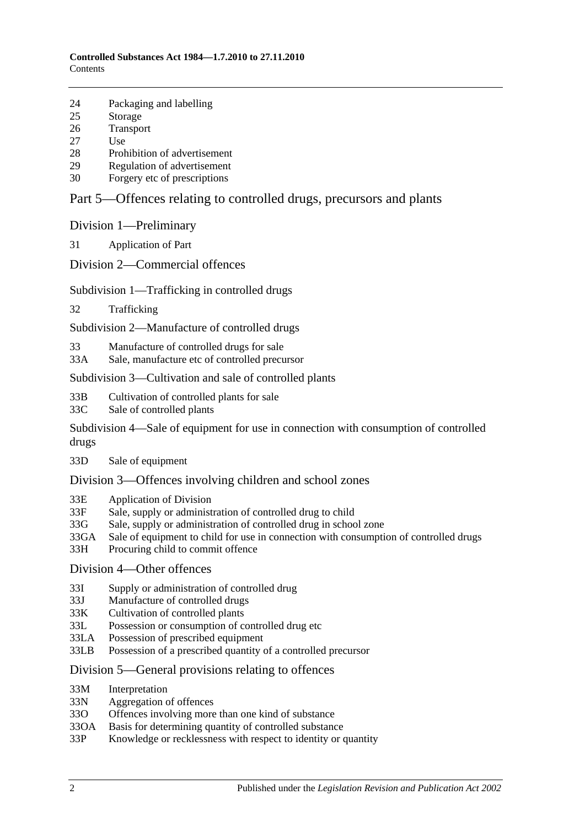- 24 [Packaging and labelling](#page-20-3)
- 25 [Storage](#page-21-0)
- 26 [Transport](#page-21-1)
- 27 [Use](#page-21-2)
- 28 [Prohibition of advertisement](#page-21-3)
- 29 [Regulation of advertisement](#page-21-4)
- 30 Forgery [etc of prescriptions](#page-21-5)

## [Part 5—Offences relating to controlled drugs, precursors and plants](#page-22-0)

[Division 1—Preliminary](#page-22-1)

31 [Application of Part](#page-22-2)

[Division 2—Commercial offences](#page-23-0)

#### [Subdivision 1—Trafficking in controlled drugs](#page-23-1)

32 [Trafficking](#page-23-2)

[Subdivision 2—Manufacture of controlled drugs](#page-24-0)

- 33 [Manufacture of controlled drugs for sale](#page-24-1)
- 33A [Sale, manufacture etc of controlled precursor](#page-24-2)

#### [Subdivision 3—Cultivation and sale of controlled plants](#page-25-0)

- 33B [Cultivation of controlled plants for sale](#page-25-1)
- 33C [Sale of controlled plants](#page-25-2)

[Subdivision 4—Sale of equipment for use in connection with consumption of controlled](#page-26-0)  [drugs](#page-26-0)

33D [Sale of equipment](#page-26-1)

#### [Division 3—Offences involving children and school zones](#page-26-2)

- 33E [Application of Division](#page-26-3)
- 33F [Sale, supply or administration of controlled drug to child](#page-27-0)
- 33G [Sale, supply or administration of controlled drug in school zone](#page-27-1)
- 33GA [Sale of equipment to child for use in connection with consumption of controlled drugs](#page-27-2)
- 33H [Procuring child to commit offence](#page-27-3)

## [Division 4—Other offences](#page-28-0)

- 33I [Supply or administration of controlled drug](#page-28-1)
- 33J [Manufacture of controlled drugs](#page-28-2)
- 33K [Cultivation of controlled plants](#page-28-3)
- 33L [Possession or consumption of controlled drug etc](#page-29-0)
- 33LA [Possession of prescribed equipment](#page-29-1)
- 33LB [Possession of a prescribed quantity of a controlled precursor](#page-29-2)

#### [Division 5—General provisions relating to offences](#page-30-0)

- 33M [Interpretation](#page-30-1)
- 33N [Aggregation of offences](#page-30-2)
- 33O [Offences involving more than one kind of substance](#page-31-0)
- 33OA [Basis for determining quantity of controlled substance](#page-32-0)
- 33P [Knowledge or recklessness with respect to identity or quantity](#page-33-0)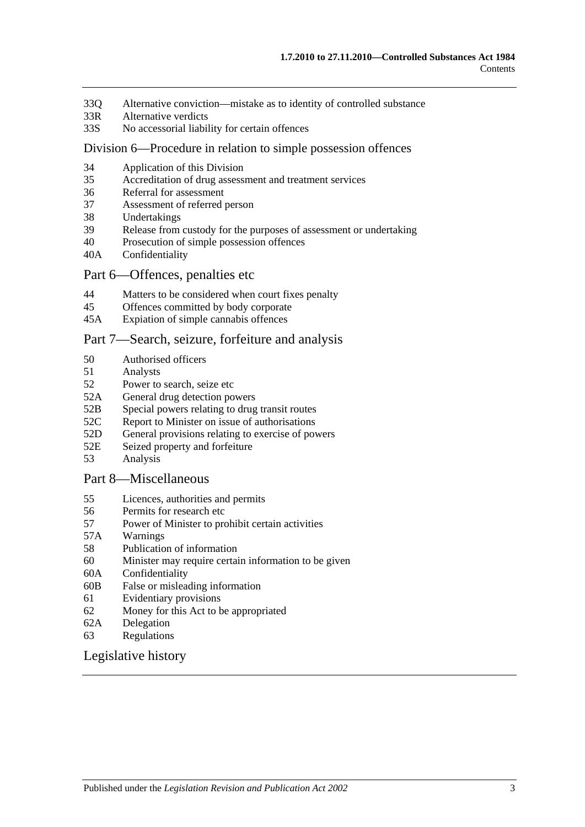- 33Q [Alternative conviction—mistake as to identity of controlled substance](#page-33-1)
- 33R [Alternative verdicts](#page-33-2)
- 33S [No accessorial liability for certain offences](#page-33-3)

#### [Division 6—Procedure in relation to simple possession offences](#page-33-4)

- 34 [Application of this Division](#page-33-5)
- 35 [Accreditation of drug assessment and treatment services](#page-34-0)
- 36 [Referral for assessment](#page-34-1)
- 37 [Assessment of referred person](#page-34-2)
- 38 [Undertakings](#page-35-0)
- 39 [Release from custody for the purposes of assessment or undertaking](#page-36-0)
- 40 [Prosecution of simple possession offences](#page-36-1)
- 40A [Confidentiality](#page-37-0)

## [Part 6—Offences, penalties etc](#page-37-1)

- 44 [Matters to be considered when court fixes penalty](#page-37-2)
- 45 [Offences committed by body corporate](#page-38-0)
- 45A [Expiation of simple cannabis offences](#page-38-1)

#### [Part 7—Search, seizure, forfeiture and analysis](#page-39-0)

- 50 [Authorised officers](#page-39-1)
- 51 [Analysts](#page-39-2)
- 52 [Power to search, seize etc](#page-39-3)
- 52A [General drug detection powers](#page-41-0)
- 52B [Special powers relating to drug transit routes](#page-42-0)
- 52C [Report to Minister on issue of authorisations](#page-44-0)
- 52D [General provisions relating to exercise of powers](#page-44-1)
- 52E [Seized property and forfeiture](#page-45-0)
- 53 [Analysis](#page-46-0)

#### [Part 8—Miscellaneous](#page-47-0)

- 55 [Licences, authorities and permits](#page-47-1)
- 56 [Permits for research etc](#page-48-0)
- 57 [Power of Minister to prohibit certain activities](#page-48-1)
- 57A [Warnings](#page-49-0)
- 58 [Publication of information](#page-49-1)
- 60 [Minister may require certain information to be given](#page-50-0)
- 60A [Confidentiality](#page-51-0)
- 60B [False or misleading information](#page-51-1)
- 61 [Evidentiary provisions](#page-51-2)
- 62 [Money for this Act to be appropriated](#page-52-0)
- 62A [Delegation](#page-52-1)
- 63 [Regulations](#page-52-2)

#### [Legislative history](#page-55-0)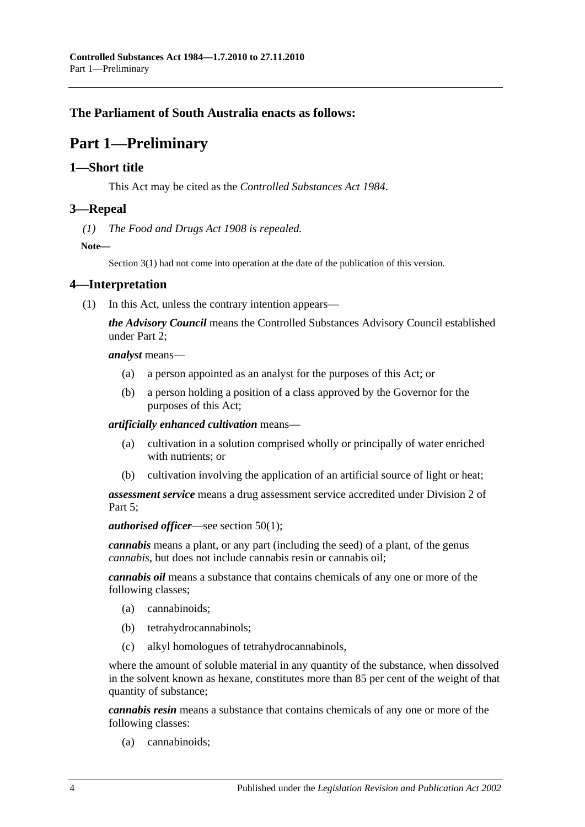# <span id="page-3-0"></span>**The Parliament of South Australia enacts as follows:**

# **Part 1—Preliminary**

## <span id="page-3-1"></span>**1—Short title**

This Act may be cited as the *Controlled Substances Act 1984*.

## <span id="page-3-2"></span>**3—Repeal**

*(1) The [Food and Drugs Act](http://www.legislation.sa.gov.au/index.aspx?action=legref&type=act&legtitle=Food%20and%20Drugs%20Act%201908) 1908 is repealed.*

**Note—**

Section 3(1) had not come into operation at the date of the publication of this version.

## <span id="page-3-4"></span><span id="page-3-3"></span>**4—Interpretation**

(1) In this Act, unless the contrary intention appears—

*the Advisory Council* means the Controlled Substances Advisory Council established under [Part 2;](#page-9-1)

*analyst* means—

- (a) a person appointed as an analyst for the purposes of this Act; or
- (b) a person holding a position of a class approved by the Governor for the purposes of this Act;

*artificially enhanced cultivation* means—

- (a) cultivation in a solution comprised wholly or principally of water enriched with nutrients; or
- (b) cultivation involving the application of an artificial source of light or heat;

*assessment service* means a drug assessment service accredited under [Division](#page-33-4) 2 of Part 5:

*authorised officer*—see [section](#page-39-4) 50(1);

*cannabis* means a plant, or any part (including the seed) of a plant, of the genus *cannabis*, but does not include cannabis resin or cannabis oil;

*cannabis oil* means a substance that contains chemicals of any one or more of the following classes;

- (a) cannabinoids;
- (b) tetrahydrocannabinols;
- (c) alkyl homologues of tetrahydrocannabinols,

where the amount of soluble material in any quantity of the substance, when dissolved in the solvent known as hexane, constitutes more than 85 per cent of the weight of that quantity of substance;

*cannabis resin* means a substance that contains chemicals of any one or more of the following classes:

(a) cannabinoids;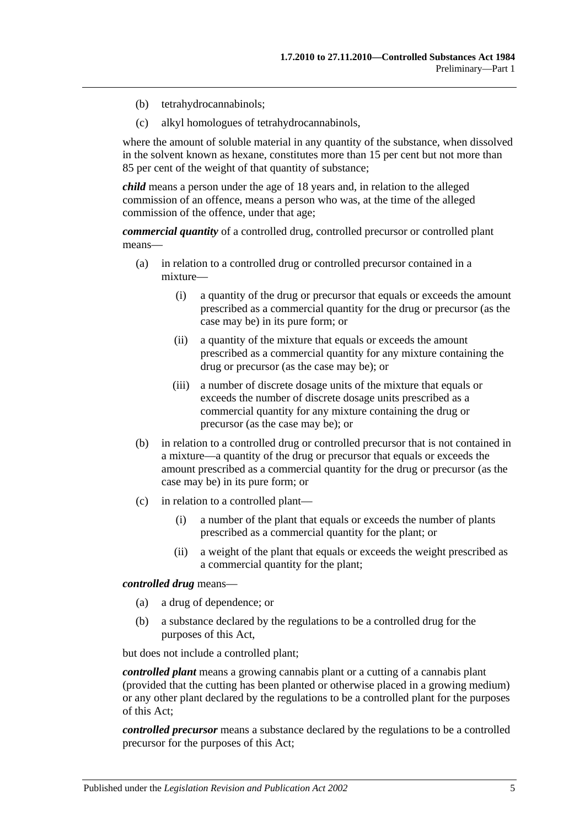- (b) tetrahydrocannabinols;
- (c) alkyl homologues of tetrahydrocannabinols,

where the amount of soluble material in any quantity of the substance, when dissolved in the solvent known as hexane, constitutes more than 15 per cent but not more than 85 per cent of the weight of that quantity of substance;

*child* means a person under the age of 18 years and, in relation to the alleged commission of an offence, means a person who was, at the time of the alleged commission of the offence, under that age;

*commercial quantity* of a controlled drug, controlled precursor or controlled plant means—

- (a) in relation to a controlled drug or controlled precursor contained in a mixture—
	- (i) a quantity of the drug or precursor that equals or exceeds the amount prescribed as a commercial quantity for the drug or precursor (as the case may be) in its pure form; or
	- (ii) a quantity of the mixture that equals or exceeds the amount prescribed as a commercial quantity for any mixture containing the drug or precursor (as the case may be); or
	- (iii) a number of discrete dosage units of the mixture that equals or exceeds the number of discrete dosage units prescribed as a commercial quantity for any mixture containing the drug or precursor (as the case may be); or
- (b) in relation to a controlled drug or controlled precursor that is not contained in a mixture—a quantity of the drug or precursor that equals or exceeds the amount prescribed as a commercial quantity for the drug or precursor (as the case may be) in its pure form; or
- (c) in relation to a controlled plant—
	- (i) a number of the plant that equals or exceeds the number of plants prescribed as a commercial quantity for the plant; or
	- (ii) a weight of the plant that equals or exceeds the weight prescribed as a commercial quantity for the plant;

#### *controlled drug* means—

- (a) a drug of dependence; or
- (b) a substance declared by the regulations to be a controlled drug for the purposes of this Act,

but does not include a controlled plant;

*controlled plant* means a growing cannabis plant or a cutting of a cannabis plant (provided that the cutting has been planted or otherwise placed in a growing medium) or any other plant declared by the regulations to be a controlled plant for the purposes of this Act;

*controlled precursor* means a substance declared by the regulations to be a controlled precursor for the purposes of this Act;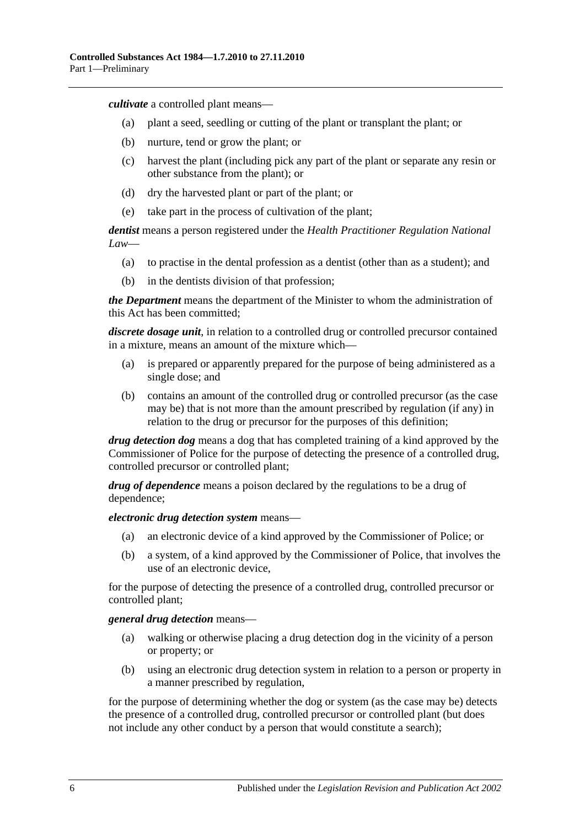*cultivate* a controlled plant means—

- (a) plant a seed, seedling or cutting of the plant or transplant the plant; or
- (b) nurture, tend or grow the plant; or
- (c) harvest the plant (including pick any part of the plant or separate any resin or other substance from the plant); or
- (d) dry the harvested plant or part of the plant; or
- (e) take part in the process of cultivation of the plant;

*dentist* means a person registered under the *Health Practitioner Regulation National Law*—

- (a) to practise in the dental profession as a dentist (other than as a student); and
- (b) in the dentists division of that profession;

*the Department* means the department of the Minister to whom the administration of this Act has been committed;

*discrete dosage unit*, in relation to a controlled drug or controlled precursor contained in a mixture, means an amount of the mixture which—

- (a) is prepared or apparently prepared for the purpose of being administered as a single dose; and
- (b) contains an amount of the controlled drug or controlled precursor (as the case may be) that is not more than the amount prescribed by regulation (if any) in relation to the drug or precursor for the purposes of this definition;

*drug detection dog* means a dog that has completed training of a kind approved by the Commissioner of Police for the purpose of detecting the presence of a controlled drug, controlled precursor or controlled plant;

*drug of dependence* means a poison declared by the regulations to be a drug of dependence;

*electronic drug detection system* means—

- (a) an electronic device of a kind approved by the Commissioner of Police; or
- (b) a system, of a kind approved by the Commissioner of Police, that involves the use of an electronic device,

for the purpose of detecting the presence of a controlled drug, controlled precursor or controlled plant;

#### *general drug detection* means—

- (a) walking or otherwise placing a drug detection dog in the vicinity of a person or property; or
- (b) using an electronic drug detection system in relation to a person or property in a manner prescribed by regulation,

for the purpose of determining whether the dog or system (as the case may be) detects the presence of a controlled drug, controlled precursor or controlled plant (but does not include any other conduct by a person that would constitute a search);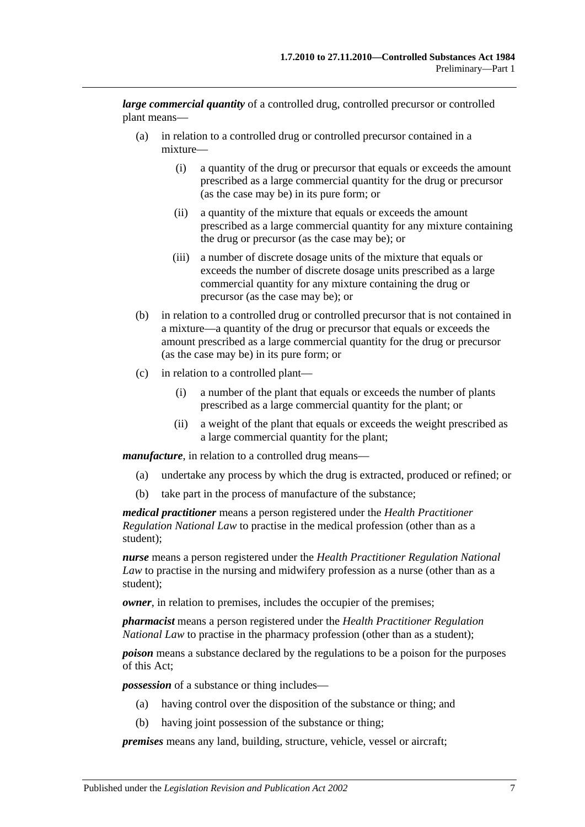*large commercial quantity* of a controlled drug, controlled precursor or controlled plant means—

- (a) in relation to a controlled drug or controlled precursor contained in a mixture—
	- (i) a quantity of the drug or precursor that equals or exceeds the amount prescribed as a large commercial quantity for the drug or precursor (as the case may be) in its pure form; or
	- (ii) a quantity of the mixture that equals or exceeds the amount prescribed as a large commercial quantity for any mixture containing the drug or precursor (as the case may be); or
	- (iii) a number of discrete dosage units of the mixture that equals or exceeds the number of discrete dosage units prescribed as a large commercial quantity for any mixture containing the drug or precursor (as the case may be); or
- (b) in relation to a controlled drug or controlled precursor that is not contained in a mixture—a quantity of the drug or precursor that equals or exceeds the amount prescribed as a large commercial quantity for the drug or precursor (as the case may be) in its pure form; or
- (c) in relation to a controlled plant—
	- (i) a number of the plant that equals or exceeds the number of plants prescribed as a large commercial quantity for the plant; or
	- (ii) a weight of the plant that equals or exceeds the weight prescribed as a large commercial quantity for the plant;

*manufacture*, in relation to a controlled drug means—

- (a) undertake any process by which the drug is extracted, produced or refined; or
- (b) take part in the process of manufacture of the substance;

*medical practitioner* means a person registered under the *Health Practitioner Regulation National Law* to practise in the medical profession (other than as a student);

*nurse* means a person registered under the *Health Practitioner Regulation National Law* to practise in the nursing and midwifery profession as a nurse (other than as a student);

*owner*, in relation to premises, includes the occupier of the premises;

*pharmacist* means a person registered under the *Health Practitioner Regulation National Law* to practise in the pharmacy profession (other than as a student);

*poison* means a substance declared by the regulations to be a poison for the purposes of this Act;

*possession* of a substance or thing includes—

- (a) having control over the disposition of the substance or thing; and
- (b) having joint possession of the substance or thing;

*premises* means any land, building, structure, vehicle, vessel or aircraft;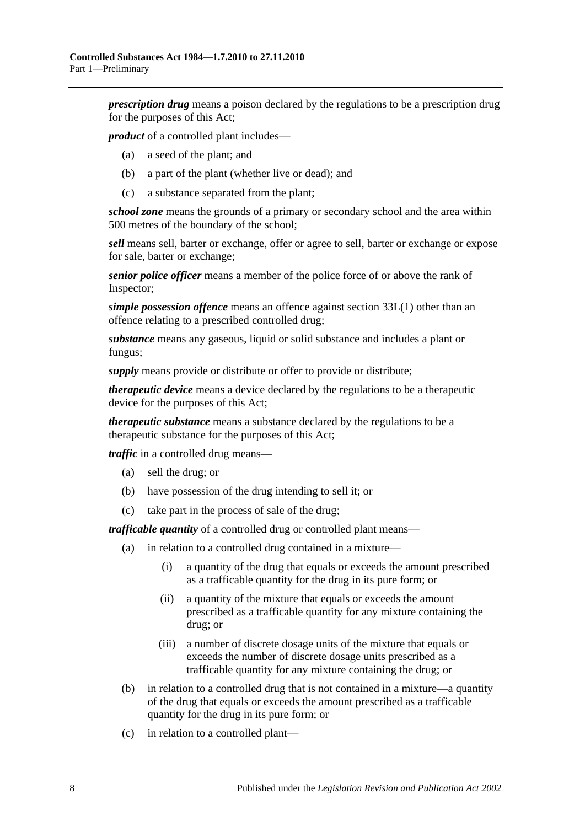*prescription drug* means a poison declared by the regulations to be a prescription drug for the purposes of this Act;

*product* of a controlled plant includes—

- (a) a seed of the plant; and
- (b) a part of the plant (whether live or dead); and
- (c) a substance separated from the plant;

*school zone* means the grounds of a primary or secondary school and the area within 500 metres of the boundary of the school;

*sell* means sell, barter or exchange, offer or agree to sell, barter or exchange or expose for sale, barter or exchange;

*senior police officer* means a member of the police force of or above the rank of Inspector;

*simple possession offence* means an offence against [section](#page-29-3) 33L(1) other than an offence relating to a prescribed controlled drug;

*substance* means any gaseous, liquid or solid substance and includes a plant or fungus;

*supply* means provide or distribute or offer to provide or distribute;

*therapeutic device* means a device declared by the regulations to be a therapeutic device for the purposes of this Act;

*therapeutic substance* means a substance declared by the regulations to be a therapeutic substance for the purposes of this Act;

*traffic* in a controlled drug means—

- (a) sell the drug; or
- (b) have possession of the drug intending to sell it; or
- (c) take part in the process of sale of the drug;

*trafficable quantity* of a controlled drug or controlled plant means—

- (a) in relation to a controlled drug contained in a mixture—
	- (i) a quantity of the drug that equals or exceeds the amount prescribed as a trafficable quantity for the drug in its pure form; or
	- (ii) a quantity of the mixture that equals or exceeds the amount prescribed as a trafficable quantity for any mixture containing the drug; or
	- (iii) a number of discrete dosage units of the mixture that equals or exceeds the number of discrete dosage units prescribed as a trafficable quantity for any mixture containing the drug; or
- (b) in relation to a controlled drug that is not contained in a mixture—a quantity of the drug that equals or exceeds the amount prescribed as a trafficable quantity for the drug in its pure form; or
- (c) in relation to a controlled plant—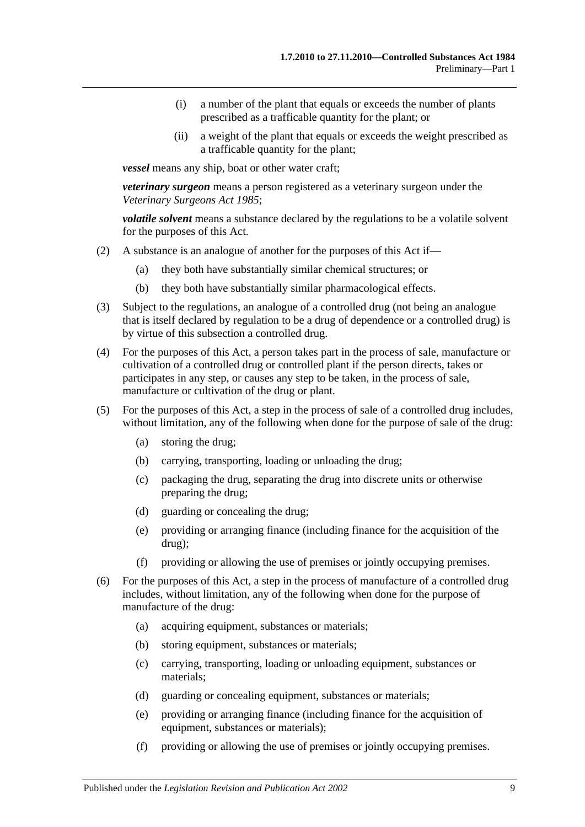- (i) a number of the plant that equals or exceeds the number of plants prescribed as a trafficable quantity for the plant; or
- (ii) a weight of the plant that equals or exceeds the weight prescribed as a trafficable quantity for the plant;

*vessel* means any ship, boat or other water craft;

*veterinary surgeon* means a person registered as a veterinary surgeon under the *[Veterinary Surgeons Act](http://www.legislation.sa.gov.au/index.aspx?action=legref&type=act&legtitle=Veterinary%20Surgeons%20Act%201985) 1985*;

*volatile solvent* means a substance declared by the regulations to be a volatile solvent for the purposes of this Act.

- (2) A substance is an analogue of another for the purposes of this Act if—
	- (a) they both have substantially similar chemical structures; or
	- (b) they both have substantially similar pharmacological effects.
- (3) Subject to the regulations, an analogue of a controlled drug (not being an analogue that is itself declared by regulation to be a drug of dependence or a controlled drug) is by virtue of this subsection a controlled drug.
- (4) For the purposes of this Act, a person takes part in the process of sale, manufacture or cultivation of a controlled drug or controlled plant if the person directs, takes or participates in any step, or causes any step to be taken, in the process of sale, manufacture or cultivation of the drug or plant.
- (5) For the purposes of this Act, a step in the process of sale of a controlled drug includes, without limitation, any of the following when done for the purpose of sale of the drug:
	- (a) storing the drug;
	- (b) carrying, transporting, loading or unloading the drug;
	- (c) packaging the drug, separating the drug into discrete units or otherwise preparing the drug;
	- (d) guarding or concealing the drug;
	- (e) providing or arranging finance (including finance for the acquisition of the drug);
	- (f) providing or allowing the use of premises or jointly occupying premises.
- (6) For the purposes of this Act, a step in the process of manufacture of a controlled drug includes, without limitation, any of the following when done for the purpose of manufacture of the drug:
	- (a) acquiring equipment, substances or materials;
	- (b) storing equipment, substances or materials;
	- (c) carrying, transporting, loading or unloading equipment, substances or materials;
	- (d) guarding or concealing equipment, substances or materials;
	- (e) providing or arranging finance (including finance for the acquisition of equipment, substances or materials);
	- (f) providing or allowing the use of premises or jointly occupying premises.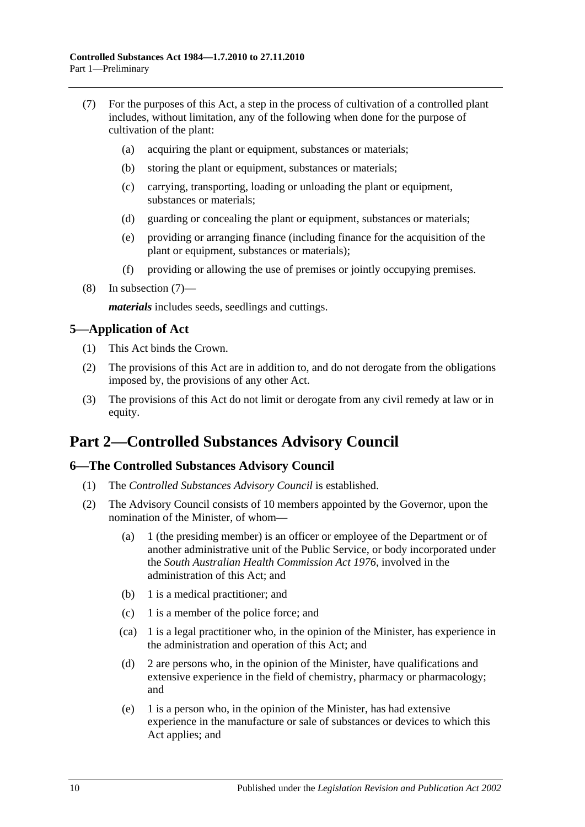- <span id="page-9-3"></span>(7) For the purposes of this Act, a step in the process of cultivation of a controlled plant includes, without limitation, any of the following when done for the purpose of cultivation of the plant:
	- (a) acquiring the plant or equipment, substances or materials;
	- (b) storing the plant or equipment, substances or materials;
	- (c) carrying, transporting, loading or unloading the plant or equipment, substances or materials;
	- (d) guarding or concealing the plant or equipment, substances or materials;
	- (e) providing or arranging finance (including finance for the acquisition of the plant or equipment, substances or materials);
	- (f) providing or allowing the use of premises or jointly occupying premises.
- (8) In [subsection](#page-9-3) (7)—

*materials* includes seeds, seedlings and cuttings.

## <span id="page-9-0"></span>**5—Application of Act**

- (1) This Act binds the Crown.
- (2) The provisions of this Act are in addition to, and do not derogate from the obligations imposed by, the provisions of any other Act.
- (3) The provisions of this Act do not limit or derogate from any civil remedy at law or in equity.

# <span id="page-9-1"></span>**Part 2—Controlled Substances Advisory Council**

## <span id="page-9-2"></span>**6—The Controlled Substances Advisory Council**

- (1) The *Controlled Substances Advisory Council* is established.
- (2) The Advisory Council consists of 10 members appointed by the Governor, upon the nomination of the Minister, of whom—
	- (a) 1 (the presiding member) is an officer or employee of the Department or of another administrative unit of the Public Service, or body incorporated under the *[South Australian Health Commission Act](http://www.legislation.sa.gov.au/index.aspx?action=legref&type=act&legtitle=South%20Australian%20Health%20Commission%20Act%201976) 1976*, involved in the administration of this Act; and
	- (b) 1 is a medical practitioner; and
	- (c) 1 is a member of the police force; and
	- (ca) 1 is a legal practitioner who, in the opinion of the Minister, has experience in the administration and operation of this Act; and
	- (d) 2 are persons who, in the opinion of the Minister, have qualifications and extensive experience in the field of chemistry, pharmacy or pharmacology; and
	- (e) 1 is a person who, in the opinion of the Minister, has had extensive experience in the manufacture or sale of substances or devices to which this Act applies; and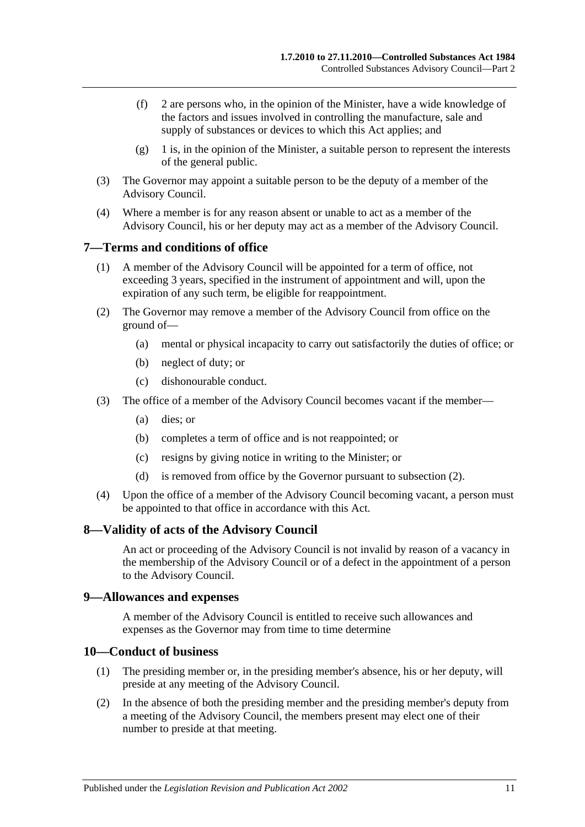- (f) 2 are persons who, in the opinion of the Minister, have a wide knowledge of the factors and issues involved in controlling the manufacture, sale and supply of substances or devices to which this Act applies; and
- $(g)$  1 is, in the opinion of the Minister, a suitable person to represent the interests of the general public.
- (3) The Governor may appoint a suitable person to be the deputy of a member of the Advisory Council.
- (4) Where a member is for any reason absent or unable to act as a member of the Advisory Council, his or her deputy may act as a member of the Advisory Council.

## <span id="page-10-0"></span>**7—Terms and conditions of office**

- (1) A member of the Advisory Council will be appointed for a term of office, not exceeding 3 years, specified in the instrument of appointment and will, upon the expiration of any such term, be eligible for reappointment.
- <span id="page-10-4"></span>(2) The Governor may remove a member of the Advisory Council from office on the ground of—
	- (a) mental or physical incapacity to carry out satisfactorily the duties of office; or
	- (b) neglect of duty; or
	- (c) dishonourable conduct.
- (3) The office of a member of the Advisory Council becomes vacant if the member—
	- (a) dies; or
	- (b) completes a term of office and is not reappointed; or
	- (c) resigns by giving notice in writing to the Minister; or
	- (d) is removed from office by the Governor pursuant to [subsection](#page-10-4) (2).
- (4) Upon the office of a member of the Advisory Council becoming vacant, a person must be appointed to that office in accordance with this Act.

#### <span id="page-10-1"></span>**8—Validity of acts of the Advisory Council**

An act or proceeding of the Advisory Council is not invalid by reason of a vacancy in the membership of the Advisory Council or of a defect in the appointment of a person to the Advisory Council.

#### <span id="page-10-2"></span>**9—Allowances and expenses**

A member of the Advisory Council is entitled to receive such allowances and expenses as the Governor may from time to time determine

#### <span id="page-10-3"></span>**10—Conduct of business**

- (1) The presiding member or, in the presiding member's absence, his or her deputy, will preside at any meeting of the Advisory Council.
- (2) In the absence of both the presiding member and the presiding member's deputy from a meeting of the Advisory Council, the members present may elect one of their number to preside at that meeting.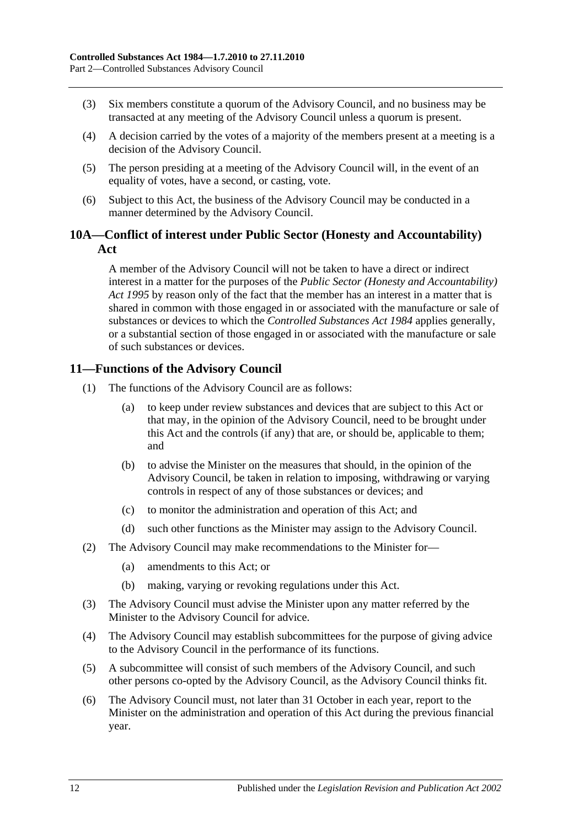- (3) Six members constitute a quorum of the Advisory Council, and no business may be transacted at any meeting of the Advisory Council unless a quorum is present.
- (4) A decision carried by the votes of a majority of the members present at a meeting is a decision of the Advisory Council.
- (5) The person presiding at a meeting of the Advisory Council will, in the event of an equality of votes, have a second, or casting, vote.
- (6) Subject to this Act, the business of the Advisory Council may be conducted in a manner determined by the Advisory Council.

## <span id="page-11-0"></span>**10A—Conflict of interest under Public Sector (Honesty and Accountability) Act**

A member of the Advisory Council will not be taken to have a direct or indirect interest in a matter for the purposes of the *[Public Sector \(Honesty and Accountability\)](http://www.legislation.sa.gov.au/index.aspx?action=legref&type=act&legtitle=Public%20Sector%20(Honesty%20and%20Accountability)%20Act%201995)  Act [1995](http://www.legislation.sa.gov.au/index.aspx?action=legref&type=act&legtitle=Public%20Sector%20(Honesty%20and%20Accountability)%20Act%201995)* by reason only of the fact that the member has an interest in a matter that is shared in common with those engaged in or associated with the manufacture or sale of substances or devices to which the *[Controlled Substances Act](http://www.legislation.sa.gov.au/index.aspx?action=legref&type=act&legtitle=Controlled%20Substances%20Act%201984) 1984* applies generally, or a substantial section of those engaged in or associated with the manufacture or sale of such substances or devices.

## <span id="page-11-1"></span>**11—Functions of the Advisory Council**

- (1) The functions of the Advisory Council are as follows:
	- (a) to keep under review substances and devices that are subject to this Act or that may, in the opinion of the Advisory Council, need to be brought under this Act and the controls (if any) that are, or should be, applicable to them; and
	- (b) to advise the Minister on the measures that should, in the opinion of the Advisory Council, be taken in relation to imposing, withdrawing or varying controls in respect of any of those substances or devices; and
	- (c) to monitor the administration and operation of this Act; and
	- (d) such other functions as the Minister may assign to the Advisory Council.
- (2) The Advisory Council may make recommendations to the Minister for—
	- (a) amendments to this Act; or
	- (b) making, varying or revoking regulations under this Act.
- (3) The Advisory Council must advise the Minister upon any matter referred by the Minister to the Advisory Council for advice.
- (4) The Advisory Council may establish subcommittees for the purpose of giving advice to the Advisory Council in the performance of its functions.
- (5) A subcommittee will consist of such members of the Advisory Council, and such other persons co-opted by the Advisory Council, as the Advisory Council thinks fit.
- <span id="page-11-2"></span>(6) The Advisory Council must, not later than 31 October in each year, report to the Minister on the administration and operation of this Act during the previous financial year.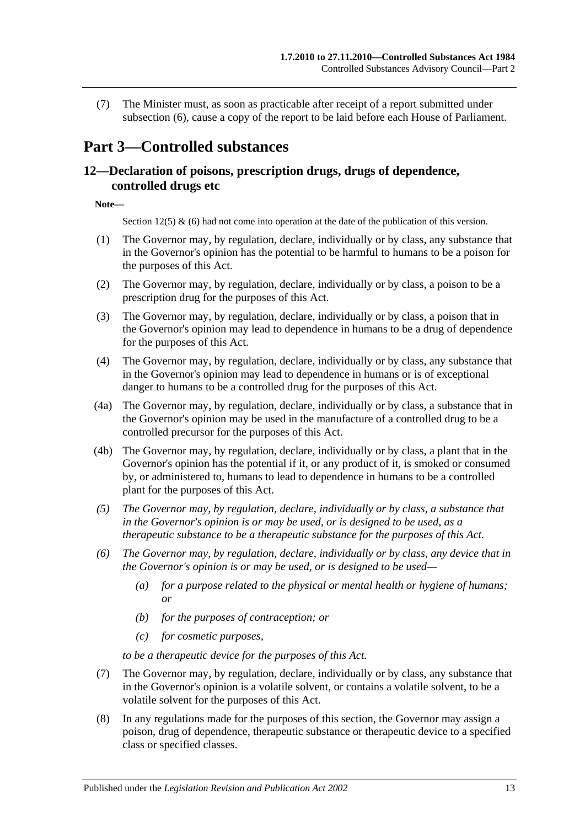(7) The Minister must, as soon as practicable after receipt of a report submitted under [subsection](#page-11-2) (6), cause a copy of the report to be laid before each House of Parliament.

# <span id="page-12-0"></span>**Part 3—Controlled substances**

## <span id="page-12-1"></span>**12—Declaration of poisons, prescription drugs, drugs of dependence, controlled drugs etc**

#### **Note—**

Section 12(5) & (6) had not come into operation at the date of the publication of this version.

- (1) The Governor may, by regulation, declare, individually or by class, any substance that in the Governor's opinion has the potential to be harmful to humans to be a poison for the purposes of this Act.
- (2) The Governor may, by regulation, declare, individually or by class, a poison to be a prescription drug for the purposes of this Act.
- (3) The Governor may, by regulation, declare, individually or by class, a poison that in the Governor's opinion may lead to dependence in humans to be a drug of dependence for the purposes of this Act.
- (4) The Governor may, by regulation, declare, individually or by class, any substance that in the Governor's opinion may lead to dependence in humans or is of exceptional danger to humans to be a controlled drug for the purposes of this Act.
- (4a) The Governor may, by regulation, declare, individually or by class, a substance that in the Governor's opinion may be used in the manufacture of a controlled drug to be a controlled precursor for the purposes of this Act.
- (4b) The Governor may, by regulation, declare, individually or by class, a plant that in the Governor's opinion has the potential if it, or any product of it, is smoked or consumed by, or administered to, humans to lead to dependence in humans to be a controlled plant for the purposes of this Act.
- *(5) The Governor may, by regulation, declare, individually or by class, a substance that in the Governor's opinion is or may be used, or is designed to be used, as a therapeutic substance to be a therapeutic substance for the purposes of this Act.*
- *(6) The Governor may, by regulation, declare, individually or by class, any device that in the Governor's opinion is or may be used, or is designed to be used—*
	- *(a) for a purpose related to the physical or mental health or hygiene of humans; or*
	- *(b) for the purposes of contraception; or*
	- *(c) for cosmetic purposes,*

*to be a therapeutic device for the purposes of this Act.*

- (7) The Governor may, by regulation, declare, individually or by class, any substance that in the Governor's opinion is a volatile solvent, or contains a volatile solvent, to be a volatile solvent for the purposes of this Act.
- (8) In any regulations made for the purposes of this section, the Governor may assign a poison, drug of dependence, therapeutic substance or therapeutic device to a specified class or specified classes.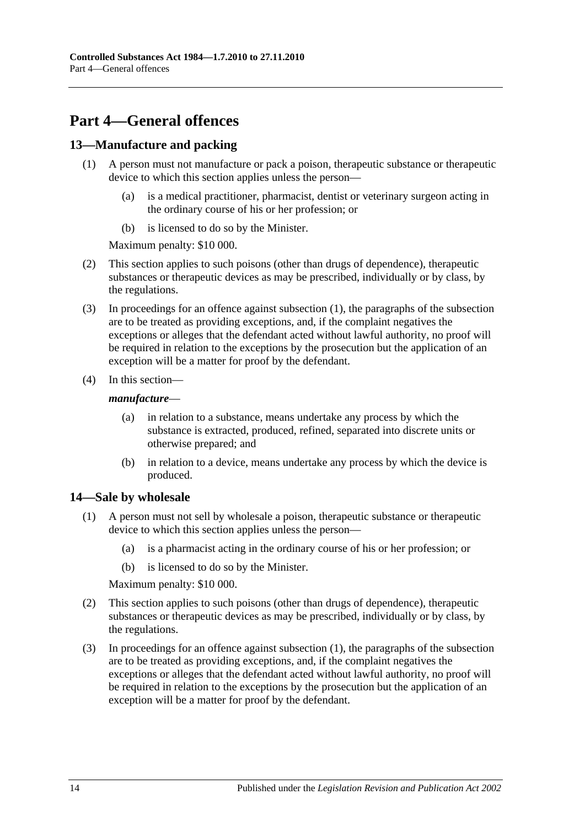# <span id="page-13-0"></span>**Part 4—General offences**

## <span id="page-13-3"></span><span id="page-13-1"></span>**13—Manufacture and packing**

- (1) A person must not manufacture or pack a poison, therapeutic substance or therapeutic device to which this section applies unless the person—
	- (a) is a medical practitioner, pharmacist, dentist or veterinary surgeon acting in the ordinary course of his or her profession; or
	- (b) is licensed to do so by the Minister.

Maximum penalty: \$10 000.

- (2) This section applies to such poisons (other than drugs of dependence), therapeutic substances or therapeutic devices as may be prescribed, individually or by class, by the regulations.
- (3) In proceedings for an offence against [subsection](#page-13-3) (1), the paragraphs of the subsection are to be treated as providing exceptions, and, if the complaint negatives the exceptions or alleges that the defendant acted without lawful authority, no proof will be required in relation to the exceptions by the prosecution but the application of an exception will be a matter for proof by the defendant.
- (4) In this section—

#### *manufacture*—

- (a) in relation to a substance, means undertake any process by which the substance is extracted, produced, refined, separated into discrete units or otherwise prepared; and
- (b) in relation to a device, means undertake any process by which the device is produced.

## <span id="page-13-4"></span><span id="page-13-2"></span>**14—Sale by wholesale**

- (1) A person must not sell by wholesale a poison, therapeutic substance or therapeutic device to which this section applies unless the person—
	- (a) is a pharmacist acting in the ordinary course of his or her profession; or
	- (b) is licensed to do so by the Minister.

Maximum penalty: \$10 000.

- (2) This section applies to such poisons (other than drugs of dependence), therapeutic substances or therapeutic devices as may be prescribed, individually or by class, by the regulations.
- (3) In proceedings for an offence against [subsection](#page-13-4) (1), the paragraphs of the subsection are to be treated as providing exceptions, and, if the complaint negatives the exceptions or alleges that the defendant acted without lawful authority, no proof will be required in relation to the exceptions by the prosecution but the application of an exception will be a matter for proof by the defendant.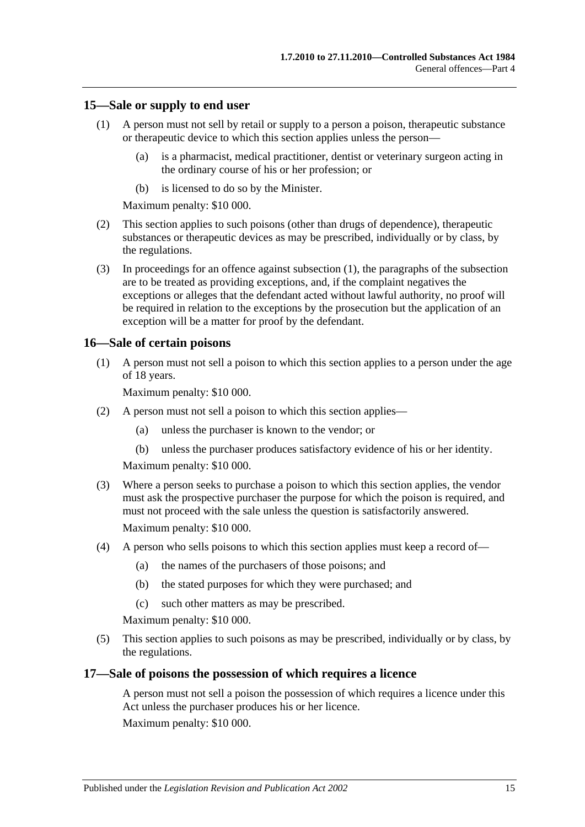#### <span id="page-14-3"></span><span id="page-14-0"></span>**15—Sale or supply to end user**

- (1) A person must not sell by retail or supply to a person a poison, therapeutic substance or therapeutic device to which this section applies unless the person—
	- (a) is a pharmacist, medical practitioner, dentist or veterinary surgeon acting in the ordinary course of his or her profession; or
	- (b) is licensed to do so by the Minister.

Maximum penalty: \$10 000.

- (2) This section applies to such poisons (other than drugs of dependence), therapeutic substances or therapeutic devices as may be prescribed, individually or by class, by the regulations.
- (3) In proceedings for an offence against [subsection](#page-14-3) (1), the paragraphs of the subsection are to be treated as providing exceptions, and, if the complaint negatives the exceptions or alleges that the defendant acted without lawful authority, no proof will be required in relation to the exceptions by the prosecution but the application of an exception will be a matter for proof by the defendant.

#### <span id="page-14-1"></span>**16—Sale of certain poisons**

(1) A person must not sell a poison to which this section applies to a person under the age of 18 years.

Maximum penalty: \$10 000.

- (2) A person must not sell a poison to which this section applies—
	- (a) unless the purchaser is known to the vendor; or
	- (b) unless the purchaser produces satisfactory evidence of his or her identity.

Maximum penalty: \$10 000.

- (3) Where a person seeks to purchase a poison to which this section applies, the vendor must ask the prospective purchaser the purpose for which the poison is required, and must not proceed with the sale unless the question is satisfactorily answered. Maximum penalty: \$10 000.
- (4) A person who sells poisons to which this section applies must keep a record of—
	- (a) the names of the purchasers of those poisons; and
	- (b) the stated purposes for which they were purchased; and
	- (c) such other matters as may be prescribed.

Maximum penalty: \$10 000.

(5) This section applies to such poisons as may be prescribed, individually or by class, by the regulations.

#### <span id="page-14-2"></span>**17—Sale of poisons the possession of which requires a licence**

A person must not sell a poison the possession of which requires a licence under this Act unless the purchaser produces his or her licence.

Maximum penalty: \$10 000.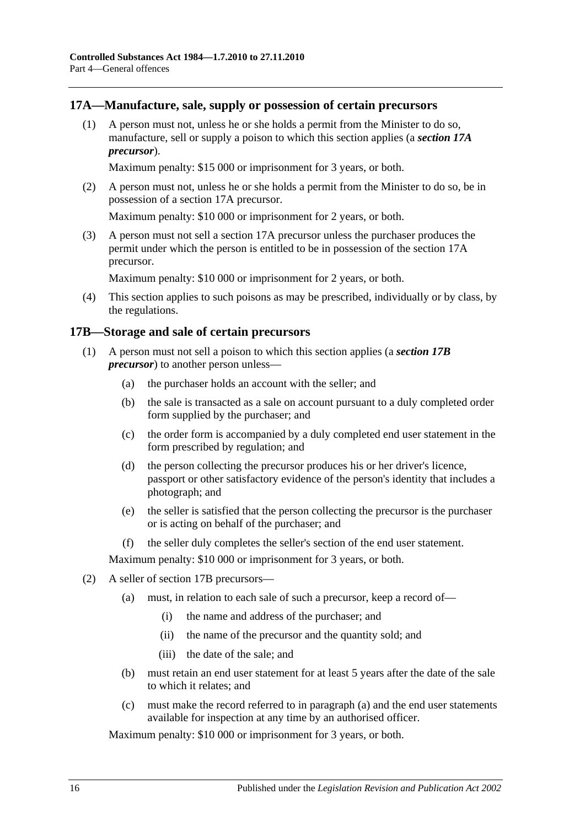## <span id="page-15-0"></span>**17A—Manufacture, sale, supply or possession of certain precursors**

(1) A person must not, unless he or she holds a permit from the Minister to do so, manufacture, sell or supply a poison to which this section applies (a *section 17A precursor*).

Maximum penalty: \$15 000 or imprisonment for 3 years, or both.

(2) A person must not, unless he or she holds a permit from the Minister to do so, be in possession of a section 17A precursor.

Maximum penalty: \$10 000 or imprisonment for 2 years, or both.

(3) A person must not sell a section 17A precursor unless the purchaser produces the permit under which the person is entitled to be in possession of the section 17A precursor.

Maximum penalty: \$10 000 or imprisonment for 2 years, or both.

(4) This section applies to such poisons as may be prescribed, individually or by class, by the regulations.

## <span id="page-15-1"></span>**17B—Storage and sale of certain precursors**

- (1) A person must not sell a poison to which this section applies (a *section 17B precursor*) to another person unless—
	- (a) the purchaser holds an account with the seller; and
	- (b) the sale is transacted as a sale on account pursuant to a duly completed order form supplied by the purchaser; and
	- (c) the order form is accompanied by a duly completed end user statement in the form prescribed by regulation; and
	- (d) the person collecting the precursor produces his or her driver's licence, passport or other satisfactory evidence of the person's identity that includes a photograph; and
	- (e) the seller is satisfied that the person collecting the precursor is the purchaser or is acting on behalf of the purchaser; and
	- (f) the seller duly completes the seller's section of the end user statement.

Maximum penalty: \$10 000 or imprisonment for 3 years, or both.

- <span id="page-15-2"></span>(2) A seller of section 17B precursors—
	- (a) must, in relation to each sale of such a precursor, keep a record of—
		- (i) the name and address of the purchaser; and
		- (ii) the name of the precursor and the quantity sold; and
		- (iii) the date of the sale; and
	- (b) must retain an end user statement for at least 5 years after the date of the sale to which it relates; and
	- (c) must make the record referred to in [paragraph](#page-15-2) (a) and the end user statements available for inspection at any time by an authorised officer.

Maximum penalty: \$10 000 or imprisonment for 3 years, or both.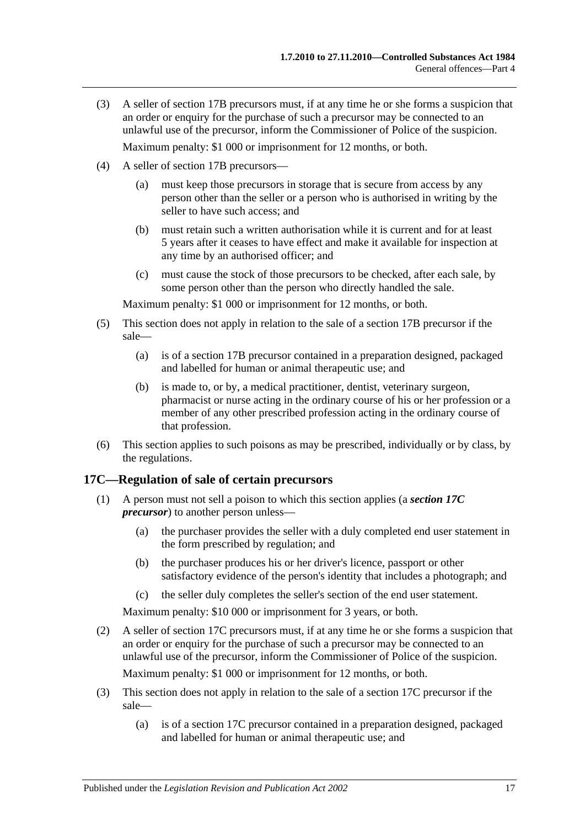- (3) A seller of section 17B precursors must, if at any time he or she forms a suspicion that an order or enquiry for the purchase of such a precursor may be connected to an unlawful use of the precursor, inform the Commissioner of Police of the suspicion. Maximum penalty: \$1 000 or imprisonment for 12 months, or both.
- (4) A seller of section 17B precursors—
	- (a) must keep those precursors in storage that is secure from access by any person other than the seller or a person who is authorised in writing by the seller to have such access: and
	- (b) must retain such a written authorisation while it is current and for at least 5 years after it ceases to have effect and make it available for inspection at any time by an authorised officer; and
	- (c) must cause the stock of those precursors to be checked, after each sale, by some person other than the person who directly handled the sale.

Maximum penalty: \$1 000 or imprisonment for 12 months, or both.

- (5) This section does not apply in relation to the sale of a section 17B precursor if the sale—
	- (a) is of a section 17B precursor contained in a preparation designed, packaged and labelled for human or animal therapeutic use; and
	- (b) is made to, or by, a medical practitioner, dentist, veterinary surgeon, pharmacist or nurse acting in the ordinary course of his or her profession or a member of any other prescribed profession acting in the ordinary course of that profession.
- (6) This section applies to such poisons as may be prescribed, individually or by class, by the regulations.

#### <span id="page-16-0"></span>**17C—Regulation of sale of certain precursors**

- (1) A person must not sell a poison to which this section applies (a *section 17C precursor*) to another person unless—
	- (a) the purchaser provides the seller with a duly completed end user statement in the form prescribed by regulation; and
	- (b) the purchaser produces his or her driver's licence, passport or other satisfactory evidence of the person's identity that includes a photograph; and
	- (c) the seller duly completes the seller's section of the end user statement.

Maximum penalty: \$10 000 or imprisonment for 3 years, or both.

(2) A seller of section 17C precursors must, if at any time he or she forms a suspicion that an order or enquiry for the purchase of such a precursor may be connected to an unlawful use of the precursor, inform the Commissioner of Police of the suspicion.

Maximum penalty: \$1 000 or imprisonment for 12 months, or both.

- (3) This section does not apply in relation to the sale of a section 17C precursor if the sale—
	- (a) is of a section 17C precursor contained in a preparation designed, packaged and labelled for human or animal therapeutic use; and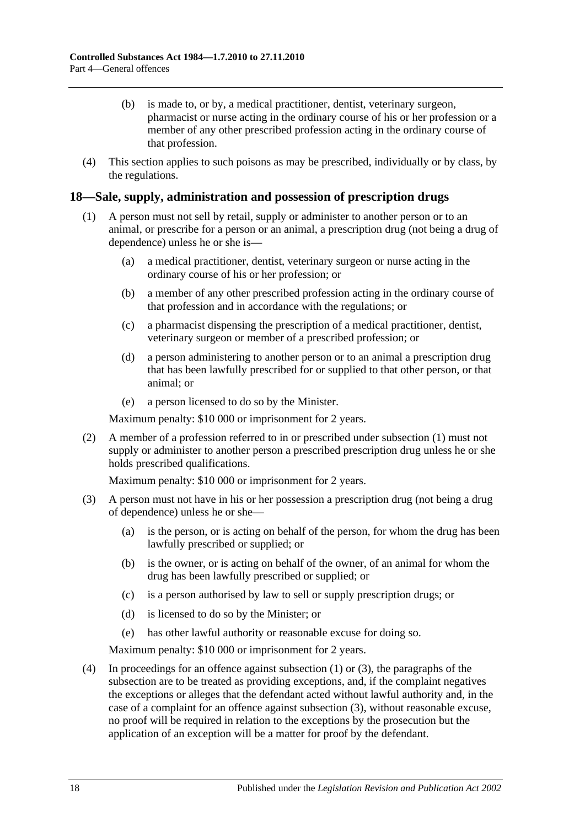- (b) is made to, or by, a medical practitioner, dentist, veterinary surgeon, pharmacist or nurse acting in the ordinary course of his or her profession or a member of any other prescribed profession acting in the ordinary course of that profession.
- (4) This section applies to such poisons as may be prescribed, individually or by class, by the regulations.

## <span id="page-17-1"></span><span id="page-17-0"></span>**18—Sale, supply, administration and possession of prescription drugs**

- (1) A person must not sell by retail, supply or administer to another person or to an animal, or prescribe for a person or an animal, a prescription drug (not being a drug of dependence) unless he or she is—
	- (a) a medical practitioner, dentist, veterinary surgeon or nurse acting in the ordinary course of his or her profession; or
	- (b) a member of any other prescribed profession acting in the ordinary course of that profession and in accordance with the regulations; or
	- (c) a pharmacist dispensing the prescription of a medical practitioner, dentist, veterinary surgeon or member of a prescribed profession; or
	- (d) a person administering to another person or to an animal a prescription drug that has been lawfully prescribed for or supplied to that other person, or that animal; or
	- (e) a person licensed to do so by the Minister.

Maximum penalty: \$10 000 or imprisonment for 2 years.

(2) A member of a profession referred to in or prescribed under [subsection](#page-17-1) (1) must not supply or administer to another person a prescribed prescription drug unless he or she holds prescribed qualifications.

Maximum penalty: \$10 000 or imprisonment for 2 years.

- <span id="page-17-2"></span>(3) A person must not have in his or her possession a prescription drug (not being a drug of dependence) unless he or she—
	- (a) is the person, or is acting on behalf of the person, for whom the drug has been lawfully prescribed or supplied; or
	- (b) is the owner, or is acting on behalf of the owner, of an animal for whom the drug has been lawfully prescribed or supplied; or
	- (c) is a person authorised by law to sell or supply prescription drugs; or
	- (d) is licensed to do so by the Minister; or
	- (e) has other lawful authority or reasonable excuse for doing so.

Maximum penalty: \$10 000 or imprisonment for 2 years.

(4) In proceedings for an offence against [subsection](#page-17-1) (1) or [\(3\),](#page-17-2) the paragraphs of the subsection are to be treated as providing exceptions, and, if the complaint negatives the exceptions or alleges that the defendant acted without lawful authority and, in the case of a complaint for an offence against [subsection](#page-17-2) (3), without reasonable excuse, no proof will be required in relation to the exceptions by the prosecution but the application of an exception will be a matter for proof by the defendant.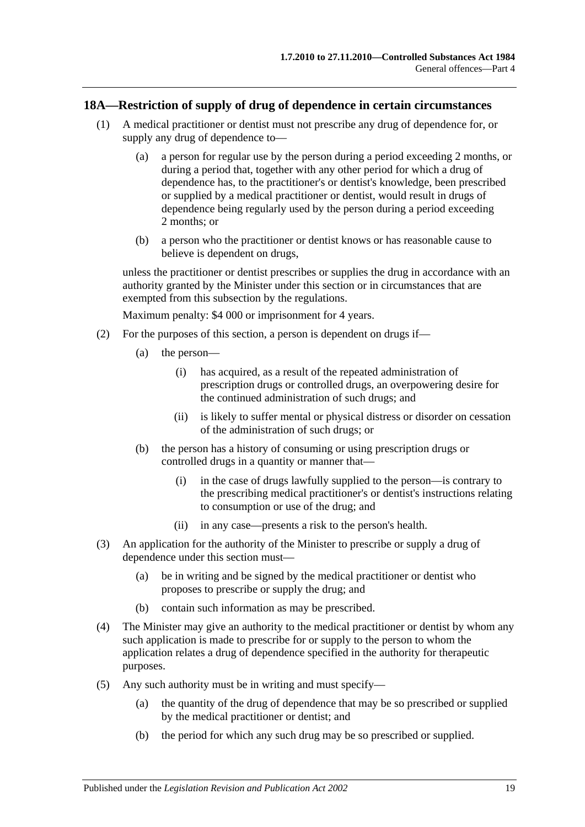#### <span id="page-18-0"></span>**18A—Restriction of supply of drug of dependence in certain circumstances**

- (1) A medical practitioner or dentist must not prescribe any drug of dependence for, or supply any drug of dependence to—
	- (a) a person for regular use by the person during a period exceeding 2 months, or during a period that, together with any other period for which a drug of dependence has, to the practitioner's or dentist's knowledge, been prescribed or supplied by a medical practitioner or dentist, would result in drugs of dependence being regularly used by the person during a period exceeding 2 months; or
	- (b) a person who the practitioner or dentist knows or has reasonable cause to believe is dependent on drugs,

unless the practitioner or dentist prescribes or supplies the drug in accordance with an authority granted by the Minister under this section or in circumstances that are exempted from this subsection by the regulations.

Maximum penalty: \$4 000 or imprisonment for 4 years.

- (2) For the purposes of this section, a person is dependent on drugs if—
	- (a) the person—
		- (i) has acquired, as a result of the repeated administration of prescription drugs or controlled drugs, an overpowering desire for the continued administration of such drugs; and
		- (ii) is likely to suffer mental or physical distress or disorder on cessation of the administration of such drugs; or
	- (b) the person has a history of consuming or using prescription drugs or controlled drugs in a quantity or manner that—
		- (i) in the case of drugs lawfully supplied to the person—is contrary to the prescribing medical practitioner's or dentist's instructions relating to consumption or use of the drug; and
		- (ii) in any case—presents a risk to the person's health.
- (3) An application for the authority of the Minister to prescribe or supply a drug of dependence under this section must—
	- (a) be in writing and be signed by the medical practitioner or dentist who proposes to prescribe or supply the drug; and
	- (b) contain such information as may be prescribed.
- (4) The Minister may give an authority to the medical practitioner or dentist by whom any such application is made to prescribe for or supply to the person to whom the application relates a drug of dependence specified in the authority for therapeutic purposes.
- (5) Any such authority must be in writing and must specify—
	- (a) the quantity of the drug of dependence that may be so prescribed or supplied by the medical practitioner or dentist; and
	- (b) the period for which any such drug may be so prescribed or supplied.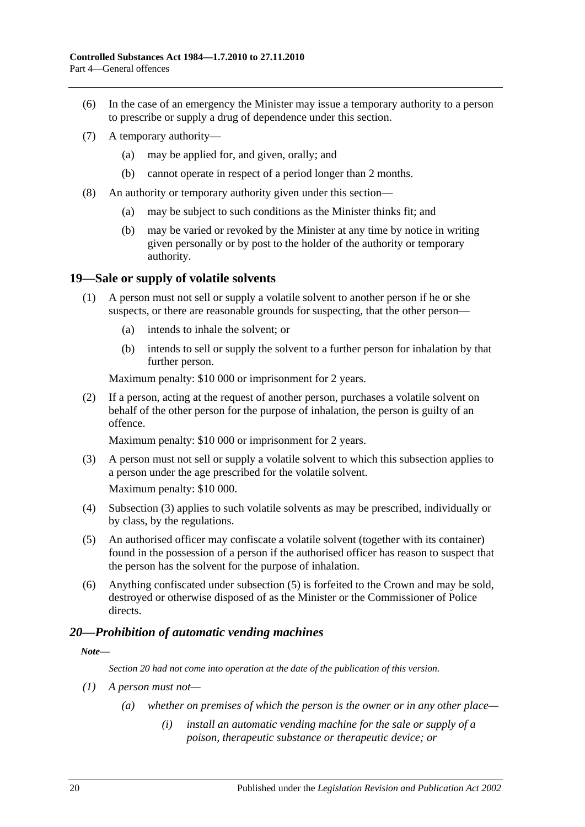- (6) In the case of an emergency the Minister may issue a temporary authority to a person to prescribe or supply a drug of dependence under this section.
- (7) A temporary authority—
	- (a) may be applied for, and given, orally; and
	- (b) cannot operate in respect of a period longer than 2 months.
- (8) An authority or temporary authority given under this section—
	- (a) may be subject to such conditions as the Minister thinks fit; and
	- (b) may be varied or revoked by the Minister at any time by notice in writing given personally or by post to the holder of the authority or temporary authority.

#### <span id="page-19-0"></span>**19—Sale or supply of volatile solvents**

- (1) A person must not sell or supply a volatile solvent to another person if he or she suspects, or there are reasonable grounds for suspecting, that the other person—
	- (a) intends to inhale the solvent; or
	- (b) intends to sell or supply the solvent to a further person for inhalation by that further person.

Maximum penalty: \$10 000 or imprisonment for 2 years.

(2) If a person, acting at the request of another person, purchases a volatile solvent on behalf of the other person for the purpose of inhalation, the person is guilty of an offence.

Maximum penalty: \$10 000 or imprisonment for 2 years.

<span id="page-19-2"></span>(3) A person must not sell or supply a volatile solvent to which this subsection applies to a person under the age prescribed for the volatile solvent.

Maximum penalty: \$10 000.

- (4) [Subsection](#page-19-2) (3) applies to such volatile solvents as may be prescribed, individually or by class, by the regulations.
- <span id="page-19-3"></span>(5) An authorised officer may confiscate a volatile solvent (together with its container) found in the possession of a person if the authorised officer has reason to suspect that the person has the solvent for the purpose of inhalation.
- (6) Anything confiscated under [subsection](#page-19-3) (5) is forfeited to the Crown and may be sold, destroyed or otherwise disposed of as the Minister or the Commissioner of Police directs.

#### <span id="page-19-1"></span>*20—Prohibition of automatic vending machines*

#### *Note—*

*Section 20 had not come into operation at the date of the publication of this version.*

- *(1) A person must not—*
	- *(a) whether on premises of which the person is the owner or in any other place—*
		- *(i) install an automatic vending machine for the sale or supply of a poison, therapeutic substance or therapeutic device; or*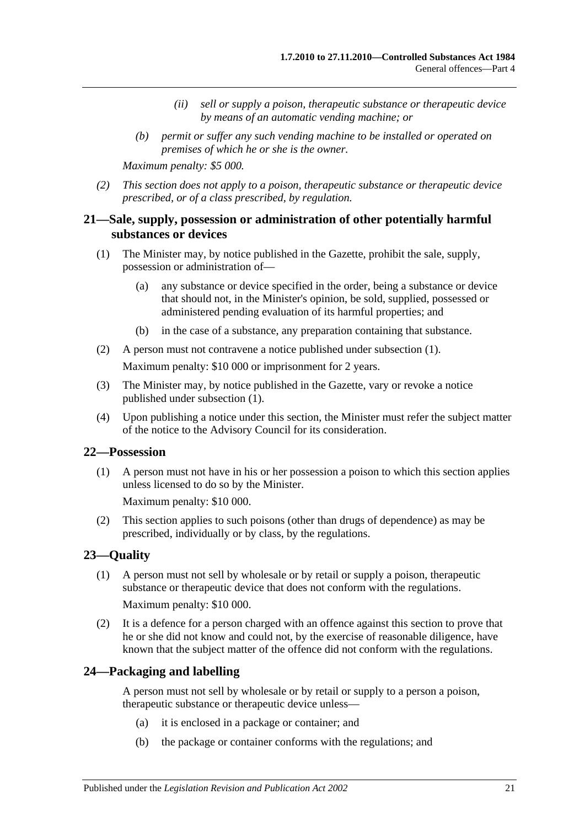- *(ii) sell or supply a poison, therapeutic substance or therapeutic device by means of an automatic vending machine; or*
- *(b) permit or suffer any such vending machine to be installed or operated on premises of which he or she is the owner.*

*Maximum penalty: \$5 000.*

*(2) This section does not apply to a poison, therapeutic substance or therapeutic device prescribed, or of a class prescribed, by regulation.*

## <span id="page-20-0"></span>**21—Sale, supply, possession or administration of other potentially harmful substances or devices**

- <span id="page-20-4"></span>(1) The Minister may, by notice published in the Gazette, prohibit the sale, supply, possession or administration of—
	- (a) any substance or device specified in the order, being a substance or device that should not, in the Minister's opinion, be sold, supplied, possessed or administered pending evaluation of its harmful properties; and
	- (b) in the case of a substance, any preparation containing that substance.
- (2) A person must not contravene a notice published under [subsection](#page-20-4) (1). Maximum penalty: \$10 000 or imprisonment for 2 years.
- (3) The Minister may, by notice published in the Gazette, vary or revoke a notice published under [subsection](#page-20-4) (1).
- (4) Upon publishing a notice under this section, the Minister must refer the subject matter of the notice to the Advisory Council for its consideration.

#### <span id="page-20-1"></span>**22—Possession**

(1) A person must not have in his or her possession a poison to which this section applies unless licensed to do so by the Minister.

Maximum penalty: \$10 000.

(2) This section applies to such poisons (other than drugs of dependence) as may be prescribed, individually or by class, by the regulations.

#### <span id="page-20-2"></span>**23—Quality**

(1) A person must not sell by wholesale or by retail or supply a poison, therapeutic substance or therapeutic device that does not conform with the regulations.

Maximum penalty: \$10 000.

(2) It is a defence for a person charged with an offence against this section to prove that he or she did not know and could not, by the exercise of reasonable diligence, have known that the subject matter of the offence did not conform with the regulations.

#### <span id="page-20-3"></span>**24—Packaging and labelling**

A person must not sell by wholesale or by retail or supply to a person a poison, therapeutic substance or therapeutic device unless—

- (a) it is enclosed in a package or container; and
- (b) the package or container conforms with the regulations; and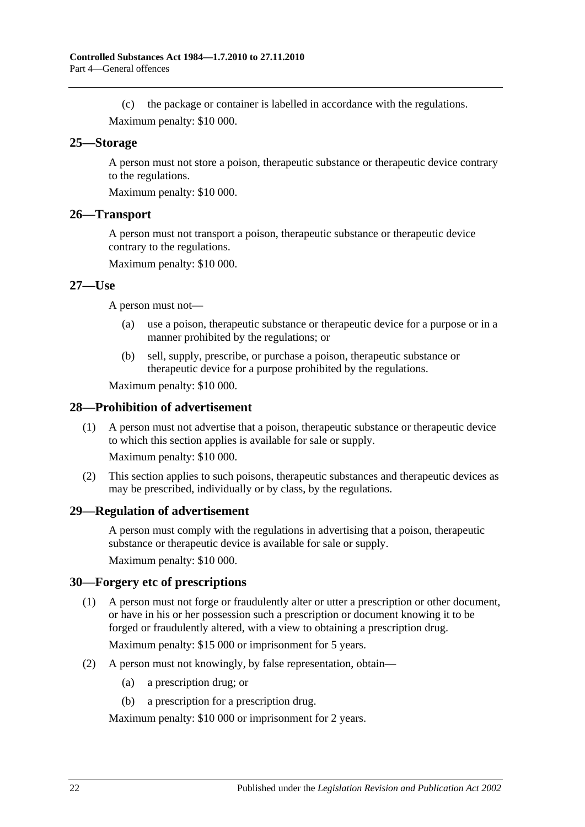(c) the package or container is labelled in accordance with the regulations. Maximum penalty: \$10 000.

#### <span id="page-21-0"></span>**25—Storage**

A person must not store a poison, therapeutic substance or therapeutic device contrary to the regulations.

Maximum penalty: \$10 000.

#### <span id="page-21-1"></span>**26—Transport**

A person must not transport a poison, therapeutic substance or therapeutic device contrary to the regulations.

Maximum penalty: \$10 000.

#### <span id="page-21-2"></span>**27—Use**

A person must not—

- (a) use a poison, therapeutic substance or therapeutic device for a purpose or in a manner prohibited by the regulations; or
- (b) sell, supply, prescribe, or purchase a poison, therapeutic substance or therapeutic device for a purpose prohibited by the regulations.

Maximum penalty: \$10 000.

#### <span id="page-21-3"></span>**28—Prohibition of advertisement**

(1) A person must not advertise that a poison, therapeutic substance or therapeutic device to which this section applies is available for sale or supply.

Maximum penalty: \$10 000.

(2) This section applies to such poisons, therapeutic substances and therapeutic devices as may be prescribed, individually or by class, by the regulations.

#### <span id="page-21-4"></span>**29—Regulation of advertisement**

A person must comply with the regulations in advertising that a poison, therapeutic substance or therapeutic device is available for sale or supply.

Maximum penalty: \$10 000.

#### <span id="page-21-5"></span>**30—Forgery etc of prescriptions**

(1) A person must not forge or fraudulently alter or utter a prescription or other document, or have in his or her possession such a prescription or document knowing it to be forged or fraudulently altered, with a view to obtaining a prescription drug.

Maximum penalty: \$15 000 or imprisonment for 5 years.

- (2) A person must not knowingly, by false representation, obtain—
	- (a) a prescription drug; or
	- (b) a prescription for a prescription drug.

Maximum penalty: \$10 000 or imprisonment for 2 years.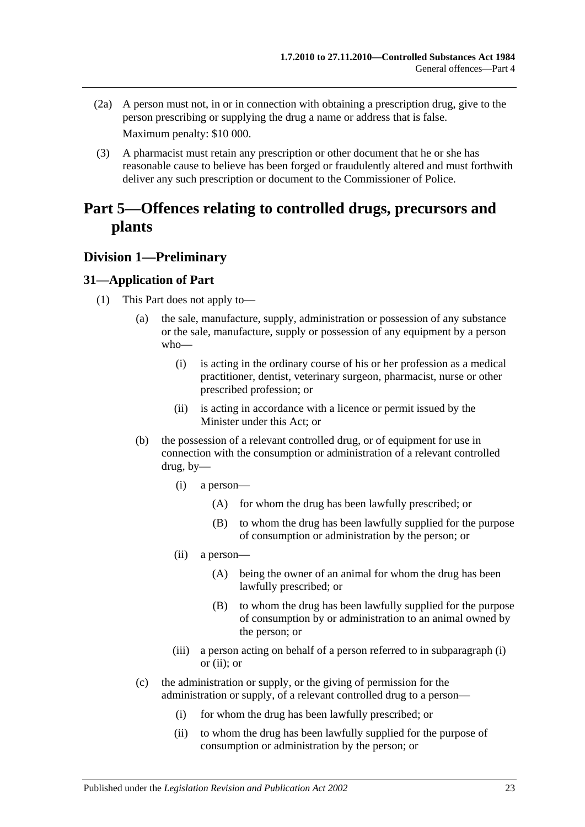- (2a) A person must not, in or in connection with obtaining a prescription drug, give to the person prescribing or supplying the drug a name or address that is false. Maximum penalty: \$10 000.
- (3) A pharmacist must retain any prescription or other document that he or she has reasonable cause to believe has been forged or fraudulently altered and must forthwith deliver any such prescription or document to the Commissioner of Police.

# <span id="page-22-0"></span>**Part 5—Offences relating to controlled drugs, precursors and plants**

## <span id="page-22-1"></span>**Division 1—Preliminary**

## <span id="page-22-5"></span><span id="page-22-2"></span>**31—Application of Part**

- <span id="page-22-4"></span><span id="page-22-3"></span>(1) This Part does not apply to—
	- (a) the sale, manufacture, supply, administration or possession of any substance or the sale, manufacture, supply or possession of any equipment by a person who—
		- (i) is acting in the ordinary course of his or her profession as a medical practitioner, dentist, veterinary surgeon, pharmacist, nurse or other prescribed profession; or
		- (ii) is acting in accordance with a licence or permit issued by the Minister under this Act; or
	- (b) the possession of a relevant controlled drug, or of equipment for use in connection with the consumption or administration of a relevant controlled drug, by—
		- (i) a person—
			- (A) for whom the drug has been lawfully prescribed; or
			- (B) to whom the drug has been lawfully supplied for the purpose of consumption or administration by the person; or
		- (ii) a person—
			- (A) being the owner of an animal for whom the drug has been lawfully prescribed; or
			- (B) to whom the drug has been lawfully supplied for the purpose of consumption by or administration to an animal owned by the person; or
		- (iii) a person acting on behalf of a person referred to in [subparagraph](#page-22-3) (i) or [\(ii\);](#page-22-4) or
	- (c) the administration or supply, or the giving of permission for the administration or supply, of a relevant controlled drug to a person—
		- (i) for whom the drug has been lawfully prescribed; or
		- (ii) to whom the drug has been lawfully supplied for the purpose of consumption or administration by the person; or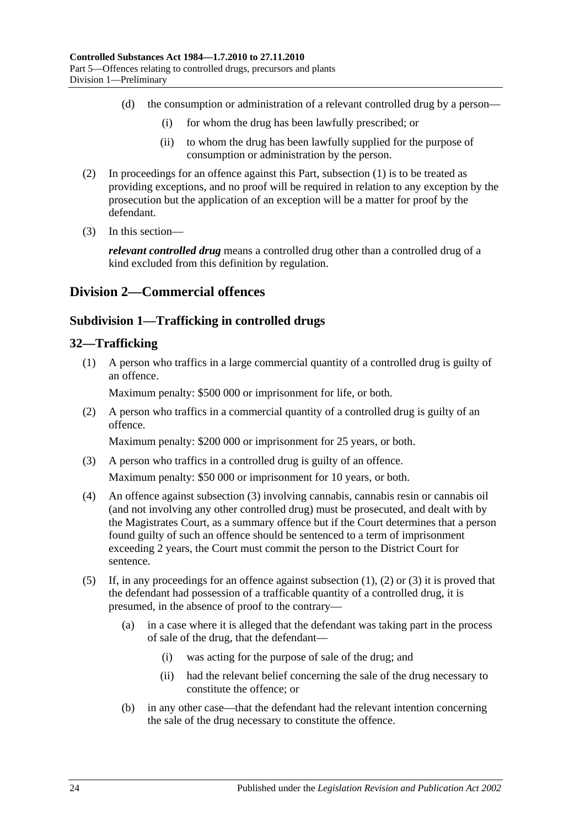- (d) the consumption or administration of a relevant controlled drug by a person—
	- (i) for whom the drug has been lawfully prescribed; or
	- (ii) to whom the drug has been lawfully supplied for the purpose of consumption or administration by the person.
- (2) In proceedings for an offence against this Part, [subsection](#page-22-5) (1) is to be treated as providing exceptions, and no proof will be required in relation to any exception by the prosecution but the application of an exception will be a matter for proof by the defendant.
- (3) In this section—

*relevant controlled drug* means a controlled drug other than a controlled drug of a kind excluded from this definition by regulation.

## <span id="page-23-1"></span><span id="page-23-0"></span>**Division 2—Commercial offences**

## **Subdivision 1—Trafficking in controlled drugs**

## <span id="page-23-4"></span><span id="page-23-2"></span>**32—Trafficking**

(1) A person who traffics in a large commercial quantity of a controlled drug is guilty of an offence.

Maximum penalty: \$500 000 or imprisonment for life, or both.

<span id="page-23-5"></span>(2) A person who traffics in a commercial quantity of a controlled drug is guilty of an offence.

Maximum penalty: \$200 000 or imprisonment for 25 years, or both.

- <span id="page-23-3"></span>(3) A person who traffics in a controlled drug is guilty of an offence. Maximum penalty: \$50 000 or imprisonment for 10 years, or both.
- (4) An offence against [subsection](#page-23-3) (3) involving cannabis, cannabis resin or cannabis oil (and not involving any other controlled drug) must be prosecuted, and dealt with by the Magistrates Court, as a summary offence but if the Court determines that a person found guilty of such an offence should be sentenced to a term of imprisonment exceeding 2 years, the Court must commit the person to the District Court for sentence.
- <span id="page-23-6"></span>(5) If, in any proceedings for an offence against [subsection](#page-23-4) (1), [\(2\)](#page-23-5) or [\(3\)](#page-23-3) it is proved that the defendant had possession of a trafficable quantity of a controlled drug, it is presumed, in the absence of proof to the contrary—
	- (a) in a case where it is alleged that the defendant was taking part in the process of sale of the drug, that the defendant—
		- (i) was acting for the purpose of sale of the drug; and
		- (ii) had the relevant belief concerning the sale of the drug necessary to constitute the offence; or
	- (b) in any other case—that the defendant had the relevant intention concerning the sale of the drug necessary to constitute the offence.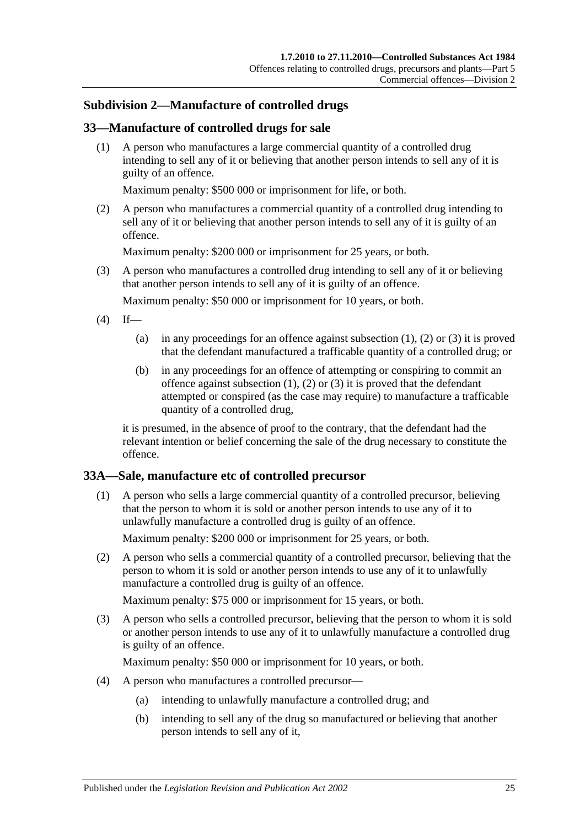## <span id="page-24-0"></span>**Subdivision 2—Manufacture of controlled drugs**

## <span id="page-24-3"></span><span id="page-24-1"></span>**33—Manufacture of controlled drugs for sale**

(1) A person who manufactures a large commercial quantity of a controlled drug intending to sell any of it or believing that another person intends to sell any of it is guilty of an offence.

Maximum penalty: \$500 000 or imprisonment for life, or both.

<span id="page-24-4"></span>(2) A person who manufactures a commercial quantity of a controlled drug intending to sell any of it or believing that another person intends to sell any of it is guilty of an offence.

Maximum penalty: \$200 000 or imprisonment for 25 years, or both.

<span id="page-24-5"></span>(3) A person who manufactures a controlled drug intending to sell any of it or believing that another person intends to sell any of it is guilty of an offence.

Maximum penalty: \$50 000 or imprisonment for 10 years, or both.

- <span id="page-24-6"></span> $(4)$  If
	- (a) in any proceedings for an offence against [subsection](#page-24-3)  $(1)$ ,  $(2)$  or  $(3)$  it is proved that the defendant manufactured a trafficable quantity of a controlled drug; or
	- (b) in any proceedings for an offence of attempting or conspiring to commit an offence against [subsection](#page-24-3)  $(1)$ ,  $(2)$  or  $(3)$  it is proved that the defendant attempted or conspired (as the case may require) to manufacture a trafficable quantity of a controlled drug,

it is presumed, in the absence of proof to the contrary, that the defendant had the relevant intention or belief concerning the sale of the drug necessary to constitute the offence.

## <span id="page-24-2"></span>**33A—Sale, manufacture etc of controlled precursor**

(1) A person who sells a large commercial quantity of a controlled precursor, believing that the person to whom it is sold or another person intends to use any of it to unlawfully manufacture a controlled drug is guilty of an offence.

Maximum penalty: \$200 000 or imprisonment for 25 years, or both.

(2) A person who sells a commercial quantity of a controlled precursor, believing that the person to whom it is sold or another person intends to use any of it to unlawfully manufacture a controlled drug is guilty of an offence.

Maximum penalty: \$75 000 or imprisonment for 15 years, or both.

(3) A person who sells a controlled precursor, believing that the person to whom it is sold or another person intends to use any of it to unlawfully manufacture a controlled drug is guilty of an offence.

Maximum penalty: \$50 000 or imprisonment for 10 years, or both.

- (4) A person who manufactures a controlled precursor—
	- (a) intending to unlawfully manufacture a controlled drug; and
	- (b) intending to sell any of the drug so manufactured or believing that another person intends to sell any of it,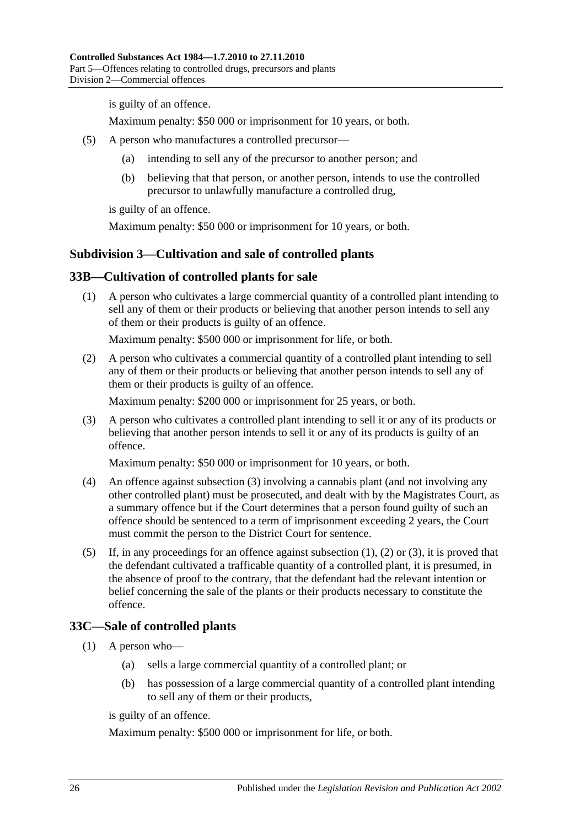is guilty of an offence.

Maximum penalty: \$50 000 or imprisonment for 10 years, or both.

- (5) A person who manufactures a controlled precursor—
	- (a) intending to sell any of the precursor to another person; and
	- (b) believing that that person, or another person, intends to use the controlled precursor to unlawfully manufacture a controlled drug,

is guilty of an offence.

Maximum penalty: \$50 000 or imprisonment for 10 years, or both.

## <span id="page-25-0"></span>**Subdivision 3—Cultivation and sale of controlled plants**

## <span id="page-25-4"></span><span id="page-25-1"></span>**33B—Cultivation of controlled plants for sale**

(1) A person who cultivates a large commercial quantity of a controlled plant intending to sell any of them or their products or believing that another person intends to sell any of them or their products is guilty of an offence.

Maximum penalty: \$500 000 or imprisonment for life, or both.

<span id="page-25-5"></span>(2) A person who cultivates a commercial quantity of a controlled plant intending to sell any of them or their products or believing that another person intends to sell any of them or their products is guilty of an offence.

Maximum penalty: \$200 000 or imprisonment for 25 years, or both.

<span id="page-25-3"></span>(3) A person who cultivates a controlled plant intending to sell it or any of its products or believing that another person intends to sell it or any of its products is guilty of an offence.

Maximum penalty: \$50 000 or imprisonment for 10 years, or both.

- (4) An offence against [subsection](#page-25-3) (3) involving a cannabis plant (and not involving any other controlled plant) must be prosecuted, and dealt with by the Magistrates Court, as a summary offence but if the Court determines that a person found guilty of such an offence should be sentenced to a term of imprisonment exceeding 2 years, the Court must commit the person to the District Court for sentence.
- <span id="page-25-7"></span>(5) If, in any proceedings for an offence against [subsection](#page-25-4) (1), [\(2\)](#page-25-5) or [\(3\),](#page-25-3) it is proved that the defendant cultivated a trafficable quantity of a controlled plant, it is presumed, in the absence of proof to the contrary, that the defendant had the relevant intention or belief concerning the sale of the plants or their products necessary to constitute the offence.

## <span id="page-25-6"></span><span id="page-25-2"></span>**33C—Sale of controlled plants**

- (1) A person who—
	- (a) sells a large commercial quantity of a controlled plant; or
	- (b) has possession of a large commercial quantity of a controlled plant intending to sell any of them or their products,

is guilty of an offence.

Maximum penalty: \$500 000 or imprisonment for life, or both.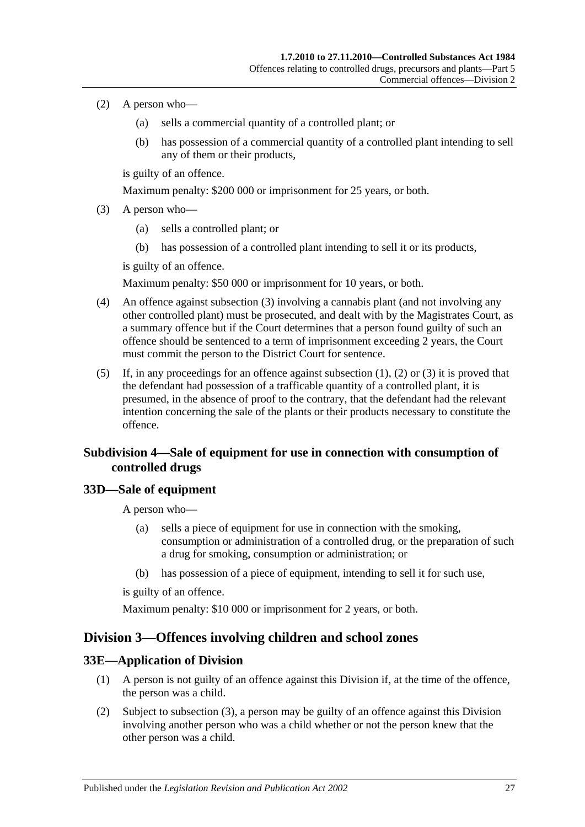- <span id="page-26-5"></span>(2) A person who—
	- (a) sells a commercial quantity of a controlled plant; or
	- (b) has possession of a commercial quantity of a controlled plant intending to sell any of them or their products,

is guilty of an offence.

Maximum penalty: \$200 000 or imprisonment for 25 years, or both.

- <span id="page-26-4"></span>(3) A person who—
	- (a) sells a controlled plant; or
	- (b) has possession of a controlled plant intending to sell it or its products,

is guilty of an offence.

Maximum penalty: \$50 000 or imprisonment for 10 years, or both.

- (4) An offence against [subsection](#page-26-4) (3) involving a cannabis plant (and not involving any other controlled plant) must be prosecuted, and dealt with by the Magistrates Court, as a summary offence but if the Court determines that a person found guilty of such an offence should be sentenced to a term of imprisonment exceeding 2 years, the Court must commit the person to the District Court for sentence.
- (5) If, in any proceedings for an offence against [subsection](#page-25-6) (1), [\(2\)](#page-26-5) or [\(3\)](#page-26-4) it is proved that the defendant had possession of a trafficable quantity of a controlled plant, it is presumed, in the absence of proof to the contrary, that the defendant had the relevant intention concerning the sale of the plants or their products necessary to constitute the offence.

## <span id="page-26-0"></span>**Subdivision 4—Sale of equipment for use in connection with consumption of controlled drugs**

## <span id="page-26-1"></span>**33D—Sale of equipment**

A person who—

- (a) sells a piece of equipment for use in connection with the smoking, consumption or administration of a controlled drug, or the preparation of such a drug for smoking, consumption or administration; or
- (b) has possession of a piece of equipment, intending to sell it for such use,

is guilty of an offence.

Maximum penalty: \$10 000 or imprisonment for 2 years, or both.

## <span id="page-26-2"></span>**Division 3—Offences involving children and school zones**

#### <span id="page-26-3"></span>**33E—Application of Division**

- (1) A person is not guilty of an offence against this Division if, at the time of the offence, the person was a child.
- (2) Subject to [subsection](#page-27-4) (3), a person may be guilty of an offence against this Division involving another person who was a child whether or not the person knew that the other person was a child.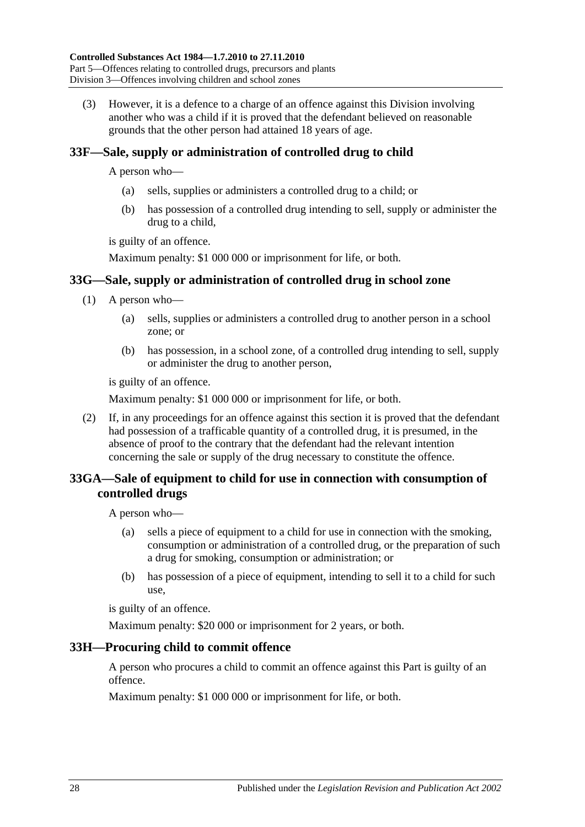<span id="page-27-4"></span>(3) However, it is a defence to a charge of an offence against this Division involving another who was a child if it is proved that the defendant believed on reasonable grounds that the other person had attained 18 years of age.

## <span id="page-27-0"></span>**33F—Sale, supply or administration of controlled drug to child**

A person who—

- (a) sells, supplies or administers a controlled drug to a child; or
- (b) has possession of a controlled drug intending to sell, supply or administer the drug to a child,

is guilty of an offence.

Maximum penalty: \$1 000 000 or imprisonment for life, or both.

## <span id="page-27-1"></span>**33G—Sale, supply or administration of controlled drug in school zone**

- (1) A person who—
	- (a) sells, supplies or administers a controlled drug to another person in a school zone; or
	- (b) has possession, in a school zone, of a controlled drug intending to sell, supply or administer the drug to another person,

is guilty of an offence.

Maximum penalty: \$1 000 000 or imprisonment for life, or both.

(2) If, in any proceedings for an offence against this section it is proved that the defendant had possession of a trafficable quantity of a controlled drug, it is presumed, in the absence of proof to the contrary that the defendant had the relevant intention concerning the sale or supply of the drug necessary to constitute the offence.

## <span id="page-27-2"></span>**33GA—Sale of equipment to child for use in connection with consumption of controlled drugs**

A person who—

- (a) sells a piece of equipment to a child for use in connection with the smoking, consumption or administration of a controlled drug, or the preparation of such a drug for smoking, consumption or administration; or
- (b) has possession of a piece of equipment, intending to sell it to a child for such use,

is guilty of an offence.

Maximum penalty: \$20 000 or imprisonment for 2 years, or both.

## <span id="page-27-3"></span>**33H—Procuring child to commit offence**

A person who procures a child to commit an offence against this Part is guilty of an offence.

Maximum penalty: \$1 000 000 or imprisonment for life, or both.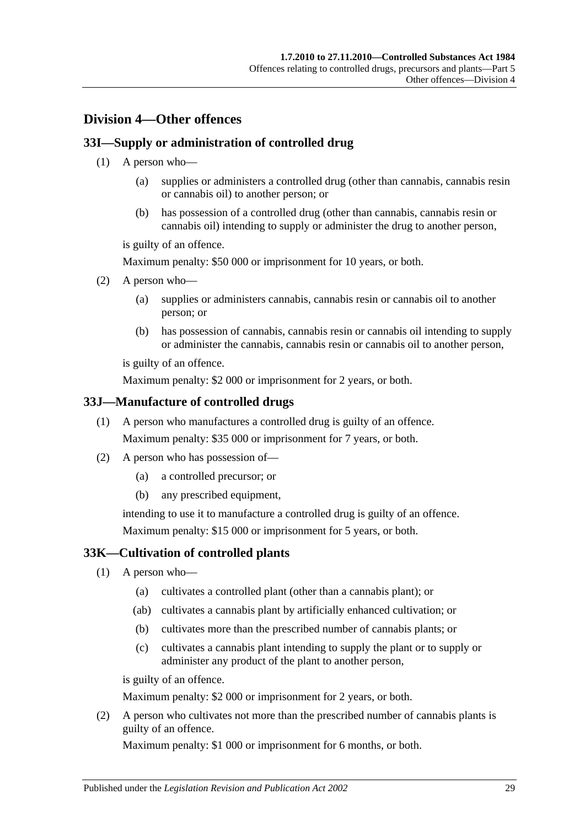# <span id="page-28-0"></span>**Division 4—Other offences**

## <span id="page-28-1"></span>**33I—Supply or administration of controlled drug**

- (1) A person who—
	- (a) supplies or administers a controlled drug (other than cannabis, cannabis resin or cannabis oil) to another person; or
	- (b) has possession of a controlled drug (other than cannabis, cannabis resin or cannabis oil) intending to supply or administer the drug to another person,

is guilty of an offence.

Maximum penalty: \$50 000 or imprisonment for 10 years, or both.

- (2) A person who—
	- (a) supplies or administers cannabis, cannabis resin or cannabis oil to another person; or
	- (b) has possession of cannabis, cannabis resin or cannabis oil intending to supply or administer the cannabis, cannabis resin or cannabis oil to another person,

is guilty of an offence.

Maximum penalty: \$2 000 or imprisonment for 2 years, or both.

## <span id="page-28-2"></span>**33J—Manufacture of controlled drugs**

- (1) A person who manufactures a controlled drug is guilty of an offence. Maximum penalty: \$35 000 or imprisonment for 7 years, or both.
- (2) A person who has possession of—
	- (a) a controlled precursor; or
	- (b) any prescribed equipment,

intending to use it to manufacture a controlled drug is guilty of an offence. Maximum penalty: \$15 000 or imprisonment for 5 years, or both.

## <span id="page-28-3"></span>**33K—Cultivation of controlled plants**

- (1) A person who—
	- (a) cultivates a controlled plant (other than a cannabis plant); or
	- (ab) cultivates a cannabis plant by artificially enhanced cultivation; or
	- (b) cultivates more than the prescribed number of cannabis plants; or
	- (c) cultivates a cannabis plant intending to supply the plant or to supply or administer any product of the plant to another person,

is guilty of an offence.

Maximum penalty: \$2 000 or imprisonment for 2 years, or both.

<span id="page-28-4"></span>(2) A person who cultivates not more than the prescribed number of cannabis plants is guilty of an offence.

Maximum penalty: \$1 000 or imprisonment for 6 months, or both.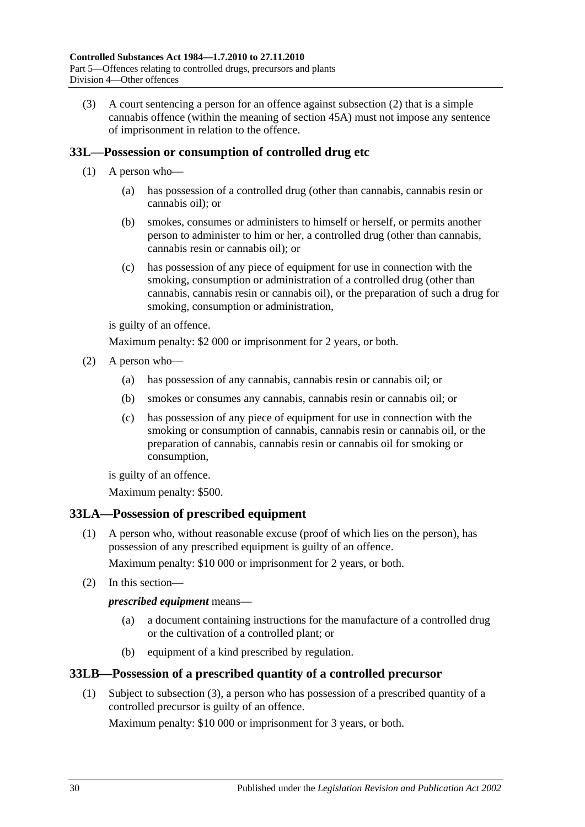(3) A court sentencing a person for an offence against [subsection](#page-28-4) (2) that is a simple cannabis offence (within the meaning of [section](#page-38-1) 45A) must not impose any sentence of imprisonment in relation to the offence.

## <span id="page-29-3"></span><span id="page-29-0"></span>**33L—Possession or consumption of controlled drug etc**

- (1) A person who—
	- (a) has possession of a controlled drug (other than cannabis, cannabis resin or cannabis oil); or
	- (b) smokes, consumes or administers to himself or herself, or permits another person to administer to him or her, a controlled drug (other than cannabis, cannabis resin or cannabis oil); or
	- (c) has possession of any piece of equipment for use in connection with the smoking, consumption or administration of a controlled drug (other than cannabis, cannabis resin or cannabis oil), or the preparation of such a drug for smoking, consumption or administration,

is guilty of an offence.

Maximum penalty: \$2 000 or imprisonment for 2 years, or both.

- <span id="page-29-6"></span><span id="page-29-5"></span><span id="page-29-4"></span>(2) A person who—
	- (a) has possession of any cannabis, cannabis resin or cannabis oil; or
	- (b) smokes or consumes any cannabis, cannabis resin or cannabis oil; or
	- (c) has possession of any piece of equipment for use in connection with the smoking or consumption of cannabis, cannabis resin or cannabis oil, or the preparation of cannabis, cannabis resin or cannabis oil for smoking or consumption,

is guilty of an offence.

Maximum penalty: \$500.

## <span id="page-29-1"></span>**33LA—Possession of prescribed equipment**

(1) A person who, without reasonable excuse (proof of which lies on the person), has possession of any prescribed equipment is guilty of an offence.

Maximum penalty: \$10 000 or imprisonment for 2 years, or both.

(2) In this section—

## *prescribed equipment* means—

- (a) a document containing instructions for the manufacture of a controlled drug or the cultivation of a controlled plant; or
- (b) equipment of a kind prescribed by regulation.

## <span id="page-29-2"></span>**33LB—Possession of a prescribed quantity of a controlled precursor**

(1) Subject to [subsection](#page-30-3) (3), a person who has possession of a prescribed quantity of a controlled precursor is guilty of an offence.

Maximum penalty: \$10 000 or imprisonment for 3 years, or both.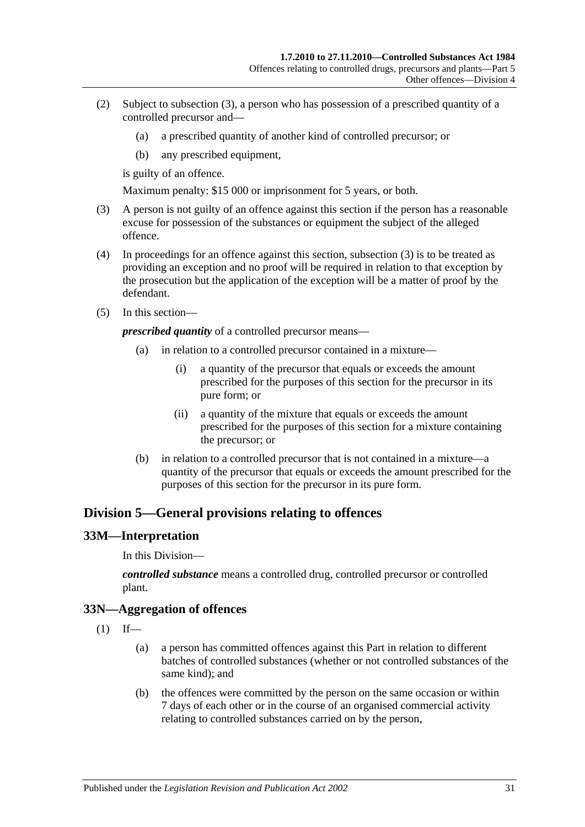- (2) Subject to [subsection](#page-30-3) (3), a person who has possession of a prescribed quantity of a controlled precursor and—
	- (a) a prescribed quantity of another kind of controlled precursor; or
	- (b) any prescribed equipment,

is guilty of an offence.

Maximum penalty: \$15 000 or imprisonment for 5 years, or both.

- <span id="page-30-3"></span>(3) A person is not guilty of an offence against this section if the person has a reasonable excuse for possession of the substances or equipment the subject of the alleged offence.
- (4) In proceedings for an offence against this section, [subsection](#page-30-3) (3) is to be treated as providing an exception and no proof will be required in relation to that exception by the prosecution but the application of the exception will be a matter of proof by the defendant.
- (5) In this section—

*prescribed quantity* of a controlled precursor means—

- (a) in relation to a controlled precursor contained in a mixture—
	- (i) a quantity of the precursor that equals or exceeds the amount prescribed for the purposes of this section for the precursor in its pure form; or
	- (ii) a quantity of the mixture that equals or exceeds the amount prescribed for the purposes of this section for a mixture containing the precursor; or
- (b) in relation to a controlled precursor that is not contained in a mixture—a quantity of the precursor that equals or exceeds the amount prescribed for the purposes of this section for the precursor in its pure form.

## <span id="page-30-0"></span>**Division 5—General provisions relating to offences**

## <span id="page-30-1"></span>**33M—Interpretation**

In this Division—

*controlled substance* means a controlled drug, controlled precursor or controlled plant.

## <span id="page-30-2"></span>**33N—Aggregation of offences**

 $(1)$  If—

- (a) a person has committed offences against this Part in relation to different batches of controlled substances (whether or not controlled substances of the same kind); and
- (b) the offences were committed by the person on the same occasion or within 7 days of each other or in the course of an organised commercial activity relating to controlled substances carried on by the person,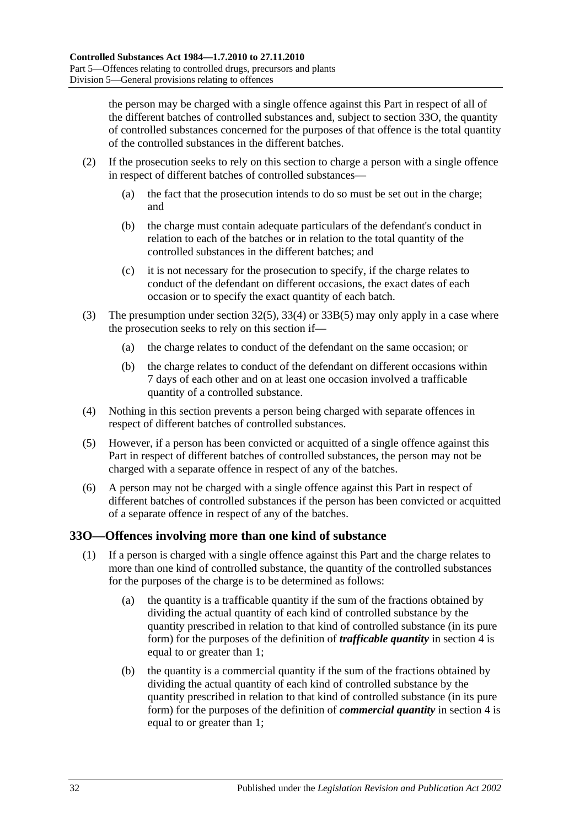the person may be charged with a single offence against this Part in respect of all of the different batches of controlled substances and, subject to [section](#page-31-0) 33O, the quantity of controlled substances concerned for the purposes of that offence is the total quantity of the controlled substances in the different batches.

- (2) If the prosecution seeks to rely on this section to charge a person with a single offence in respect of different batches of controlled substances—
	- (a) the fact that the prosecution intends to do so must be set out in the charge; and
	- (b) the charge must contain adequate particulars of the defendant's conduct in relation to each of the batches or in relation to the total quantity of the controlled substances in the different batches; and
	- (c) it is not necessary for the prosecution to specify, if the charge relates to conduct of the defendant on different occasions, the exact dates of each occasion or to specify the exact quantity of each batch.
- (3) The presumption under [section](#page-23-6) 32(5), [33\(4\)](#page-24-6) or [33B\(5\)](#page-25-7) may only apply in a case where the prosecution seeks to rely on this section if—
	- (a) the charge relates to conduct of the defendant on the same occasion; or
	- (b) the charge relates to conduct of the defendant on different occasions within 7 days of each other and on at least one occasion involved a trafficable quantity of a controlled substance.
- (4) Nothing in this section prevents a person being charged with separate offences in respect of different batches of controlled substances.
- (5) However, if a person has been convicted or acquitted of a single offence against this Part in respect of different batches of controlled substances, the person may not be charged with a separate offence in respect of any of the batches.
- (6) A person may not be charged with a single offence against this Part in respect of different batches of controlled substances if the person has been convicted or acquitted of a separate offence in respect of any of the batches.

## <span id="page-31-0"></span>**33O—Offences involving more than one kind of substance**

- (1) If a person is charged with a single offence against this Part and the charge relates to more than one kind of controlled substance, the quantity of the controlled substances for the purposes of the charge is to be determined as follows:
	- (a) the quantity is a trafficable quantity if the sum of the fractions obtained by dividing the actual quantity of each kind of controlled substance by the quantity prescribed in relation to that kind of controlled substance (in its pure form) for the purposes of the definition of *trafficable quantity* in [section](#page-3-3) 4 is equal to or greater than 1;
	- (b) the quantity is a commercial quantity if the sum of the fractions obtained by dividing the actual quantity of each kind of controlled substance by the quantity prescribed in relation to that kind of controlled substance (in its pure form) for the purposes of the definition of *commercial quantity* in [section](#page-3-3) 4 is equal to or greater than 1;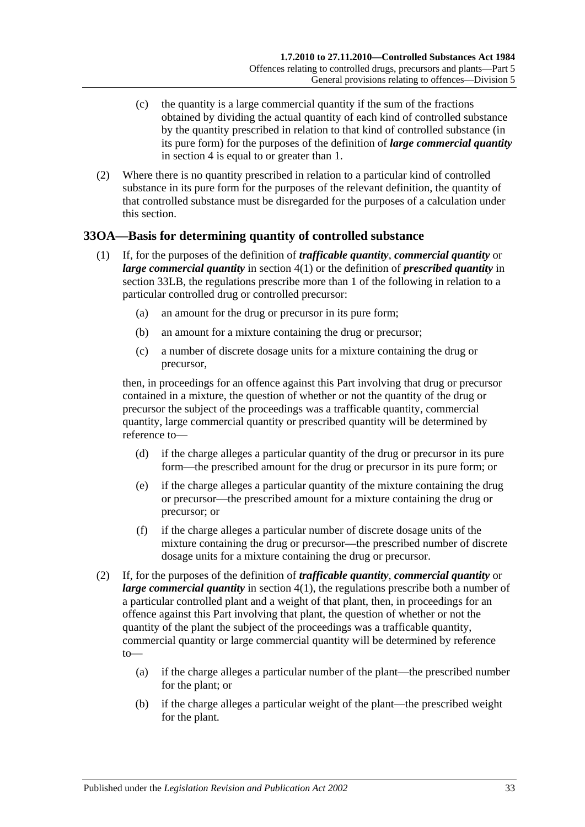- (c) the quantity is a large commercial quantity if the sum of the fractions obtained by dividing the actual quantity of each kind of controlled substance by the quantity prescribed in relation to that kind of controlled substance (in its pure form) for the purposes of the definition of *large commercial quantity* in [section](#page-3-3) 4 is equal to or greater than 1.
- (2) Where there is no quantity prescribed in relation to a particular kind of controlled substance in its pure form for the purposes of the relevant definition, the quantity of that controlled substance must be disregarded for the purposes of a calculation under this section.

## <span id="page-32-0"></span>**33OA—Basis for determining quantity of controlled substance**

- (1) If, for the purposes of the definition of *trafficable quantity*, *commercial quantity* or *large commercial quantity* in [section](#page-3-4) 4(1) or the definition of *prescribed quantity* in [section](#page-29-2) 33LB, the regulations prescribe more than 1 of the following in relation to a particular controlled drug or controlled precursor:
	- (a) an amount for the drug or precursor in its pure form;
	- (b) an amount for a mixture containing the drug or precursor;
	- (c) a number of discrete dosage units for a mixture containing the drug or precursor,

then, in proceedings for an offence against this Part involving that drug or precursor contained in a mixture, the question of whether or not the quantity of the drug or precursor the subject of the proceedings was a trafficable quantity, commercial quantity, large commercial quantity or prescribed quantity will be determined by reference to—

- (d) if the charge alleges a particular quantity of the drug or precursor in its pure form—the prescribed amount for the drug or precursor in its pure form; or
- (e) if the charge alleges a particular quantity of the mixture containing the drug or precursor—the prescribed amount for a mixture containing the drug or precursor; or
- (f) if the charge alleges a particular number of discrete dosage units of the mixture containing the drug or precursor—the prescribed number of discrete dosage units for a mixture containing the drug or precursor.
- (2) If, for the purposes of the definition of *trafficable quantity*, *commercial quantity* or *large commercial quantity* in [section](#page-3-4) 4(1), the regulations prescribe both a number of a particular controlled plant and a weight of that plant, then, in proceedings for an offence against this Part involving that plant, the question of whether or not the quantity of the plant the subject of the proceedings was a trafficable quantity, commercial quantity or large commercial quantity will be determined by reference to—
	- (a) if the charge alleges a particular number of the plant—the prescribed number for the plant; or
	- (b) if the charge alleges a particular weight of the plant—the prescribed weight for the plant.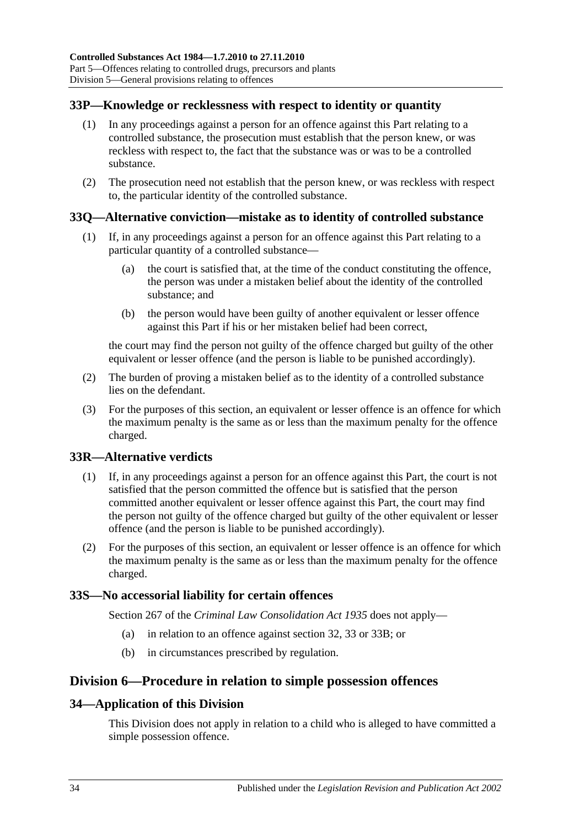## <span id="page-33-0"></span>**33P—Knowledge or recklessness with respect to identity or quantity**

- (1) In any proceedings against a person for an offence against this Part relating to a controlled substance, the prosecution must establish that the person knew, or was reckless with respect to, the fact that the substance was or was to be a controlled substance.
- (2) The prosecution need not establish that the person knew, or was reckless with respect to, the particular identity of the controlled substance.

## <span id="page-33-1"></span>**33Q—Alternative conviction—mistake as to identity of controlled substance**

- (1) If, in any proceedings against a person for an offence against this Part relating to a particular quantity of a controlled substance—
	- (a) the court is satisfied that, at the time of the conduct constituting the offence, the person was under a mistaken belief about the identity of the controlled substance; and
	- (b) the person would have been guilty of another equivalent or lesser offence against this Part if his or her mistaken belief had been correct,

the court may find the person not guilty of the offence charged but guilty of the other equivalent or lesser offence (and the person is liable to be punished accordingly).

- (2) The burden of proving a mistaken belief as to the identity of a controlled substance lies on the defendant.
- (3) For the purposes of this section, an equivalent or lesser offence is an offence for which the maximum penalty is the same as or less than the maximum penalty for the offence charged.

## <span id="page-33-2"></span>**33R—Alternative verdicts**

- (1) If, in any proceedings against a person for an offence against this Part, the court is not satisfied that the person committed the offence but is satisfied that the person committed another equivalent or lesser offence against this Part, the court may find the person not guilty of the offence charged but guilty of the other equivalent or lesser offence (and the person is liable to be punished accordingly).
- (2) For the purposes of this section, an equivalent or lesser offence is an offence for which the maximum penalty is the same as or less than the maximum penalty for the offence charged.

## <span id="page-33-3"></span>**33S—No accessorial liability for certain offences**

Section 267 of the *[Criminal Law Consolidation Act](http://www.legislation.sa.gov.au/index.aspx?action=legref&type=act&legtitle=Criminal%20Law%20Consolidation%20Act%201935) 1935* does not apply—

- (a) in relation to an offence against [section](#page-23-2) 32, [33](#page-24-1) or [33B;](#page-25-1) or
- (b) in circumstances prescribed by regulation.

## <span id="page-33-4"></span>**Division 6—Procedure in relation to simple possession offences**

## <span id="page-33-5"></span>**34—Application of this Division**

This Division does not apply in relation to a child who is alleged to have committed a simple possession offence.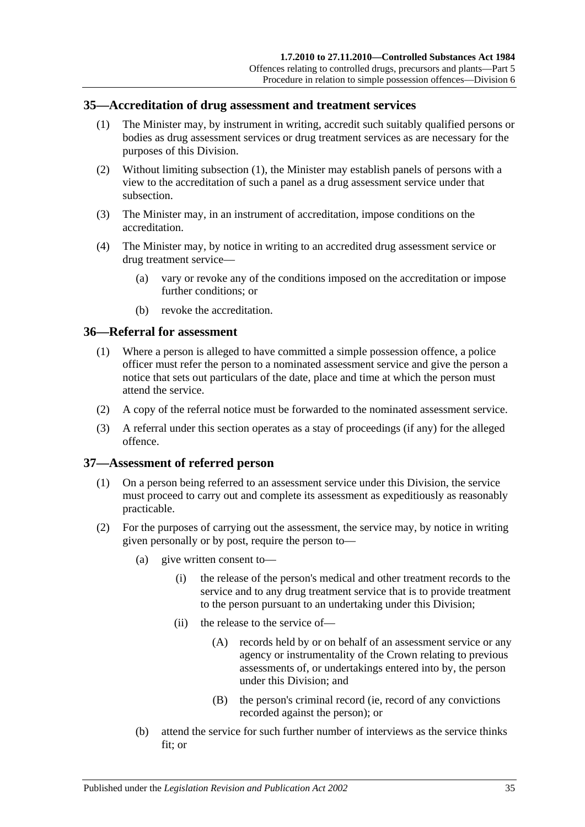#### <span id="page-34-3"></span><span id="page-34-0"></span>**35—Accreditation of drug assessment and treatment services**

- (1) The Minister may, by instrument in writing, accredit such suitably qualified persons or bodies as drug assessment services or drug treatment services as are necessary for the purposes of this Division.
- (2) Without limiting [subsection](#page-34-3) (1), the Minister may establish panels of persons with a view to the accreditation of such a panel as a drug assessment service under that subsection.
- (3) The Minister may, in an instrument of accreditation, impose conditions on the accreditation.
- (4) The Minister may, by notice in writing to an accredited drug assessment service or drug treatment service—
	- (a) vary or revoke any of the conditions imposed on the accreditation or impose further conditions; or
	- (b) revoke the accreditation.

## <span id="page-34-1"></span>**36—Referral for assessment**

- (1) Where a person is alleged to have committed a simple possession offence, a police officer must refer the person to a nominated assessment service and give the person a notice that sets out particulars of the date, place and time at which the person must attend the service.
- (2) A copy of the referral notice must be forwarded to the nominated assessment service.
- (3) A referral under this section operates as a stay of proceedings (if any) for the alleged offence.

## <span id="page-34-2"></span>**37—Assessment of referred person**

- (1) On a person being referred to an assessment service under this Division, the service must proceed to carry out and complete its assessment as expeditiously as reasonably practicable.
- (2) For the purposes of carrying out the assessment, the service may, by notice in writing given personally or by post, require the person to—
	- (a) give written consent to—
		- (i) the release of the person's medical and other treatment records to the service and to any drug treatment service that is to provide treatment to the person pursuant to an undertaking under this Division;
		- (ii) the release to the service of—
			- (A) records held by or on behalf of an assessment service or any agency or instrumentality of the Crown relating to previous assessments of, or undertakings entered into by, the person under this Division; and
			- (B) the person's criminal record (ie, record of any convictions recorded against the person); or
	- (b) attend the service for such further number of interviews as the service thinks fit; or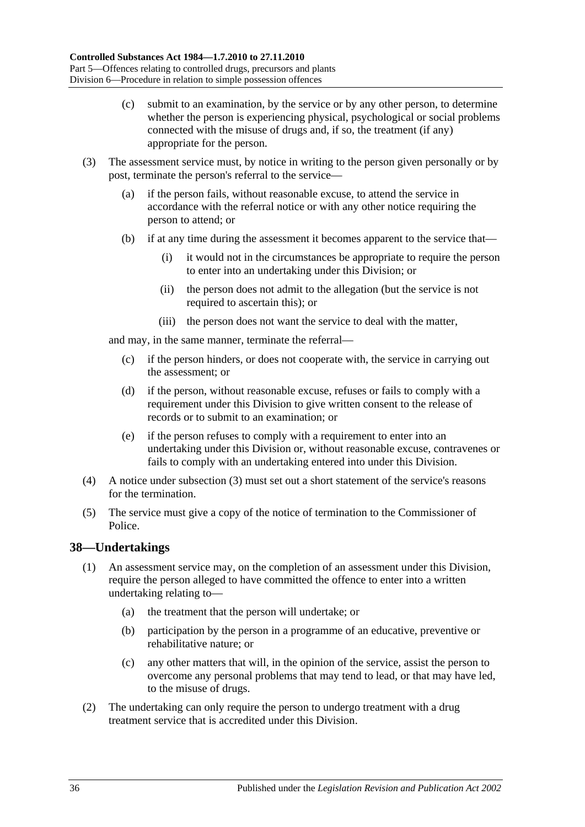- (c) submit to an examination, by the service or by any other person, to determine whether the person is experiencing physical, psychological or social problems connected with the misuse of drugs and, if so, the treatment (if any) appropriate for the person.
- <span id="page-35-1"></span>(3) The assessment service must, by notice in writing to the person given personally or by post, terminate the person's referral to the service—
	- (a) if the person fails, without reasonable excuse, to attend the service in accordance with the referral notice or with any other notice requiring the person to attend; or
	- (b) if at any time during the assessment it becomes apparent to the service that—
		- (i) it would not in the circumstances be appropriate to require the person to enter into an undertaking under this Division; or
		- (ii) the person does not admit to the allegation (but the service is not required to ascertain this); or
		- (iii) the person does not want the service to deal with the matter,

and may, in the same manner, terminate the referral—

- (c) if the person hinders, or does not cooperate with, the service in carrying out the assessment; or
- (d) if the person, without reasonable excuse, refuses or fails to comply with a requirement under this Division to give written consent to the release of records or to submit to an examination; or
- (e) if the person refuses to comply with a requirement to enter into an undertaking under this Division or, without reasonable excuse, contravenes or fails to comply with an undertaking entered into under this Division.
- (4) A notice under [subsection](#page-35-1) (3) must set out a short statement of the service's reasons for the termination.
- (5) The service must give a copy of the notice of termination to the Commissioner of Police.

## <span id="page-35-0"></span>**38—Undertakings**

- (1) An assessment service may, on the completion of an assessment under this Division, require the person alleged to have committed the offence to enter into a written undertaking relating to—
	- (a) the treatment that the person will undertake; or
	- (b) participation by the person in a programme of an educative, preventive or rehabilitative nature; or
	- (c) any other matters that will, in the opinion of the service, assist the person to overcome any personal problems that may tend to lead, or that may have led, to the misuse of drugs.
- (2) The undertaking can only require the person to undergo treatment with a drug treatment service that is accredited under this Division.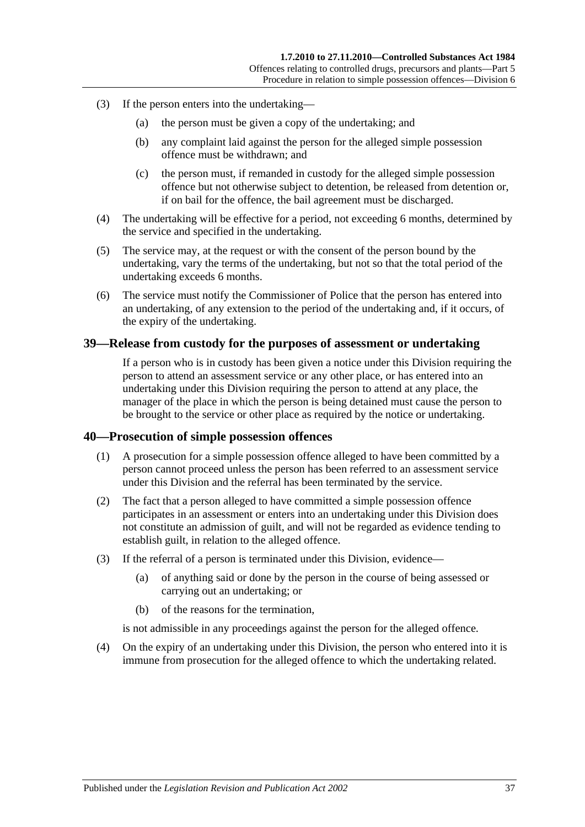- (3) If the person enters into the undertaking—
	- (a) the person must be given a copy of the undertaking; and
	- (b) any complaint laid against the person for the alleged simple possession offence must be withdrawn; and
	- (c) the person must, if remanded in custody for the alleged simple possession offence but not otherwise subject to detention, be released from detention or, if on bail for the offence, the bail agreement must be discharged.
- (4) The undertaking will be effective for a period, not exceeding 6 months, determined by the service and specified in the undertaking.
- (5) The service may, at the request or with the consent of the person bound by the undertaking, vary the terms of the undertaking, but not so that the total period of the undertaking exceeds 6 months.
- (6) The service must notify the Commissioner of Police that the person has entered into an undertaking, of any extension to the period of the undertaking and, if it occurs, of the expiry of the undertaking.

## <span id="page-36-0"></span>**39—Release from custody for the purposes of assessment or undertaking**

If a person who is in custody has been given a notice under this Division requiring the person to attend an assessment service or any other place, or has entered into an undertaking under this Division requiring the person to attend at any place, the manager of the place in which the person is being detained must cause the person to be brought to the service or other place as required by the notice or undertaking.

#### <span id="page-36-1"></span>**40—Prosecution of simple possession offences**

- (1) A prosecution for a simple possession offence alleged to have been committed by a person cannot proceed unless the person has been referred to an assessment service under this Division and the referral has been terminated by the service.
- (2) The fact that a person alleged to have committed a simple possession offence participates in an assessment or enters into an undertaking under this Division does not constitute an admission of guilt, and will not be regarded as evidence tending to establish guilt, in relation to the alleged offence.
- (3) If the referral of a person is terminated under this Division, evidence—
	- (a) of anything said or done by the person in the course of being assessed or carrying out an undertaking; or
	- (b) of the reasons for the termination,

is not admissible in any proceedings against the person for the alleged offence.

(4) On the expiry of an undertaking under this Division, the person who entered into it is immune from prosecution for the alleged offence to which the undertaking related.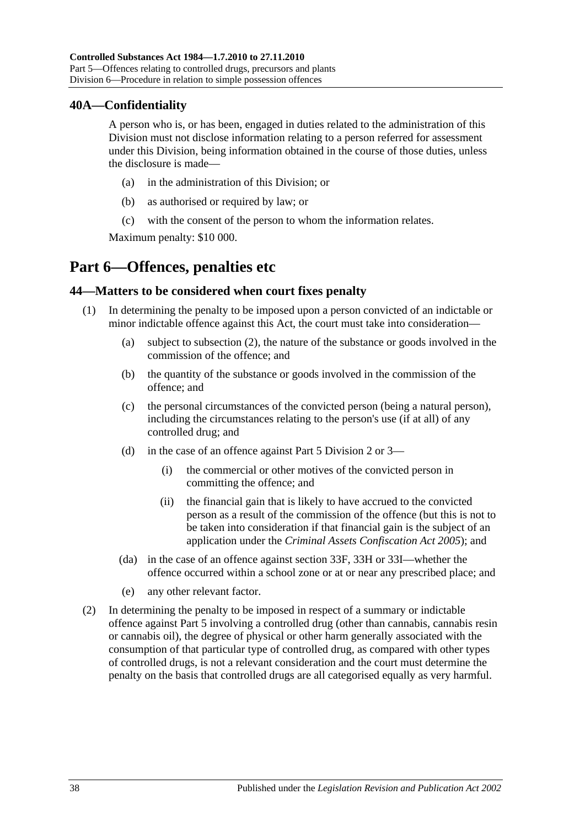## <span id="page-37-0"></span>**40A—Confidentiality**

A person who is, or has been, engaged in duties related to the administration of this Division must not disclose information relating to a person referred for assessment under this Division, being information obtained in the course of those duties, unless the disclosure is made—

- (a) in the administration of this Division; or
- (b) as authorised or required by law; or
- (c) with the consent of the person to whom the information relates.

Maximum penalty: \$10 000.

# <span id="page-37-1"></span>**Part 6—Offences, penalties etc**

## <span id="page-37-2"></span>**44—Matters to be considered when court fixes penalty**

- (1) In determining the penalty to be imposed upon a person convicted of an indictable or minor indictable offence against this Act, the court must take into consideration—
	- (a) subject to [subsection](#page-37-3) (2), the nature of the substance or goods involved in the commission of the offence; and
	- (b) the quantity of the substance or goods involved in the commission of the offence; and
	- (c) the personal circumstances of the convicted person (being a natural person), including the circumstances relating to the person's use (if at all) of any controlled drug; and
	- (d) in the case of an offence against [Part 5 Division 2](#page-23-0) or [3—](#page-26-2)
		- (i) the commercial or other motives of the convicted person in committing the offence; and
		- (ii) the financial gain that is likely to have accrued to the convicted person as a result of the commission of the offence (but this is not to be taken into consideration if that financial gain is the subject of an application under the *[Criminal Assets Confiscation Act](http://www.legislation.sa.gov.au/index.aspx?action=legref&type=act&legtitle=Criminal%20Assets%20Confiscation%20Act%202005) 2005*); and
	- (da) in the case of an offence against [section](#page-27-0) 33F, [33H](#page-27-3) or [33I—](#page-28-1)whether the offence occurred within a school zone or at or near any prescribed place; and
	- (e) any other relevant factor.
- <span id="page-37-3"></span>(2) In determining the penalty to be imposed in respect of a summary or indictable offence against [Part 5](#page-22-0) involving a controlled drug (other than cannabis, cannabis resin or cannabis oil), the degree of physical or other harm generally associated with the consumption of that particular type of controlled drug, as compared with other types of controlled drugs, is not a relevant consideration and the court must determine the penalty on the basis that controlled drugs are all categorised equally as very harmful.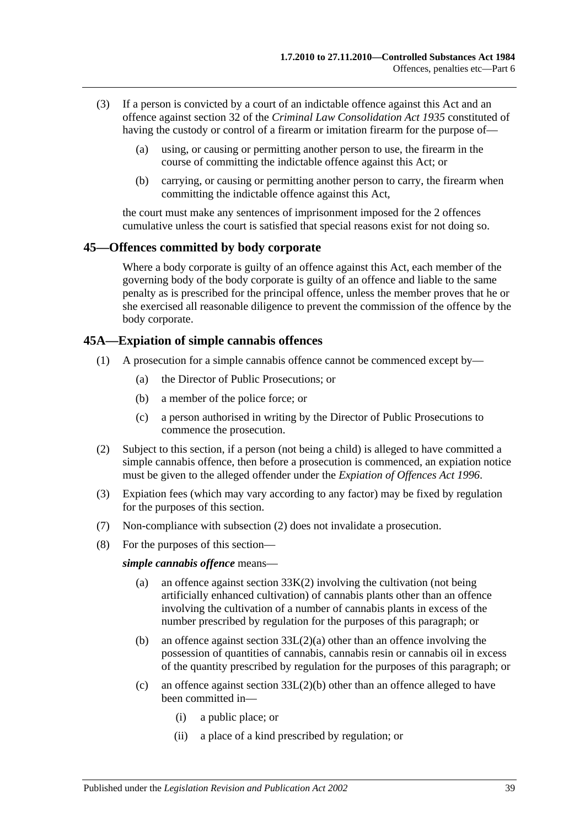- (3) If a person is convicted by a court of an indictable offence against this Act and an offence against section 32 of the *[Criminal Law Consolidation Act](http://www.legislation.sa.gov.au/index.aspx?action=legref&type=act&legtitle=Criminal%20Law%20Consolidation%20Act%201935) 1935* constituted of having the custody or control of a firearm or imitation firearm for the purpose of—
	- (a) using, or causing or permitting another person to use, the firearm in the course of committing the indictable offence against this Act; or
	- (b) carrying, or causing or permitting another person to carry, the firearm when committing the indictable offence against this Act,

the court must make any sentences of imprisonment imposed for the 2 offences cumulative unless the court is satisfied that special reasons exist for not doing so.

#### <span id="page-38-0"></span>**45—Offences committed by body corporate**

Where a body corporate is guilty of an offence against this Act, each member of the governing body of the body corporate is guilty of an offence and liable to the same penalty as is prescribed for the principal offence, unless the member proves that he or she exercised all reasonable diligence to prevent the commission of the offence by the body corporate.

## <span id="page-38-1"></span>**45A—Expiation of simple cannabis offences**

- (1) A prosecution for a simple cannabis offence cannot be commenced except by—
	- (a) the Director of Public Prosecutions; or
	- (b) a member of the police force; or
	- (c) a person authorised in writing by the Director of Public Prosecutions to commence the prosecution.
- <span id="page-38-2"></span>(2) Subject to this section, if a person (not being a child) is alleged to have committed a simple cannabis offence, then before a prosecution is commenced, an expiation notice must be given to the alleged offender under the *[Expiation of Offences Act](http://www.legislation.sa.gov.au/index.aspx?action=legref&type=act&legtitle=Expiation%20of%20Offences%20Act%201996) 1996*.
- (3) Expiation fees (which may vary according to any factor) may be fixed by regulation for the purposes of this section.
- (7) Non-compliance with [subsection](#page-38-2) (2) does not invalidate a prosecution.
- (8) For the purposes of this section—

#### *simple cannabis offence* means—

- (a) an offence against [section](#page-28-4) 33K(2) involving the cultivation (not being artificially enhanced cultivation) of cannabis plants other than an offence involving the cultivation of a number of cannabis plants in excess of the number prescribed by regulation for the purposes of this paragraph; or
- (b) an offence against section [33L\(2\)\(a\)](#page-29-4) other than an offence involving the possession of quantities of cannabis, cannabis resin or cannabis oil in excess of the quantity prescribed by regulation for the purposes of this paragraph; or
- (c) an offence against section [33L\(2\)\(b\)](#page-29-5) other than an offence alleged to have been committed in—
	- (i) a public place; or
	- (ii) a place of a kind prescribed by regulation; or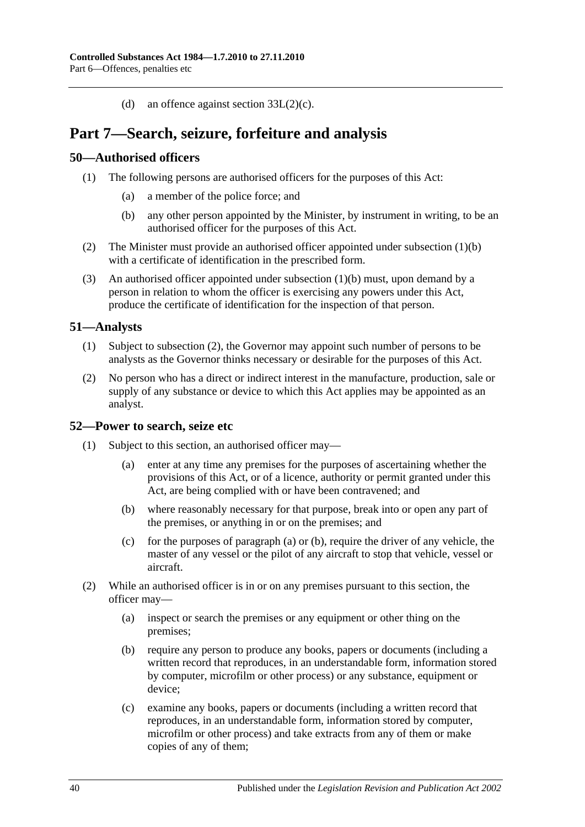(d) an offence against section [33L\(2\)\(c\).](#page-29-6)

# <span id="page-39-0"></span>**Part 7—Search, seizure, forfeiture and analysis**

## <span id="page-39-4"></span><span id="page-39-1"></span>**50—Authorised officers**

- <span id="page-39-5"></span>(1) The following persons are authorised officers for the purposes of this Act:
	- (a) a member of the police force; and
	- (b) any other person appointed by the Minister, by instrument in writing, to be an authorised officer for the purposes of this Act.
- (2) The Minister must provide an authorised officer appointed under [subsection](#page-39-5) (1)(b) with a certificate of identification in the prescribed form.
- (3) An authorised officer appointed under [subsection](#page-39-5) (1)(b) must, upon demand by a person in relation to whom the officer is exercising any powers under this Act, produce the certificate of identification for the inspection of that person.

## <span id="page-39-2"></span>**51—Analysts**

- (1) Subject to [subsection](#page-39-6) (2), the Governor may appoint such number of persons to be analysts as the Governor thinks necessary or desirable for the purposes of this Act.
- <span id="page-39-6"></span>(2) No person who has a direct or indirect interest in the manufacture, production, sale or supply of any substance or device to which this Act applies may be appointed as an analyst.

#### <span id="page-39-3"></span>**52—Power to search, seize etc**

- <span id="page-39-8"></span><span id="page-39-7"></span>(1) Subject to this section, an authorised officer may—
	- (a) enter at any time any premises for the purposes of ascertaining whether the provisions of this Act, or of a licence, authority or permit granted under this Act, are being complied with or have been contravened; and
	- (b) where reasonably necessary for that purpose, break into or open any part of the premises, or anything in or on the premises; and
	- (c) for the purposes of [paragraph](#page-39-7) (a) or [\(b\),](#page-39-8) require the driver of any vehicle, the master of any vessel or the pilot of any aircraft to stop that vehicle, vessel or aircraft.
- (2) While an authorised officer is in or on any premises pursuant to this section, the officer may—
	- (a) inspect or search the premises or any equipment or other thing on the premises;
	- (b) require any person to produce any books, papers or documents (including a written record that reproduces, in an understandable form, information stored by computer, microfilm or other process) or any substance, equipment or device;
	- (c) examine any books, papers or documents (including a written record that reproduces, in an understandable form, information stored by computer, microfilm or other process) and take extracts from any of them or make copies of any of them;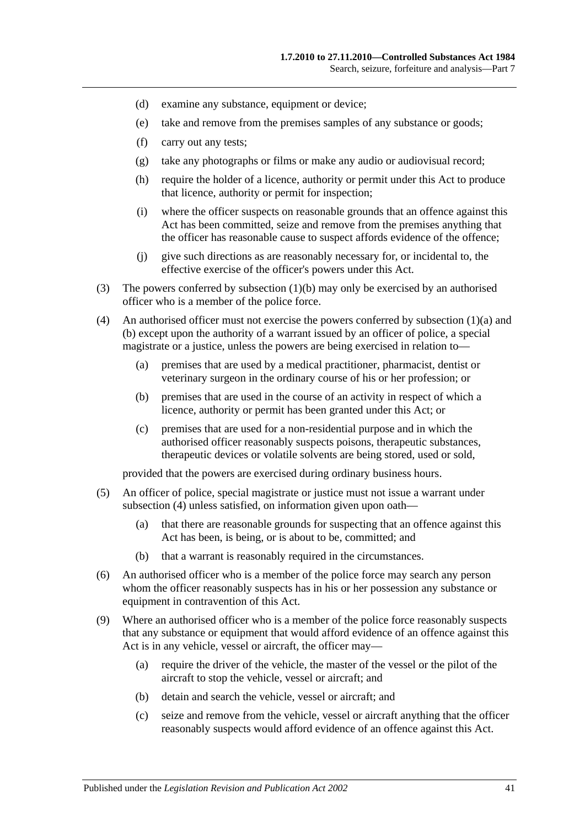- (d) examine any substance, equipment or device;
- (e) take and remove from the premises samples of any substance or goods;
- (f) carry out any tests;
- (g) take any photographs or films or make any audio or audiovisual record;
- (h) require the holder of a licence, authority or permit under this Act to produce that licence, authority or permit for inspection;
- (i) where the officer suspects on reasonable grounds that an offence against this Act has been committed, seize and remove from the premises anything that the officer has reasonable cause to suspect affords evidence of the offence;
- (j) give such directions as are reasonably necessary for, or incidental to, the effective exercise of the officer's powers under this Act.
- (3) The powers conferred by [subsection](#page-39-8) (1)(b) may only be exercised by an authorised officer who is a member of the police force.
- <span id="page-40-0"></span>(4) An authorised officer must not exercise the powers conferred by [subsection](#page-39-7) (1)(a) and [\(b\)](#page-39-8) except upon the authority of a warrant issued by an officer of police, a special magistrate or a justice, unless the powers are being exercised in relation to—
	- (a) premises that are used by a medical practitioner, pharmacist, dentist or veterinary surgeon in the ordinary course of his or her profession; or
	- (b) premises that are used in the course of an activity in respect of which a licence, authority or permit has been granted under this Act; or
	- (c) premises that are used for a non-residential purpose and in which the authorised officer reasonably suspects poisons, therapeutic substances, therapeutic devices or volatile solvents are being stored, used or sold,

provided that the powers are exercised during ordinary business hours.

- (5) An officer of police, special magistrate or justice must not issue a warrant under [subsection](#page-40-0) (4) unless satisfied, on information given upon oath-
	- (a) that there are reasonable grounds for suspecting that an offence against this Act has been, is being, or is about to be, committed; and
	- (b) that a warrant is reasonably required in the circumstances.
- (6) An authorised officer who is a member of the police force may search any person whom the officer reasonably suspects has in his or her possession any substance or equipment in contravention of this Act.
- (9) Where an authorised officer who is a member of the police force reasonably suspects that any substance or equipment that would afford evidence of an offence against this Act is in any vehicle, vessel or aircraft, the officer may—
	- (a) require the driver of the vehicle, the master of the vessel or the pilot of the aircraft to stop the vehicle, vessel or aircraft; and
	- (b) detain and search the vehicle, vessel or aircraft; and
	- (c) seize and remove from the vehicle, vessel or aircraft anything that the officer reasonably suspects would afford evidence of an offence against this Act.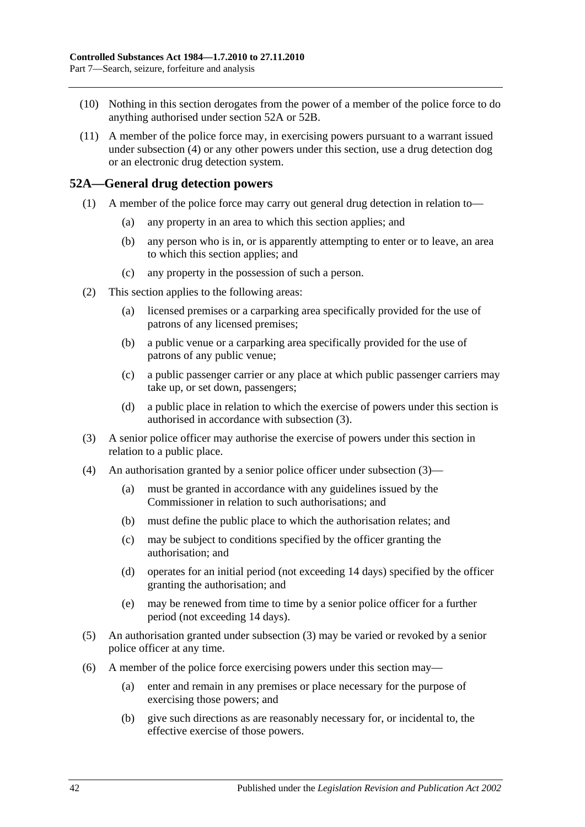- (10) Nothing in this section derogates from the power of a member of the police force to do anything authorised under [section](#page-41-0) 52A or [52B.](#page-42-0)
- (11) A member of the police force may, in exercising powers pursuant to a warrant issued under [subsection](#page-40-0) (4) or any other powers under this section, use a drug detection dog or an electronic drug detection system.

## <span id="page-41-0"></span>**52A—General drug detection powers**

- (1) A member of the police force may carry out general drug detection in relation to—
	- (a) any property in an area to which this section applies; and
	- (b) any person who is in, or is apparently attempting to enter or to leave, an area to which this section applies; and
	- (c) any property in the possession of such a person.
- (2) This section applies to the following areas:
	- (a) licensed premises or a carparking area specifically provided for the use of patrons of any licensed premises;
	- (b) a public venue or a carparking area specifically provided for the use of patrons of any public venue;
	- (c) a public passenger carrier or any place at which public passenger carriers may take up, or set down, passengers;
	- (d) a public place in relation to which the exercise of powers under this section is authorised in accordance with [subsection](#page-41-1) (3).
- <span id="page-41-1"></span>(3) A senior police officer may authorise the exercise of powers under this section in relation to a public place.
- (4) An authorisation granted by a senior police officer under [subsection](#page-41-1) (3)—
	- (a) must be granted in accordance with any guidelines issued by the Commissioner in relation to such authorisations; and
	- (b) must define the public place to which the authorisation relates; and
	- (c) may be subject to conditions specified by the officer granting the authorisation; and
	- (d) operates for an initial period (not exceeding 14 days) specified by the officer granting the authorisation; and
	- (e) may be renewed from time to time by a senior police officer for a further period (not exceeding 14 days).
- (5) An authorisation granted under [subsection](#page-41-1) (3) may be varied or revoked by a senior police officer at any time.
- (6) A member of the police force exercising powers under this section may—
	- (a) enter and remain in any premises or place necessary for the purpose of exercising those powers; and
	- (b) give such directions as are reasonably necessary for, or incidental to, the effective exercise of those powers.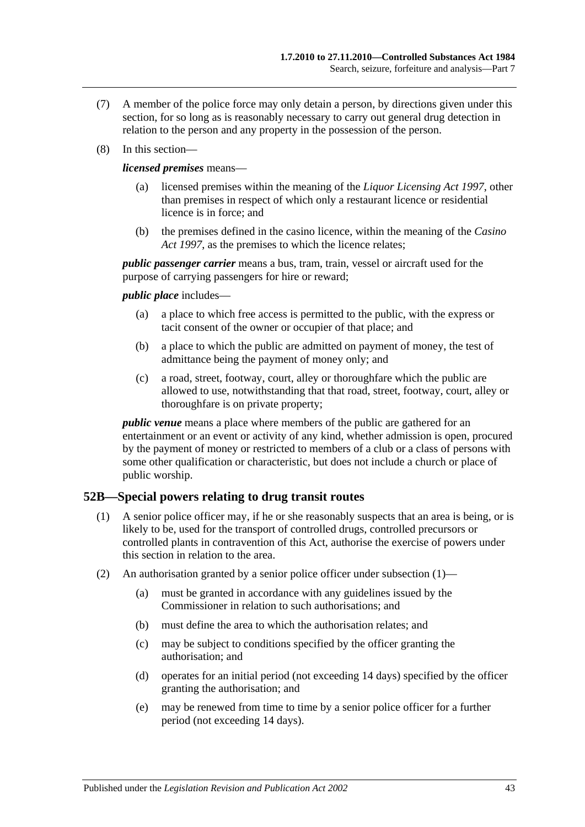- (7) A member of the police force may only detain a person, by directions given under this section, for so long as is reasonably necessary to carry out general drug detection in relation to the person and any property in the possession of the person.
- (8) In this section—

*licensed premises* means—

- (a) licensed premises within the meaning of the *[Liquor Licensing Act](http://www.legislation.sa.gov.au/index.aspx?action=legref&type=act&legtitle=Liquor%20Licensing%20Act%201997) 1997*, other than premises in respect of which only a restaurant licence or residential licence is in force; and
- (b) the premises defined in the casino licence, within the meaning of the *[Casino](http://www.legislation.sa.gov.au/index.aspx?action=legref&type=act&legtitle=Casino%20Act%201997)  Act [1997](http://www.legislation.sa.gov.au/index.aspx?action=legref&type=act&legtitle=Casino%20Act%201997)*, as the premises to which the licence relates;

*public passenger carrier* means a bus, tram, train, vessel or aircraft used for the purpose of carrying passengers for hire or reward;

*public place* includes—

- (a) a place to which free access is permitted to the public, with the express or tacit consent of the owner or occupier of that place; and
- (b) a place to which the public are admitted on payment of money, the test of admittance being the payment of money only; and
- (c) a road, street, footway, court, alley or thoroughfare which the public are allowed to use, notwithstanding that that road, street, footway, court, alley or thoroughfare is on private property;

*public venue* means a place where members of the public are gathered for an entertainment or an event or activity of any kind, whether admission is open, procured by the payment of money or restricted to members of a club or a class of persons with some other qualification or characteristic, but does not include a church or place of public worship.

## <span id="page-42-1"></span><span id="page-42-0"></span>**52B—Special powers relating to drug transit routes**

- (1) A senior police officer may, if he or she reasonably suspects that an area is being, or is likely to be, used for the transport of controlled drugs, controlled precursors or controlled plants in contravention of this Act, authorise the exercise of powers under this section in relation to the area.
- (2) An authorisation granted by a senior police officer under [subsection](#page-42-1) (1)—
	- (a) must be granted in accordance with any guidelines issued by the Commissioner in relation to such authorisations; and
	- (b) must define the area to which the authorisation relates; and
	- (c) may be subject to conditions specified by the officer granting the authorisation; and
	- (d) operates for an initial period (not exceeding 14 days) specified by the officer granting the authorisation; and
	- (e) may be renewed from time to time by a senior police officer for a further period (not exceeding 14 days).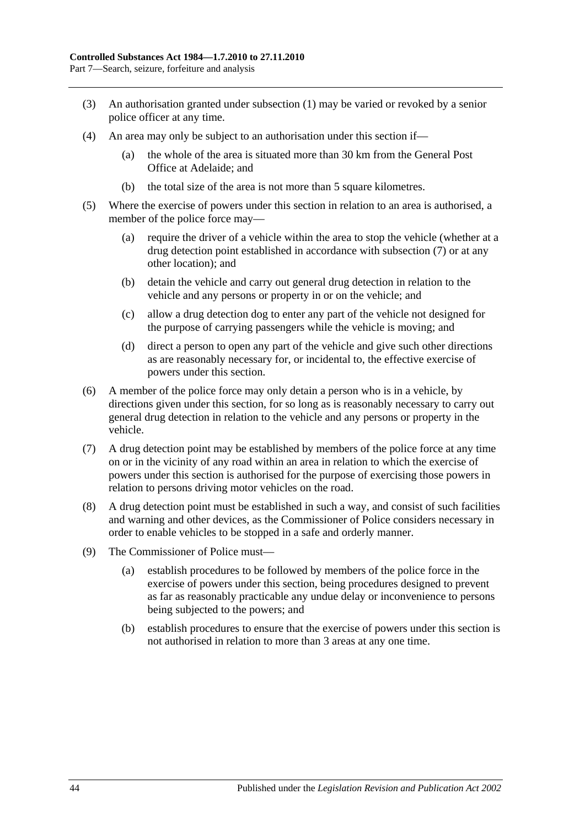- (3) An authorisation granted under [subsection](#page-42-1) (1) may be varied or revoked by a senior police officer at any time.
- (4) An area may only be subject to an authorisation under this section if—
	- (a) the whole of the area is situated more than 30 km from the General Post Office at Adelaide; and
	- (b) the total size of the area is not more than 5 square kilometres.
- (5) Where the exercise of powers under this section in relation to an area is authorised, a member of the police force may—
	- (a) require the driver of a vehicle within the area to stop the vehicle (whether at a drug detection point established in accordance with [subsection](#page-43-0) (7) or at any other location); and
	- (b) detain the vehicle and carry out general drug detection in relation to the vehicle and any persons or property in or on the vehicle; and
	- (c) allow a drug detection dog to enter any part of the vehicle not designed for the purpose of carrying passengers while the vehicle is moving; and
	- (d) direct a person to open any part of the vehicle and give such other directions as are reasonably necessary for, or incidental to, the effective exercise of powers under this section.
- (6) A member of the police force may only detain a person who is in a vehicle, by directions given under this section, for so long as is reasonably necessary to carry out general drug detection in relation to the vehicle and any persons or property in the vehicle.
- <span id="page-43-0"></span>(7) A drug detection point may be established by members of the police force at any time on or in the vicinity of any road within an area in relation to which the exercise of powers under this section is authorised for the purpose of exercising those powers in relation to persons driving motor vehicles on the road.
- (8) A drug detection point must be established in such a way, and consist of such facilities and warning and other devices, as the Commissioner of Police considers necessary in order to enable vehicles to be stopped in a safe and orderly manner.
- (9) The Commissioner of Police must—
	- (a) establish procedures to be followed by members of the police force in the exercise of powers under this section, being procedures designed to prevent as far as reasonably practicable any undue delay or inconvenience to persons being subjected to the powers; and
	- (b) establish procedures to ensure that the exercise of powers under this section is not authorised in relation to more than 3 areas at any one time.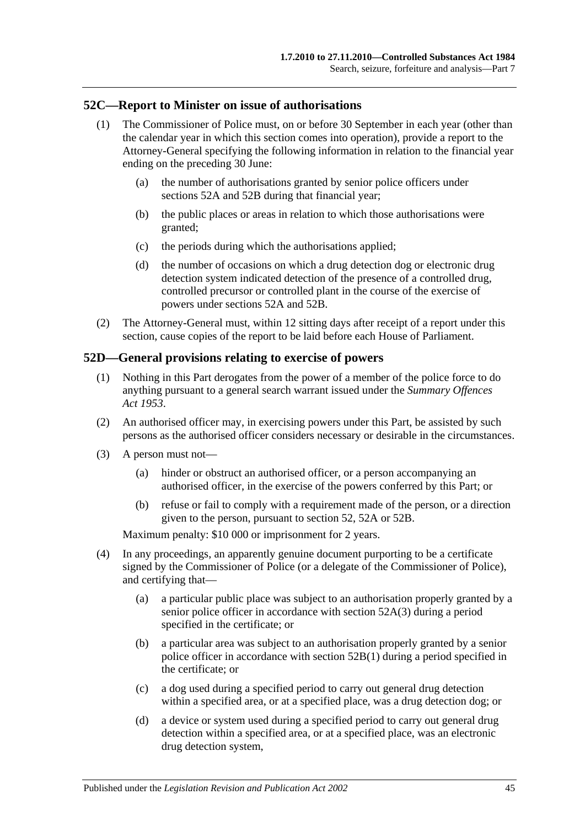## <span id="page-44-0"></span>**52C—Report to Minister on issue of authorisations**

- (1) The Commissioner of Police must, on or before 30 September in each year (other than the calendar year in which this section comes into operation), provide a report to the Attorney-General specifying the following information in relation to the financial year ending on the preceding 30 June:
	- (a) the number of authorisations granted by senior police officers under [sections](#page-41-0) 52A and [52B](#page-42-0) during that financial year;
	- (b) the public places or areas in relation to which those authorisations were granted;
	- (c) the periods during which the authorisations applied;
	- (d) the number of occasions on which a drug detection dog or electronic drug detection system indicated detection of the presence of a controlled drug, controlled precursor or controlled plant in the course of the exercise of powers under [sections](#page-41-0) 52A and [52B.](#page-42-0)
- (2) The Attorney-General must, within 12 sitting days after receipt of a report under this section, cause copies of the report to be laid before each House of Parliament.

## <span id="page-44-1"></span>**52D—General provisions relating to exercise of powers**

- (1) Nothing in this Part derogates from the power of a member of the police force to do anything pursuant to a general search warrant issued under the *[Summary Offences](http://www.legislation.sa.gov.au/index.aspx?action=legref&type=act&legtitle=Summary%20Offences%20Act%201953)  Act [1953](http://www.legislation.sa.gov.au/index.aspx?action=legref&type=act&legtitle=Summary%20Offences%20Act%201953)*.
- (2) An authorised officer may, in exercising powers under this Part, be assisted by such persons as the authorised officer considers necessary or desirable in the circumstances.
- (3) A person must not—
	- (a) hinder or obstruct an authorised officer, or a person accompanying an authorised officer, in the exercise of the powers conferred by this Part; or
	- (b) refuse or fail to comply with a requirement made of the person, or a direction given to the person, pursuant to [section](#page-39-3) 52, [52A](#page-41-0) or [52B.](#page-42-0)

Maximum penalty: \$10 000 or imprisonment for 2 years.

- (4) In any proceedings, an apparently genuine document purporting to be a certificate signed by the Commissioner of Police (or a delegate of the Commissioner of Police), and certifying that—
	- (a) a particular public place was subject to an authorisation properly granted by a senior police officer in accordance with [section](#page-41-1) 52A(3) during a period specified in the certificate; or
	- (b) a particular area was subject to an authorisation properly granted by a senior police officer in accordance with [section](#page-42-1) 52B(1) during a period specified in the certificate; or
	- (c) a dog used during a specified period to carry out general drug detection within a specified area, or at a specified place, was a drug detection dog; or
	- (d) a device or system used during a specified period to carry out general drug detection within a specified area, or at a specified place, was an electronic drug detection system,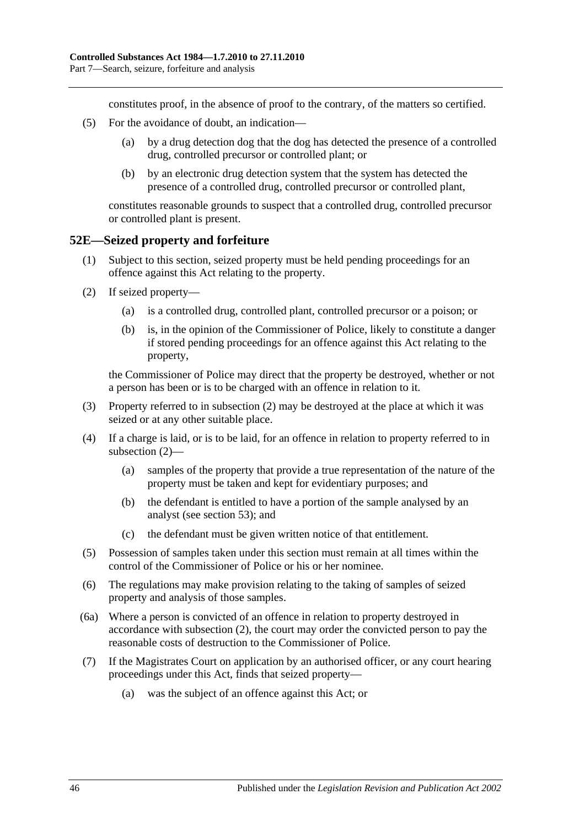constitutes proof, in the absence of proof to the contrary, of the matters so certified.

- (5) For the avoidance of doubt, an indication—
	- (a) by a drug detection dog that the dog has detected the presence of a controlled drug, controlled precursor or controlled plant; or
	- (b) by an electronic drug detection system that the system has detected the presence of a controlled drug, controlled precursor or controlled plant,

constitutes reasonable grounds to suspect that a controlled drug, controlled precursor or controlled plant is present.

## <span id="page-45-0"></span>**52E—Seized property and forfeiture**

- (1) Subject to this section, seized property must be held pending proceedings for an offence against this Act relating to the property.
- <span id="page-45-1"></span>(2) If seized property—
	- (a) is a controlled drug, controlled plant, controlled precursor or a poison; or
	- (b) is, in the opinion of the Commissioner of Police, likely to constitute a danger if stored pending proceedings for an offence against this Act relating to the property,

the Commissioner of Police may direct that the property be destroyed, whether or not a person has been or is to be charged with an offence in relation to it.

- (3) Property referred to in [subsection](#page-45-1) (2) may be destroyed at the place at which it was seized or at any other suitable place.
- (4) If a charge is laid, or is to be laid, for an offence in relation to property referred to in [subsection](#page-45-1) (2)—
	- (a) samples of the property that provide a true representation of the nature of the property must be taken and kept for evidentiary purposes; and
	- (b) the defendant is entitled to have a portion of the sample analysed by an analyst (see [section](#page-46-0) 53); and
	- (c) the defendant must be given written notice of that entitlement.
- (5) Possession of samples taken under this section must remain at all times within the control of the Commissioner of Police or his or her nominee.
- (6) The regulations may make provision relating to the taking of samples of seized property and analysis of those samples.
- (6a) Where a person is convicted of an offence in relation to property destroyed in accordance with [subsection](#page-45-1) (2), the court may order the convicted person to pay the reasonable costs of destruction to the Commissioner of Police.
- <span id="page-45-2"></span>(7) If the Magistrates Court on application by an authorised officer, or any court hearing proceedings under this Act, finds that seized property—
	- (a) was the subject of an offence against this Act; or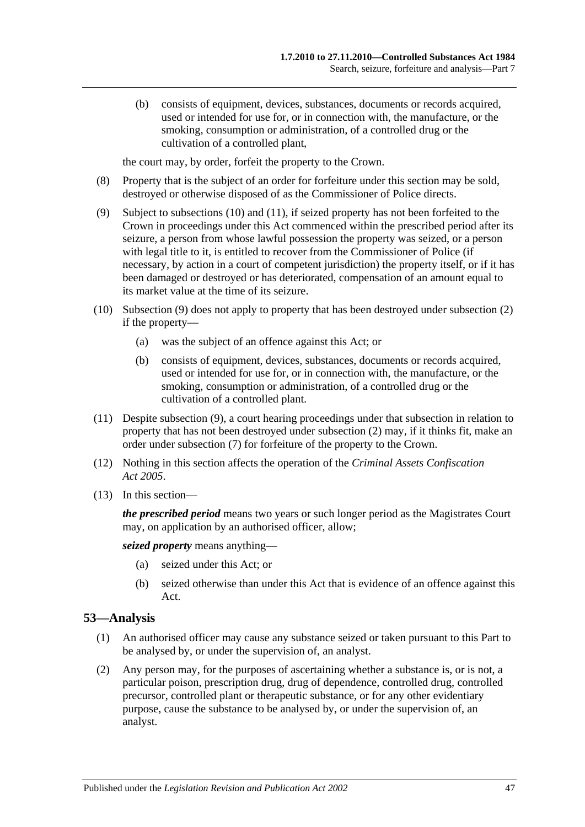(b) consists of equipment, devices, substances, documents or records acquired, used or intended for use for, or in connection with, the manufacture, or the smoking, consumption or administration, of a controlled drug or the cultivation of a controlled plant,

the court may, by order, forfeit the property to the Crown.

- (8) Property that is the subject of an order for forfeiture under this section may be sold, destroyed or otherwise disposed of as the Commissioner of Police directs.
- <span id="page-46-3"></span>(9) Subject to [subsections](#page-46-1) (10) and [\(11\),](#page-46-2) if seized property has not been forfeited to the Crown in proceedings under this Act commenced within the prescribed period after its seizure, a person from whose lawful possession the property was seized, or a person with legal title to it, is entitled to recover from the Commissioner of Police (if necessary, by action in a court of competent jurisdiction) the property itself, or if it has been damaged or destroyed or has deteriorated, compensation of an amount equal to its market value at the time of its seizure.
- <span id="page-46-1"></span>(10) [Subsection](#page-46-3) (9) does not apply to property that has been destroyed under [subsection](#page-45-1) (2) if the property—
	- (a) was the subject of an offence against this Act; or
	- (b) consists of equipment, devices, substances, documents or records acquired, used or intended for use for, or in connection with, the manufacture, or the smoking, consumption or administration, of a controlled drug or the cultivation of a controlled plant.
- <span id="page-46-2"></span>(11) Despite [subsection](#page-46-3) (9), a court hearing proceedings under that subsection in relation to property that has not been destroyed under [subsection](#page-45-1) (2) may, if it thinks fit, make an order under [subsection](#page-45-2) (7) for forfeiture of the property to the Crown.
- (12) Nothing in this section affects the operation of the *[Criminal Assets Confiscation](http://www.legislation.sa.gov.au/index.aspx?action=legref&type=act&legtitle=Criminal%20Assets%20Confiscation%20Act%202005)  Act [2005](http://www.legislation.sa.gov.au/index.aspx?action=legref&type=act&legtitle=Criminal%20Assets%20Confiscation%20Act%202005)*.
- (13) In this section—

*the prescribed period* means two years or such longer period as the Magistrates Court may, on application by an authorised officer, allow;

*seized property* means anything—

- (a) seized under this Act; or
- (b) seized otherwise than under this Act that is evidence of an offence against this Act.

## <span id="page-46-0"></span>**53—Analysis**

- (1) An authorised officer may cause any substance seized or taken pursuant to this Part to be analysed by, or under the supervision of, an analyst.
- <span id="page-46-4"></span>(2) Any person may, for the purposes of ascertaining whether a substance is, or is not, a particular poison, prescription drug, drug of dependence, controlled drug, controlled precursor, controlled plant or therapeutic substance, or for any other evidentiary purpose, cause the substance to be analysed by, or under the supervision of, an analyst.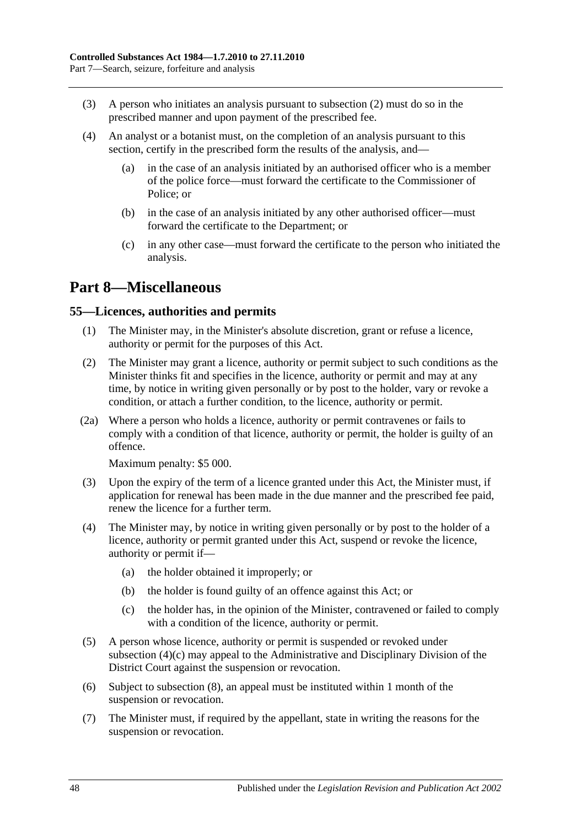- (3) A person who initiates an analysis pursuant to [subsection](#page-46-4) (2) must do so in the prescribed manner and upon payment of the prescribed fee.
- (4) An analyst or a botanist must, on the completion of an analysis pursuant to this section, certify in the prescribed form the results of the analysis, and
	- in the case of an analysis initiated by an authorised officer who is a member of the police force—must forward the certificate to the Commissioner of Police; or
	- (b) in the case of an analysis initiated by any other authorised officer—must forward the certificate to the Department; or
	- (c) in any other case—must forward the certificate to the person who initiated the analysis.

# <span id="page-47-0"></span>**Part 8—Miscellaneous**

## <span id="page-47-1"></span>**55—Licences, authorities and permits**

- (1) The Minister may, in the Minister's absolute discretion, grant or refuse a licence, authority or permit for the purposes of this Act.
- (2) The Minister may grant a licence, authority or permit subject to such conditions as the Minister thinks fit and specifies in the licence, authority or permit and may at any time, by notice in writing given personally or by post to the holder, vary or revoke a condition, or attach a further condition, to the licence, authority or permit.
- (2a) Where a person who holds a licence, authority or permit contravenes or fails to comply with a condition of that licence, authority or permit, the holder is guilty of an offence.

Maximum penalty: \$5 000.

- (3) Upon the expiry of the term of a licence granted under this Act, the Minister must, if application for renewal has been made in the due manner and the prescribed fee paid, renew the licence for a further term.
- (4) The Minister may, by notice in writing given personally or by post to the holder of a licence, authority or permit granted under this Act, suspend or revoke the licence, authority or permit if—
	- (a) the holder obtained it improperly; or
	- (b) the holder is found guilty of an offence against this Act; or
	- (c) the holder has, in the opinion of the Minister, contravened or failed to comply with a condition of the licence, authority or permit.
- <span id="page-47-2"></span>(5) A person whose licence, authority or permit is suspended or revoked under [subsection](#page-47-2) (4)(c) may appeal to the Administrative and Disciplinary Division of the District Court against the suspension or revocation.
- (6) Subject to [subsection](#page-48-2) (8), an appeal must be instituted within 1 month of the suspension or revocation.
- (7) The Minister must, if required by the appellant, state in writing the reasons for the suspension or revocation.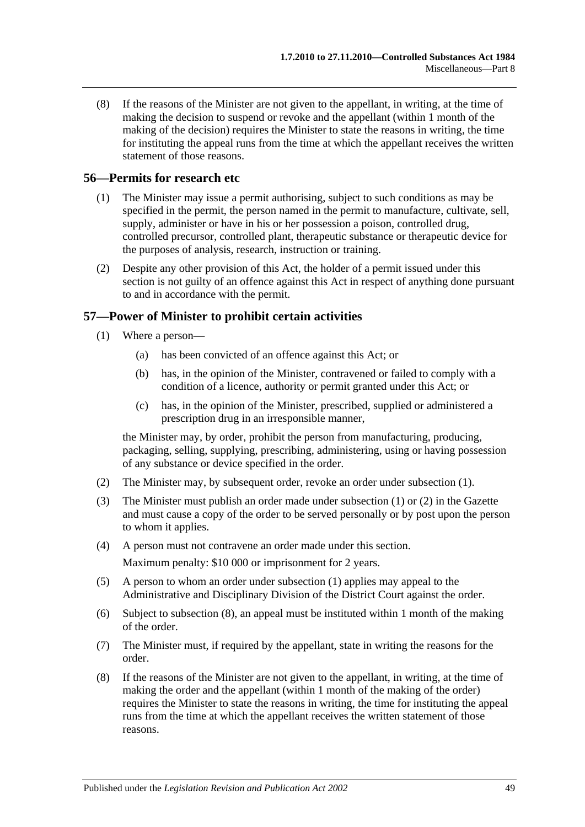<span id="page-48-2"></span>(8) If the reasons of the Minister are not given to the appellant, in writing, at the time of making the decision to suspend or revoke and the appellant (within 1 month of the making of the decision) requires the Minister to state the reasons in writing, the time for instituting the appeal runs from the time at which the appellant receives the written statement of those reasons.

## <span id="page-48-0"></span>**56—Permits for research etc**

- (1) The Minister may issue a permit authorising, subject to such conditions as may be specified in the permit, the person named in the permit to manufacture, cultivate, sell, supply, administer or have in his or her possession a poison, controlled drug, controlled precursor, controlled plant, therapeutic substance or therapeutic device for the purposes of analysis, research, instruction or training.
- (2) Despite any other provision of this Act, the holder of a permit issued under this section is not guilty of an offence against this Act in respect of anything done pursuant to and in accordance with the permit.

## <span id="page-48-3"></span><span id="page-48-1"></span>**57—Power of Minister to prohibit certain activities**

- (1) Where a person—
	- (a) has been convicted of an offence against this Act; or
	- (b) has, in the opinion of the Minister, contravened or failed to comply with a condition of a licence, authority or permit granted under this Act; or
	- (c) has, in the opinion of the Minister, prescribed, supplied or administered a prescription drug in an irresponsible manner,

the Minister may, by order, prohibit the person from manufacturing, producing, packaging, selling, supplying, prescribing, administering, using or having possession of any substance or device specified in the order.

- <span id="page-48-4"></span>(2) The Minister may, by subsequent order, revoke an order under [subsection](#page-48-3) (1).
- (3) The Minister must publish an order made under [subsection](#page-48-3) (1) or [\(2\)](#page-48-4) in the Gazette and must cause a copy of the order to be served personally or by post upon the person to whom it applies.
- (4) A person must not contravene an order made under this section.

Maximum penalty: \$10 000 or imprisonment for 2 years.

- (5) A person to whom an order under [subsection](#page-48-3) (1) applies may appeal to the Administrative and Disciplinary Division of the District Court against the order.
- (6) Subject to [subsection](#page-48-5) (8), an appeal must be instituted within 1 month of the making of the order.
- (7) The Minister must, if required by the appellant, state in writing the reasons for the order.
- <span id="page-48-5"></span>(8) If the reasons of the Minister are not given to the appellant, in writing, at the time of making the order and the appellant (within 1 month of the making of the order) requires the Minister to state the reasons in writing, the time for instituting the appeal runs from the time at which the appellant receives the written statement of those reasons.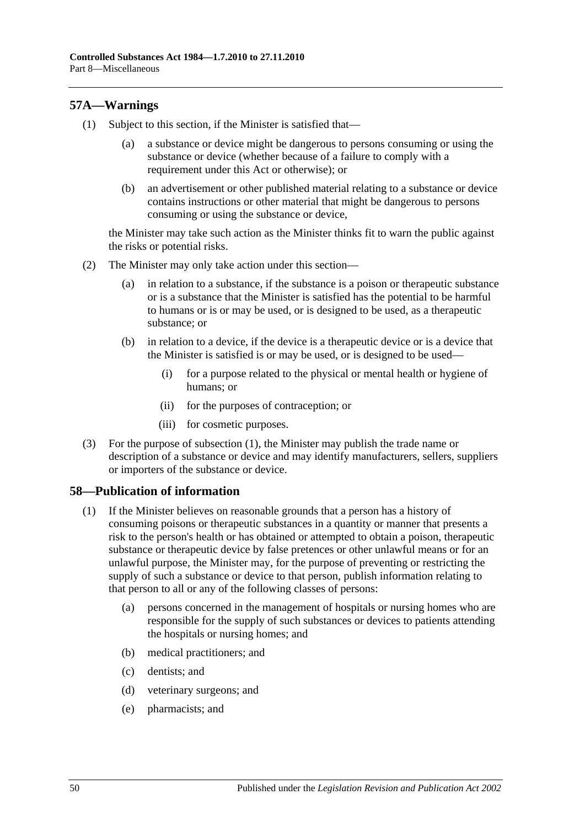## <span id="page-49-2"></span><span id="page-49-0"></span>**57A—Warnings**

- (1) Subject to this section, if the Minister is satisfied that—
	- (a) a substance or device might be dangerous to persons consuming or using the substance or device (whether because of a failure to comply with a requirement under this Act or otherwise); or
	- (b) an advertisement or other published material relating to a substance or device contains instructions or other material that might be dangerous to persons consuming or using the substance or device,

the Minister may take such action as the Minister thinks fit to warn the public against the risks or potential risks.

- (2) The Minister may only take action under this section—
	- (a) in relation to a substance, if the substance is a poison or therapeutic substance or is a substance that the Minister is satisfied has the potential to be harmful to humans or is or may be used, or is designed to be used, as a therapeutic substance; or
	- (b) in relation to a device, if the device is a therapeutic device or is a device that the Minister is satisfied is or may be used, or is designed to be used—
		- (i) for a purpose related to the physical or mental health or hygiene of humans; or
		- (ii) for the purposes of contraception; or
		- (iii) for cosmetic purposes.
- (3) For the purpose of [subsection](#page-49-2) (1), the Minister may publish the trade name or description of a substance or device and may identify manufacturers, sellers, suppliers or importers of the substance or device.

## <span id="page-49-3"></span><span id="page-49-1"></span>**58—Publication of information**

- (1) If the Minister believes on reasonable grounds that a person has a history of consuming poisons or therapeutic substances in a quantity or manner that presents a risk to the person's health or has obtained or attempted to obtain a poison, therapeutic substance or therapeutic device by false pretences or other unlawful means or for an unlawful purpose, the Minister may, for the purpose of preventing or restricting the supply of such a substance or device to that person, publish information relating to that person to all or any of the following classes of persons:
	- (a) persons concerned in the management of hospitals or nursing homes who are responsible for the supply of such substances or devices to patients attending the hospitals or nursing homes; and
	- (b) medical practitioners; and
	- (c) dentists; and
	- (d) veterinary surgeons; and
	- (e) pharmacists; and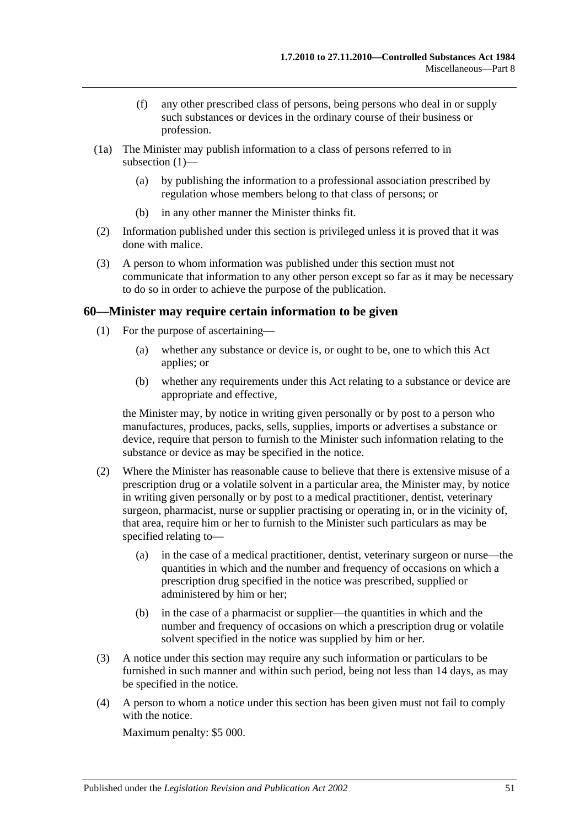- (f) any other prescribed class of persons, being persons who deal in or supply such substances or devices in the ordinary course of their business or profession.
- (1a) The Minister may publish information to a class of persons referred to in [subsection](#page-49-3) (1)—
	- (a) by publishing the information to a professional association prescribed by regulation whose members belong to that class of persons; or
	- (b) in any other manner the Minister thinks fit.
- (2) Information published under this section is privileged unless it is proved that it was done with malice.
- (3) A person to whom information was published under this section must not communicate that information to any other person except so far as it may be necessary to do so in order to achieve the purpose of the publication.

## <span id="page-50-0"></span>**60—Minister may require certain information to be given**

- (1) For the purpose of ascertaining—
	- (a) whether any substance or device is, or ought to be, one to which this Act applies; or
	- (b) whether any requirements under this Act relating to a substance or device are appropriate and effective,

the Minister may, by notice in writing given personally or by post to a person who manufactures, produces, packs, sells, supplies, imports or advertises a substance or device, require that person to furnish to the Minister such information relating to the substance or device as may be specified in the notice.

- (2) Where the Minister has reasonable cause to believe that there is extensive misuse of a prescription drug or a volatile solvent in a particular area, the Minister may, by notice in writing given personally or by post to a medical practitioner, dentist, veterinary surgeon, pharmacist, nurse or supplier practising or operating in, or in the vicinity of, that area, require him or her to furnish to the Minister such particulars as may be specified relating to—
	- (a) in the case of a medical practitioner, dentist, veterinary surgeon or nurse—the quantities in which and the number and frequency of occasions on which a prescription drug specified in the notice was prescribed, supplied or administered by him or her;
	- (b) in the case of a pharmacist or supplier—the quantities in which and the number and frequency of occasions on which a prescription drug or volatile solvent specified in the notice was supplied by him or her.
- (3) A notice under this section may require any such information or particulars to be furnished in such manner and within such period, being not less than 14 days, as may be specified in the notice.
- (4) A person to whom a notice under this section has been given must not fail to comply with the notice.

Maximum penalty: \$5 000.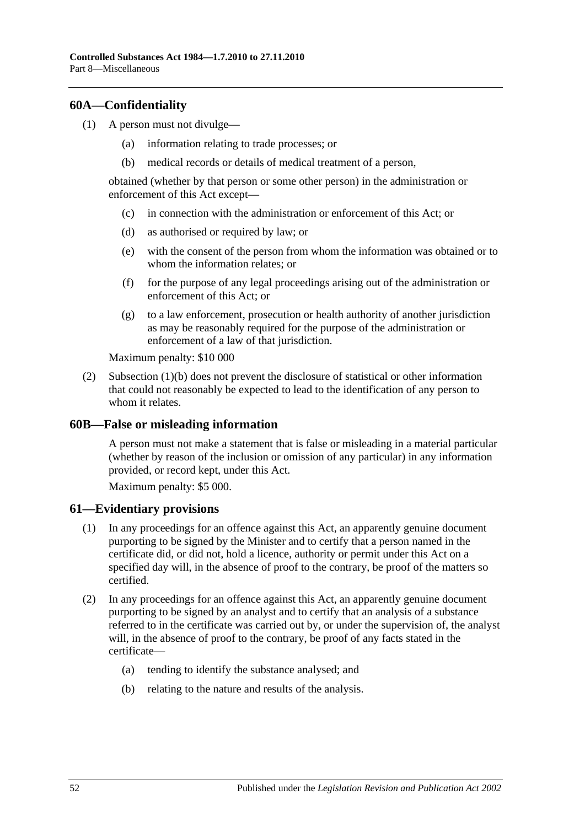## <span id="page-51-0"></span>**60A—Confidentiality**

- <span id="page-51-3"></span>(1) A person must not divulge—
	- (a) information relating to trade processes; or
	- (b) medical records or details of medical treatment of a person,

obtained (whether by that person or some other person) in the administration or enforcement of this Act except—

- (c) in connection with the administration or enforcement of this Act; or
- (d) as authorised or required by law; or
- (e) with the consent of the person from whom the information was obtained or to whom the information relates; or
- (f) for the purpose of any legal proceedings arising out of the administration or enforcement of this Act; or
- (g) to a law enforcement, prosecution or health authority of another jurisdiction as may be reasonably required for the purpose of the administration or enforcement of a law of that jurisdiction.

Maximum penalty: \$10 000

(2) [Subsection](#page-51-3) (1)(b) does not prevent the disclosure of statistical or other information that could not reasonably be expected to lead to the identification of any person to whom it relates.

#### <span id="page-51-1"></span>**60B—False or misleading information**

A person must not make a statement that is false or misleading in a material particular (whether by reason of the inclusion or omission of any particular) in any information provided, or record kept, under this Act.

Maximum penalty: \$5 000.

#### <span id="page-51-2"></span>**61—Evidentiary provisions**

- (1) In any proceedings for an offence against this Act, an apparently genuine document purporting to be signed by the Minister and to certify that a person named in the certificate did, or did not, hold a licence, authority or permit under this Act on a specified day will, in the absence of proof to the contrary, be proof of the matters so certified.
- (2) In any proceedings for an offence against this Act, an apparently genuine document purporting to be signed by an analyst and to certify that an analysis of a substance referred to in the certificate was carried out by, or under the supervision of, the analyst will, in the absence of proof to the contrary, be proof of any facts stated in the certificate—
	- (a) tending to identify the substance analysed; and
	- (b) relating to the nature and results of the analysis.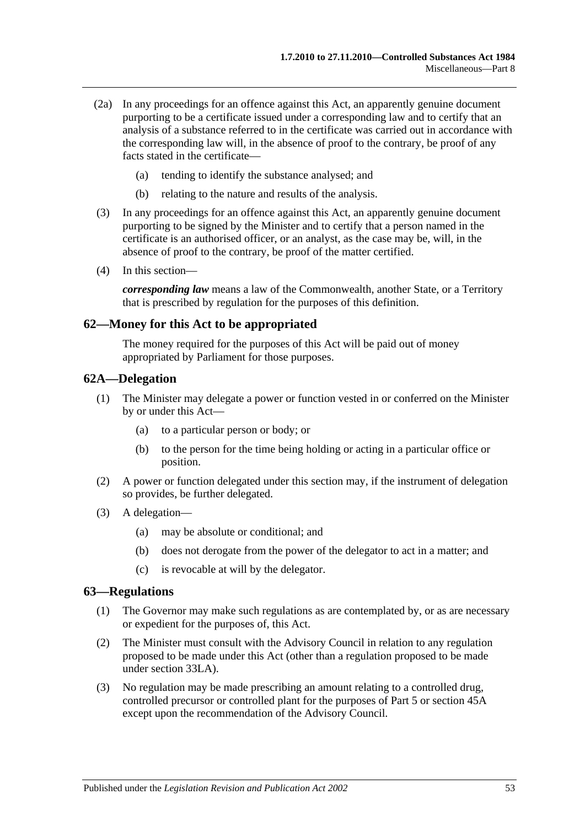- (2a) In any proceedings for an offence against this Act, an apparently genuine document purporting to be a certificate issued under a corresponding law and to certify that an analysis of a substance referred to in the certificate was carried out in accordance with the corresponding law will, in the absence of proof to the contrary, be proof of any facts stated in the certificate—
	- (a) tending to identify the substance analysed; and
	- (b) relating to the nature and results of the analysis.
- (3) In any proceedings for an offence against this Act, an apparently genuine document purporting to be signed by the Minister and to certify that a person named in the certificate is an authorised officer, or an analyst, as the case may be, will, in the absence of proof to the contrary, be proof of the matter certified.
- (4) In this section—

*corresponding law* means a law of the Commonwealth, another State, or a Territory that is prescribed by regulation for the purposes of this definition.

#### <span id="page-52-0"></span>**62—Money for this Act to be appropriated**

The money required for the purposes of this Act will be paid out of money appropriated by Parliament for those purposes.

## <span id="page-52-1"></span>**62A—Delegation**

- (1) The Minister may delegate a power or function vested in or conferred on the Minister by or under this Act—
	- (a) to a particular person or body; or
	- (b) to the person for the time being holding or acting in a particular office or position.
- (2) A power or function delegated under this section may, if the instrument of delegation so provides, be further delegated.
- (3) A delegation—
	- (a) may be absolute or conditional; and
	- (b) does not derogate from the power of the delegator to act in a matter; and
	- (c) is revocable at will by the delegator.

#### <span id="page-52-3"></span><span id="page-52-2"></span>**63—Regulations**

- (1) The Governor may make such regulations as are contemplated by, or as are necessary or expedient for the purposes of, this Act.
- (2) The Minister must consult with the Advisory Council in relation to any regulation proposed to be made under this Act (other than a regulation proposed to be made under [section](#page-29-1) 33LA).
- (3) No regulation may be made prescribing an amount relating to a controlled drug, controlled precursor or controlled plant for the purposes of [Part 5](#page-22-0) or [section](#page-38-1) 45A except upon the recommendation of the Advisory Council.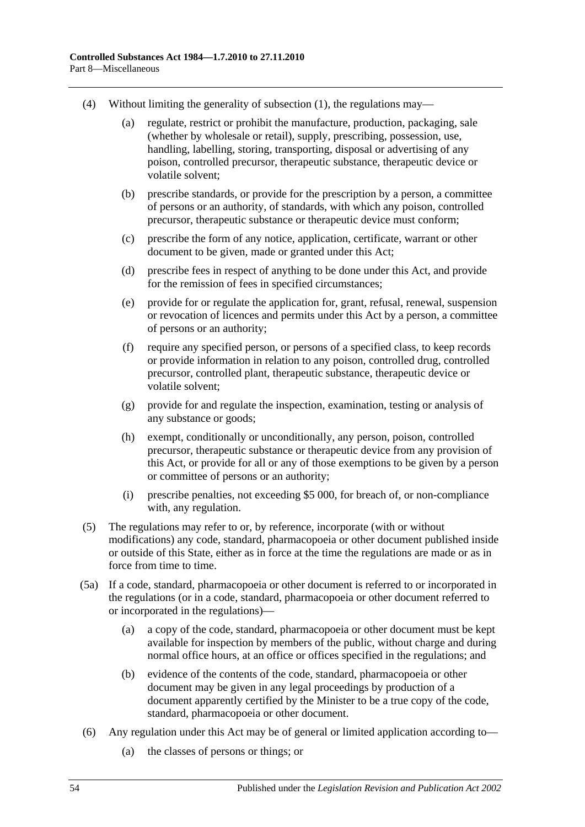- (4) Without limiting the generality of [subsection](#page-52-3) (1), the regulations may—
	- (a) regulate, restrict or prohibit the manufacture, production, packaging, sale (whether by wholesale or retail), supply, prescribing, possession, use, handling, labelling, storing, transporting, disposal or advertising of any poison, controlled precursor, therapeutic substance, therapeutic device or volatile solvent;
	- (b) prescribe standards, or provide for the prescription by a person, a committee of persons or an authority, of standards, with which any poison, controlled precursor, therapeutic substance or therapeutic device must conform;
	- (c) prescribe the form of any notice, application, certificate, warrant or other document to be given, made or granted under this Act;
	- (d) prescribe fees in respect of anything to be done under this Act, and provide for the remission of fees in specified circumstances;
	- (e) provide for or regulate the application for, grant, refusal, renewal, suspension or revocation of licences and permits under this Act by a person, a committee of persons or an authority;
	- (f) require any specified person, or persons of a specified class, to keep records or provide information in relation to any poison, controlled drug, controlled precursor, controlled plant, therapeutic substance, therapeutic device or volatile solvent;
	- (g) provide for and regulate the inspection, examination, testing or analysis of any substance or goods;
	- (h) exempt, conditionally or unconditionally, any person, poison, controlled precursor, therapeutic substance or therapeutic device from any provision of this Act, or provide for all or any of those exemptions to be given by a person or committee of persons or an authority;
	- (i) prescribe penalties, not exceeding \$5 000, for breach of, or non-compliance with, any regulation.
- (5) The regulations may refer to or, by reference, incorporate (with or without modifications) any code, standard, pharmacopoeia or other document published inside or outside of this State, either as in force at the time the regulations are made or as in force from time to time.
- (5a) If a code, standard, pharmacopoeia or other document is referred to or incorporated in the regulations (or in a code, standard, pharmacopoeia or other document referred to or incorporated in the regulations)—
	- (a) a copy of the code, standard, pharmacopoeia or other document must be kept available for inspection by members of the public, without charge and during normal office hours, at an office or offices specified in the regulations; and
	- (b) evidence of the contents of the code, standard, pharmacopoeia or other document may be given in any legal proceedings by production of a document apparently certified by the Minister to be a true copy of the code, standard, pharmacopoeia or other document.
- (6) Any regulation under this Act may be of general or limited application according to—
	- (a) the classes of persons or things; or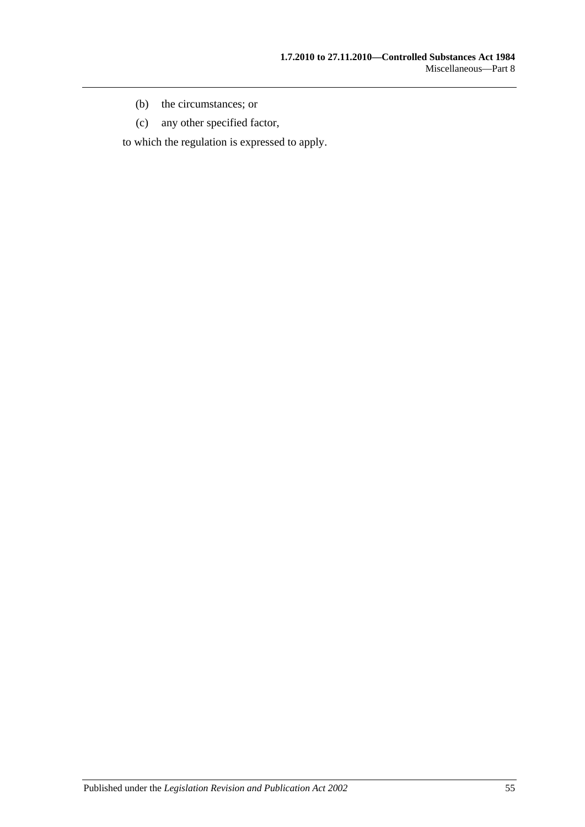- (b) the circumstances; or
- (c) any other specified factor,

to which the regulation is expressed to apply.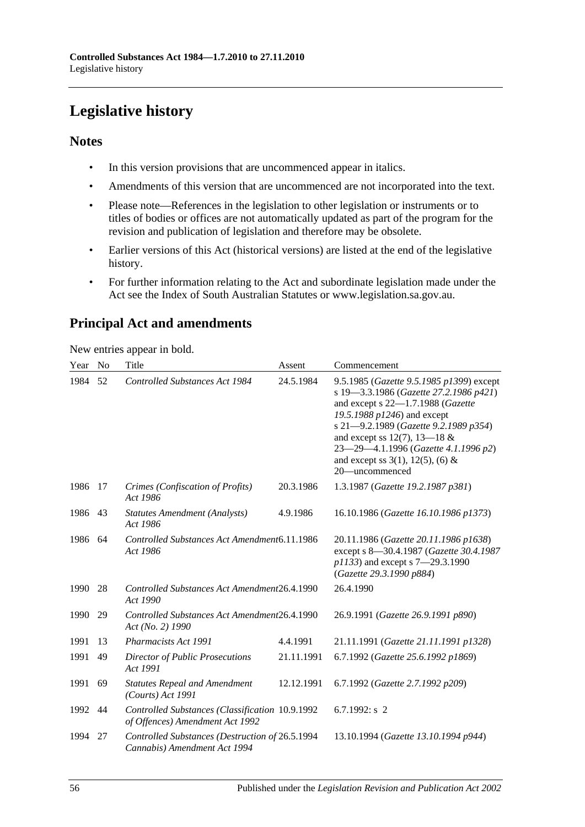# <span id="page-55-0"></span>**Legislative history**

## **Notes**

- In this version provisions that are uncommenced appear in italics.
- Amendments of this version that are uncommenced are not incorporated into the text.
- Please note—References in the legislation to other legislation or instruments or to titles of bodies or offices are not automatically updated as part of the program for the revision and publication of legislation and therefore may be obsolete.
- Earlier versions of this Act (historical versions) are listed at the end of the legislative history.
- For further information relating to the Act and subordinate legislation made under the Act see the Index of South Australian Statutes or www.legislation.sa.gov.au.

# **Principal Act and amendments**

New entries appear in bold.

| Year | N <sub>0</sub> | Title                                                                              | Assent     | Commencement                                                                                                                                                                                                                                                                                                                                 |
|------|----------------|------------------------------------------------------------------------------------|------------|----------------------------------------------------------------------------------------------------------------------------------------------------------------------------------------------------------------------------------------------------------------------------------------------------------------------------------------------|
| 1984 | 52             | Controlled Substances Act 1984                                                     | 24.5.1984  | 9.5.1985 (Gazette 9.5.1985 p1399) except<br>s 19-3.3.1986 (Gazette 27.2.1986 p421)<br>and except s $22-1.7.1988$ (Gazette<br>19.5.1988 p1246) and except<br>s 21-9.2.1989 (Gazette 9.2.1989 p354)<br>and except ss $12(7)$ , $13-18$ &<br>23-29-4.1.1996 (Gazette 4.1.1996 p2)<br>and except ss $3(1)$ , $12(5)$ , $(6)$ &<br>20—uncommenced |
| 1986 | 17             | Crimes (Confiscation of Profits)<br>Act 1986                                       | 20.3.1986  | 1.3.1987 (Gazette 19.2.1987 p381)                                                                                                                                                                                                                                                                                                            |
| 1986 | 43             | Statutes Amendment (Analysts)<br>Act 1986                                          | 4.9.1986   | 16.10.1986 (Gazette 16.10.1986 p1373)                                                                                                                                                                                                                                                                                                        |
| 1986 | 64             | Controlled Substances Act Amendment6.11.1986<br>Act 1986                           |            | 20.11.1986 (Gazette 20.11.1986 p1638)<br>except s 8-30.4.1987 (Gazette 30.4.1987<br>p1133) and except s 7-29.3.1990<br>(Gazette 29.3.1990 p884)                                                                                                                                                                                              |
| 1990 | 28             | Controlled Substances Act Amendment26.4.1990<br>Act 1990                           |            | 26.4.1990                                                                                                                                                                                                                                                                                                                                    |
| 1990 | 29             | Controlled Substances Act Amendment26.4.1990<br>Act (No. 2) 1990                   |            | 26.9.1991 (Gazette 26.9.1991 p890)                                                                                                                                                                                                                                                                                                           |
| 1991 | 13             | Pharmacists Act 1991                                                               | 4.4.1991   | 21.11.1991 (Gazette 21.11.1991 p1328)                                                                                                                                                                                                                                                                                                        |
| 1991 | 49             | <b>Director of Public Prosecutions</b><br>Act 1991                                 | 21.11.1991 | 6.7.1992 (Gazette 25.6.1992 p1869)                                                                                                                                                                                                                                                                                                           |
| 1991 | 69             | <b>Statutes Repeal and Amendment</b><br>(Courts) Act 1991                          | 12.12.1991 | 6.7.1992 (Gazette 2.7.1992 p209)                                                                                                                                                                                                                                                                                                             |
| 1992 | 44             | Controlled Substances (Classification 10.9.1992<br>of Offences) Amendment Act 1992 |            | 6.7.1992: $s$ 2                                                                                                                                                                                                                                                                                                                              |
| 1994 | 27             | Controlled Substances (Destruction of 26.5.1994<br>Cannabis) Amendment Act 1994    |            | 13.10.1994 (Gazette 13.10.1994 p944)                                                                                                                                                                                                                                                                                                         |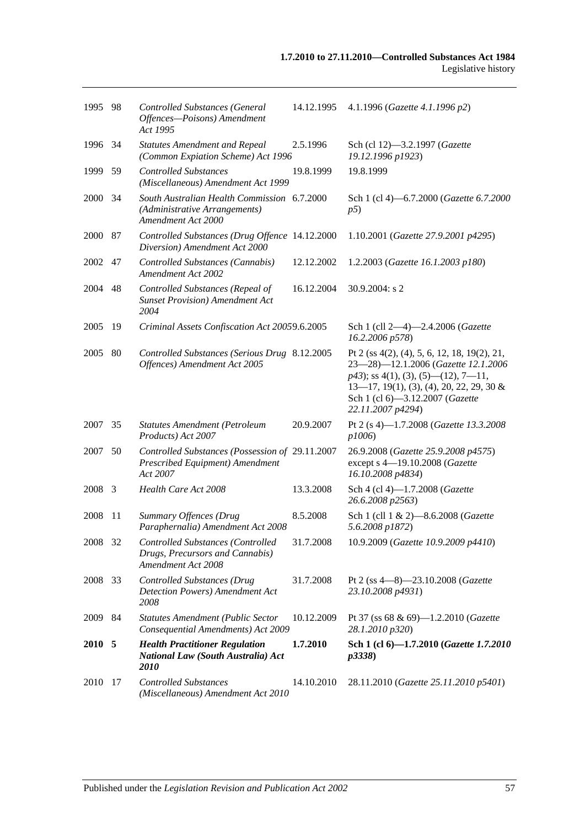| 1995 98 |      | Controlled Substances (General<br>Offences-Poisons) Amendment<br>Act 1995                          | 14.12.1995 | 4.1.1996 (Gazette 4.1.1996 p2)                                                                                                                                                                                                      |
|---------|------|----------------------------------------------------------------------------------------------------|------------|-------------------------------------------------------------------------------------------------------------------------------------------------------------------------------------------------------------------------------------|
| 1996 34 |      | <b>Statutes Amendment and Repeal</b><br>(Common Expiation Scheme) Act 1996                         | 2.5.1996   | Sch (cl 12)-3.2.1997 (Gazette<br>19.12.1996 p1923)                                                                                                                                                                                  |
| 1999    | 59   | <b>Controlled Substances</b><br>(Miscellaneous) Amendment Act 1999                                 | 19.8.1999  | 19.8.1999                                                                                                                                                                                                                           |
| 2000 34 |      | South Australian Health Commission 6.7.2000<br>(Administrative Arrangements)<br>Amendment Act 2000 |            | Sch 1 (cl 4)-6.7.2000 (Gazette 6.7.2000<br>p5)                                                                                                                                                                                      |
| 2000    | 87   | Controlled Substances (Drug Offence 14.12.2000<br>Diversion) Amendment Act 2000                    |            | 1.10.2001 (Gazette 27.9.2001 p4295)                                                                                                                                                                                                 |
| 2002    | 47   | Controlled Substances (Cannabis)<br>Amendment Act 2002                                             | 12.12.2002 | 1.2.2003 (Gazette 16.1.2003 p180)                                                                                                                                                                                                   |
| 2004    | 48   | Controlled Substances (Repeal of<br><b>Sunset Provision</b> ) Amendment Act<br>2004                | 16.12.2004 | 30.9.2004: s 2                                                                                                                                                                                                                      |
| 2005    | -19  | Criminal Assets Confiscation Act 20059.6.2005                                                      |            | Sch 1 (cll 2-4)-2.4.2006 (Gazette<br>16.2.2006 p578)                                                                                                                                                                                |
| 2005    | 80   | Controlled Substances (Serious Drug 8.12.2005<br>Offences) Amendment Act 2005                      |            | Pt 2 (ss 4(2), (4), 5, 6, 12, 18, 19(2), 21,<br>23-28)-12.1.2006 (Gazette 12.1.2006<br>$p43$ ; ss 4(1), (3), (5)—(12), 7—11,<br>$13-17$ , 19(1), (3), (4), 20, 22, 29, 30 &<br>Sch 1 (cl 6)-3.12.2007 (Gazette<br>22.11.2007 p4294) |
| 2007    | 35   | Statutes Amendment (Petroleum<br>Products) Act 2007                                                | 20.9.2007  | Pt 2 (s 4)-1.7.2008 (Gazette 13.3.2008<br>p1006)                                                                                                                                                                                    |
| 2007    | 50   | Controlled Substances (Possession of 29.11.2007<br>Prescribed Equipment) Amendment<br>Act 2007     |            | 26.9.2008 (Gazette 25.9.2008 p4575)<br>except s 4-19.10.2008 (Gazette<br>16.10.2008 p4834)                                                                                                                                          |
| 2008    | -3   | Health Care Act 2008                                                                               | 13.3.2008  | Sch 4 (cl 4)-1.7.2008 (Gazette<br>26.6.2008 p2563)                                                                                                                                                                                  |
| 2008    | 11   | Summary Offences (Drug<br>Paraphernalia) Amendment Act 2008                                        | 8.5.2008   | Sch 1 (cll 1 & 2)-8.6.2008 (Gazette<br>5.6.2008 p1872)                                                                                                                                                                              |
| 2008    | - 32 | Controlled Substances (Controlled<br>Drugs, Precursors and Cannabis)<br>Amendment Act 2008         | 31.7.2008  | 10.9.2009 (Gazette 10.9.2009 p4410)                                                                                                                                                                                                 |
| 2008    | 33   | <b>Controlled Substances (Drug</b><br>Detection Powers) Amendment Act<br>2008                      | 31.7.2008  | Pt 2 (ss $4-8$ ) $-23.10.2008$ ( <i>Gazette</i><br>23.10.2008 p4931)                                                                                                                                                                |
| 2009    | 84   | <b>Statutes Amendment (Public Sector</b><br>Consequential Amendments) Act 2009                     | 10.12.2009 | Pt 37 (ss 68 & 69)-1.2.2010 (Gazette<br>28.1.2010 p320)                                                                                                                                                                             |
| 2010 5  |      | <b>Health Practitioner Regulation</b><br><b>National Law (South Australia) Act</b><br><i>2010</i>  | 1.7.2010   | Sch 1 (cl 6)-1.7.2010 (Gazette 1.7.2010<br>p3338                                                                                                                                                                                    |
| 2010 17 |      | <b>Controlled Substances</b><br>(Miscellaneous) Amendment Act 2010                                 | 14.10.2010 | 28.11.2010 (Gazette 25.11.2010 p5401)                                                                                                                                                                                               |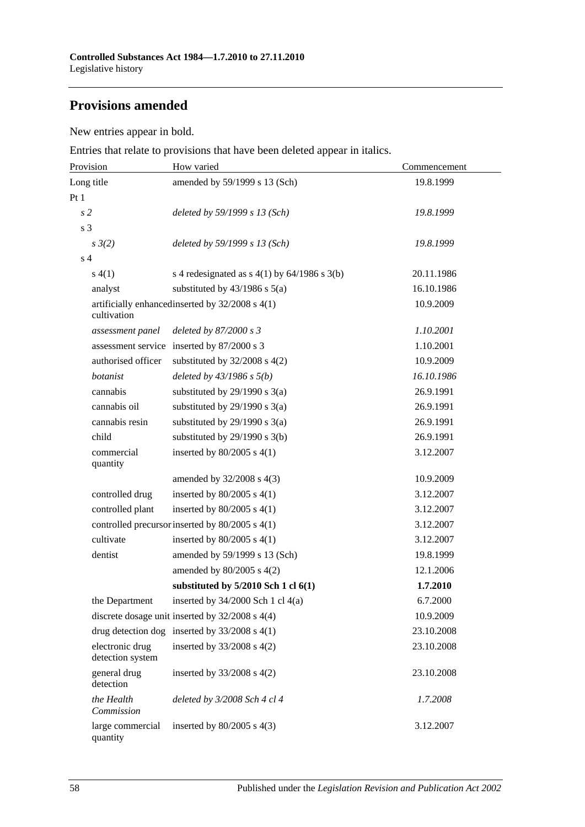# **Provisions amended**

New entries appear in bold.

Entries that relate to provisions that have been deleted appear in italics.

| Provision                           | How varied                                          | Commencement |  |
|-------------------------------------|-----------------------------------------------------|--------------|--|
| Long title                          | amended by 59/1999 s 13 (Sch)                       | 19.8.1999    |  |
| Pt 1                                |                                                     |              |  |
| s <sub>2</sub>                      | deleted by 59/1999 s 13 (Sch)                       | 19.8.1999    |  |
| s 3                                 |                                                     |              |  |
| $s \frac{3}{2}$                     | deleted by 59/1999 s 13 (Sch)                       | 19.8.1999    |  |
| s <sub>4</sub>                      |                                                     |              |  |
| s(4(1))                             | s 4 redesignated as $s$ 4(1) by 64/1986 s 3(b)      | 20.11.1986   |  |
| analyst                             | substituted by $43/1986$ s $5(a)$                   | 16.10.1986   |  |
| cultivation                         | artificially enhancedinserted by 32/2008 s 4(1)     | 10.9.2009    |  |
| assessment panel                    | deleted by $87/2000 s3$                             | 1.10.2001    |  |
|                                     | assessment service inserted by 87/2000 s 3          | 1.10.2001    |  |
| authorised officer                  | substituted by $32/2008$ s $4(2)$                   | 10.9.2009    |  |
| botanist                            | deleted by $43/1986 s 5(b)$                         | 16.10.1986   |  |
| cannabis                            | substituted by $29/1990$ s 3(a)                     | 26.9.1991    |  |
| cannabis oil                        | substituted by $29/1990$ s $3(a)$                   | 26.9.1991    |  |
| cannabis resin                      | substituted by $29/1990$ s $3(a)$                   | 26.9.1991    |  |
| child                               | substituted by $29/1990$ s $3(b)$                   | 26.9.1991    |  |
| commercial<br>quantity              | inserted by $80/2005$ s $4(1)$                      | 3.12.2007    |  |
|                                     | amended by 32/2008 s 4(3)                           | 10.9.2009    |  |
| controlled drug                     | inserted by $80/2005$ s $4(1)$                      | 3.12.2007    |  |
| controlled plant                    | inserted by $80/2005$ s $4(1)$                      | 3.12.2007    |  |
|                                     | controlled precursor inserted by 80/2005 s 4(1)     | 3.12.2007    |  |
| cultivate                           | inserted by $80/2005$ s $4(1)$                      | 3.12.2007    |  |
| dentist                             | amended by 59/1999 s 13 (Sch)                       | 19.8.1999    |  |
|                                     | amended by $80/2005$ s $4(2)$                       | 12.1.2006    |  |
|                                     | substituted by $5/2010$ Sch 1 cl $6(1)$             | 1.7.2010     |  |
| the Department                      | inserted by 34/2000 Sch 1 cl 4(a)                   | 6.7.2000     |  |
|                                     | discrete dosage unit inserted by $32/2008$ s $4(4)$ | 10.9.2009    |  |
|                                     | drug detection dog inserted by $33/2008$ s 4(1)     | 23.10.2008   |  |
| electronic drug<br>detection system | inserted by $33/2008$ s $4(2)$                      | 23.10.2008   |  |
| general drug<br>detection           | inserted by $33/2008$ s 4(2)                        | 23.10.2008   |  |
| the Health<br>Commission            | deleted by 3/2008 Sch 4 cl 4                        | 1.7.2008     |  |
| large commercial<br>quantity        | inserted by $80/2005$ s $4(3)$                      | 3.12.2007    |  |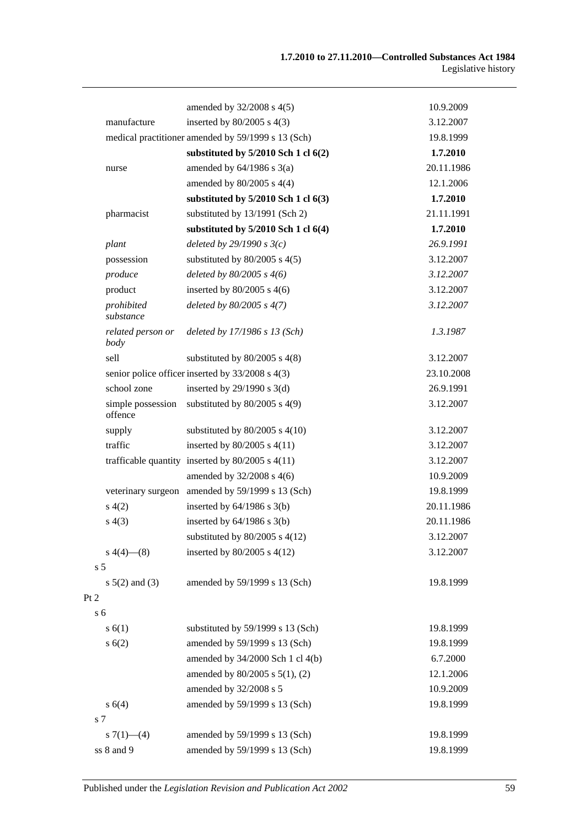|                 |                              | amended by 32/2008 s 4(5)                            | 10.9.2009  |
|-----------------|------------------------------|------------------------------------------------------|------------|
|                 | manufacture                  | inserted by $80/2005$ s $4(3)$                       | 3.12.2007  |
|                 |                              | medical practitioner amended by 59/1999 s 13 (Sch)   | 19.8.1999  |
|                 |                              | substituted by $5/2010$ Sch 1 cl $6(2)$              | 1.7.2010   |
|                 | nurse                        | amended by $64/1986$ s $3(a)$                        | 20.11.1986 |
|                 |                              | amended by $80/2005$ s 4(4)                          | 12.1.2006  |
|                 |                              | substituted by $5/2010$ Sch 1 cl $6(3)$              | 1.7.2010   |
|                 | pharmacist                   | substituted by 13/1991 (Sch 2)                       | 21.11.1991 |
|                 |                              | substituted by $5/2010$ Sch 1 cl $6(4)$              | 1.7.2010   |
|                 | plant                        | deleted by $29/1990 s3(c)$                           | 26.9.1991  |
|                 | possession                   | substituted by $80/2005$ s $4(5)$                    | 3.12.2007  |
|                 | produce                      | deleted by $80/2005$ s $4(6)$                        | 3.12.2007  |
|                 | product                      | inserted by $80/2005$ s $4(6)$                       | 3.12.2007  |
|                 | prohibited<br>substance      | deleted by $80/2005 s 4(7)$                          | 3.12.2007  |
|                 | related person or<br>body    | deleted by 17/1986 s 13 (Sch)                        | 1.3.1987   |
|                 | sell                         | substituted by $80/2005$ s $4(8)$                    | 3.12.2007  |
|                 |                              | senior police officer inserted by 33/2008 s 4(3)     | 23.10.2008 |
|                 | school zone                  | inserted by $29/1990$ s $3(d)$                       | 26.9.1991  |
|                 | simple possession<br>offence | substituted by $80/2005$ s $4(9)$                    | 3.12.2007  |
|                 | supply                       | substituted by $80/2005$ s $4(10)$                   | 3.12.2007  |
|                 | traffic                      | inserted by $80/2005$ s $4(11)$                      | 3.12.2007  |
|                 |                              | trafficable quantity inserted by $80/2005$ s $4(11)$ | 3.12.2007  |
|                 |                              | amended by 32/2008 s 4(6)                            | 10.9.2009  |
|                 |                              | veterinary surgeon amended by 59/1999 s 13 (Sch)     | 19.8.1999  |
|                 | s(4(2)                       | inserted by $64/1986$ s $3(b)$                       | 20.11.1986 |
|                 | s(4(3))                      | inserted by $64/1986$ s $3(b)$                       | 20.11.1986 |
|                 |                              | substituted by $80/2005$ s $4(12)$                   | 3.12.2007  |
|                 | $s\ 4(4)$ (8)                | inserted by $80/2005$ s $4(12)$                      | 3.12.2007  |
| s <sub>5</sub>  |                              |                                                      |            |
|                 | $s 5(2)$ and (3)             | amended by 59/1999 s 13 (Sch)                        | 19.8.1999  |
| Pt <sub>2</sub> |                              |                                                      |            |
| s <sub>6</sub>  |                              |                                                      |            |
|                 | s(6(1))                      | substituted by 59/1999 s 13 (Sch)                    | 19.8.1999  |
|                 | s(6(2))                      | amended by 59/1999 s 13 (Sch)                        | 19.8.1999  |
|                 |                              | amended by 34/2000 Sch 1 cl 4(b)                     | 6.7.2000   |
|                 |                              | amended by $80/2005$ s $5(1)$ , (2)                  | 12.1.2006  |
|                 |                              | amended by 32/2008 s 5                               | 10.9.2009  |
|                 | s 6(4)                       | amended by 59/1999 s 13 (Sch)                        | 19.8.1999  |
| s 7             |                              |                                                      |            |
|                 | s $7(1)$ - (4)               | amended by 59/1999 s 13 (Sch)                        | 19.8.1999  |
|                 | ss 8 and 9                   | amended by 59/1999 s 13 (Sch)                        | 19.8.1999  |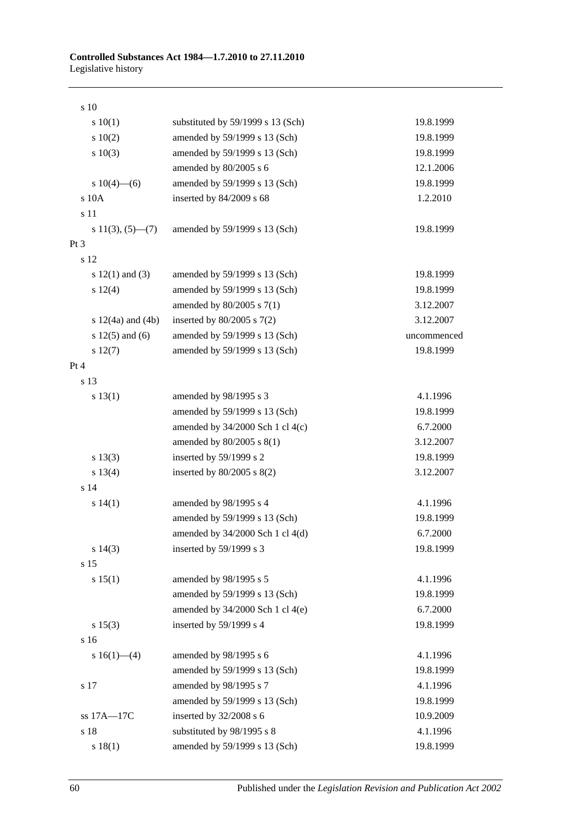s 10 s 10(1) substituted by 59/1999 s 13 (Sch) 19.8.1999 s 10(2) amended by 59/1999 s 13 (Sch) 19.8.1999 s 10(3) amended by 59/1999 s 13 (Sch) 19.8.1999 amended by 80/2005 s 6 12.1.2006 s 10(4)—(6) amended by 59/1999 s 13 (Sch) 19.8.1999 s 10A inserted by 84/2009 s 68 1.2.2010 s 11 s 11(3), (5)—(7) amended by 59/1999 s 13 (Sch) 19.8.1999 Pt 3 s 12 s 12(1) and (3) amended by 59/1999 s 13 (Sch) 19.8.1999 s 12(4) amended by 59/1999 s 13 (Sch) 19.8.1999 amended by 80/2005 s 7(1) 3.12.2007 s 12(4a) and (4b) inserted by 80/2005 s 7(2) 3.12.2007 s 12(5) and (6) amended by 59/1999 s 13 (Sch) uncommenced s 12(7) amended by 59/1999 s 13 (Sch) 19.8.1999 Pt 4 s 13 s 13(1) amended by 98/1995 s 3 4.1.1996 amended by 59/1999 s 13 (Sch) 19.8.1999 amended by 34/2000 Sch 1 cl 4(c) 6.7.2000 amended by 80/2005 s 8(1) 3.12.2007 s 13(3) inserted by 59/1999 s 2 19.8.1999 s 13(4) inserted by 80/2005 s 8(2) 3.12.2007 s 14 s 14(1) amended by 98/1995 s 4 4.1.1996 amended by 59/1999 s 13 (Sch) 19.8.1999 amended by 34/2000 Sch 1 cl 4(d) 6.7.2000 s 14(3) inserted by 59/1999 s 3 19.8.1999 s 15 s 15(1) amended by 98/1995 s 5 4.1.1996 amended by 59/1999 s 13 (Sch) 19.8.1999 amended by 34/2000 Sch 1 cl 4(e) 6.7.2000 s 15(3) inserted by 59/1999 s 4 19.8.1999 s 16 s 16(1)—(4) amended by 98/1995 s 6 4.1.1996 amended by 59/1999 s 13 (Sch) 19.8.1999 s 17 **amended by 98/1995 s 7** 4.1.1996 amended by 59/1999 s 13 (Sch) 19.8.1999 ss 17A—17C inserted by 32/2008 s 6 10.9.2009 s 18 substituted by 98/1995 s 8 4.1.1996 s 18(1) amended by 59/1999 s 13 (Sch) 19.8.1999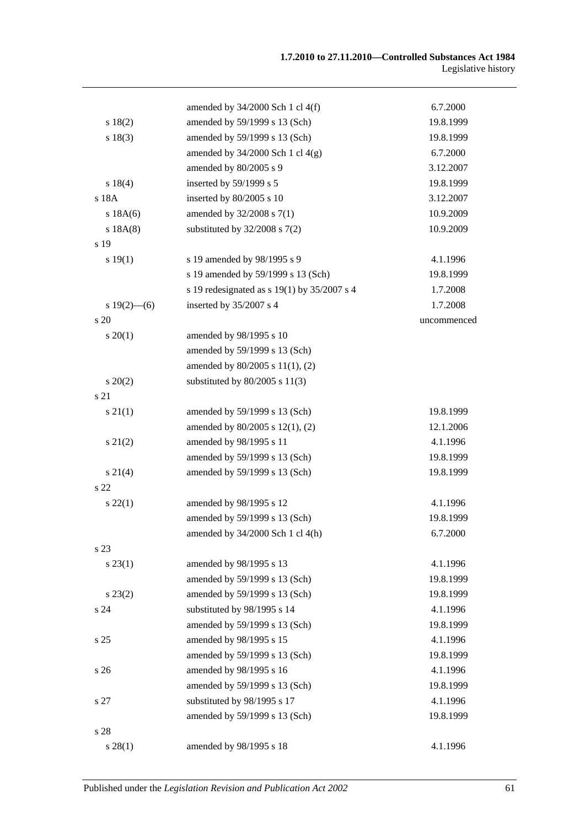|                 | amended by $34/2000$ Sch 1 cl $4(f)$          | 6.7.2000    |
|-----------------|-----------------------------------------------|-------------|
| s 18(2)         | amended by 59/1999 s 13 (Sch)                 | 19.8.1999   |
| s 18(3)         | amended by 59/1999 s 13 (Sch)                 | 19.8.1999   |
|                 | amended by $34/2000$ Sch 1 cl $4(g)$          | 6.7.2000    |
|                 | amended by 80/2005 s 9                        | 3.12.2007   |
| s 18(4)         | inserted by 59/1999 s 5                       | 19.8.1999   |
| s 18A           | inserted by 80/2005 s 10                      | 3.12.2007   |
| s 18A(6)        | amended by 32/2008 s 7(1)                     | 10.9.2009   |
| s 18A(8)        | substituted by $32/2008$ s $7(2)$             | 10.9.2009   |
| s 19            |                                               |             |
| s 19(1)         | s 19 amended by 98/1995 s 9                   | 4.1.1996    |
|                 | s 19 amended by 59/1999 s 13 (Sch)            | 19.8.1999   |
|                 | s 19 redesignated as s 19(1) by $35/2007$ s 4 | 1.7.2008    |
| $s 19(2)$ - (6) | inserted by 35/2007 s 4                       | 1.7.2008    |
| s 20            |                                               | uncommenced |
| $s \ 20(1)$     | amended by 98/1995 s 10                       |             |
|                 | amended by 59/1999 s 13 (Sch)                 |             |
|                 | amended by 80/2005 s 11(1), (2)               |             |
| $s\,20(2)$      | substituted by $80/2005$ s $11(3)$            |             |
| s 21            |                                               |             |
| $s \, 21(1)$    | amended by 59/1999 s 13 (Sch)                 | 19.8.1999   |
|                 | amended by 80/2005 s 12(1), (2)               | 12.1.2006   |
| $s\ 21(2)$      | amended by 98/1995 s 11                       | 4.1.1996    |
|                 | amended by 59/1999 s 13 (Sch)                 | 19.8.1999   |
| $s \, 21(4)$    | amended by 59/1999 s 13 (Sch)                 | 19.8.1999   |
| s <sub>22</sub> |                                               |             |
| $s\,22(1)$      | amended by 98/1995 s 12                       | 4.1.1996    |
|                 | amended by 59/1999 s 13 (Sch)                 | 19.8.1999   |
|                 | amended by 34/2000 Sch 1 cl 4(h)              | 6.7.2000    |
| s 23            |                                               |             |
| $s\,23(1)$      | amended by 98/1995 s 13                       | 4.1.1996    |
|                 | amended by 59/1999 s 13 (Sch)                 | 19.8.1999   |
| $s\,23(2)$      | amended by 59/1999 s 13 (Sch)                 | 19.8.1999   |
| s24             | substituted by 98/1995 s 14                   | 4.1.1996    |
|                 | amended by 59/1999 s 13 (Sch)                 | 19.8.1999   |
| s 25            | amended by 98/1995 s 15                       | 4.1.1996    |
|                 | amended by 59/1999 s 13 (Sch)                 | 19.8.1999   |
| s <sub>26</sub> | amended by 98/1995 s 16                       | 4.1.1996    |
|                 | amended by 59/1999 s 13 (Sch)                 | 19.8.1999   |
| s 27            | substituted by 98/1995 s 17                   | 4.1.1996    |
|                 | amended by 59/1999 s 13 (Sch)                 | 19.8.1999   |
| s 28            |                                               |             |
| s 28(1)         | amended by 98/1995 s 18                       | 4.1.1996    |
|                 |                                               |             |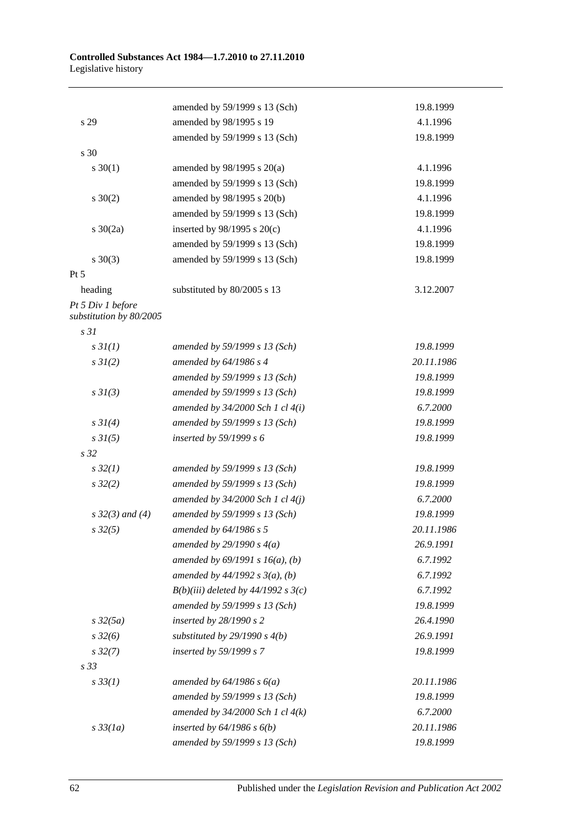|                                              | amended by 59/1999 s 13 (Sch)         | 19.8.1999  |
|----------------------------------------------|---------------------------------------|------------|
| s 29                                         | amended by 98/1995 s 19               | 4.1.1996   |
|                                              | amended by 59/1999 s 13 (Sch)         | 19.8.1999  |
| s 30                                         |                                       |            |
| $s \ 30(1)$                                  | amended by 98/1995 s 20(a)            | 4.1.1996   |
|                                              | amended by 59/1999 s 13 (Sch)         | 19.8.1999  |
| $s \ 30(2)$                                  | amended by 98/1995 s 20(b)            | 4.1.1996   |
|                                              | amended by 59/1999 s 13 (Sch)         | 19.8.1999  |
| $s \ 30(2a)$                                 | inserted by $98/1995$ s $20(c)$       | 4.1.1996   |
|                                              | amended by 59/1999 s 13 (Sch)         | 19.8.1999  |
| $s \ 30(3)$                                  | amended by 59/1999 s 13 (Sch)         | 19.8.1999  |
| $Pt\,5$                                      |                                       |            |
| heading                                      | substituted by 80/2005 s 13           | 3.12.2007  |
| Pt 5 Div 1 before<br>substitution by 80/2005 |                                       |            |
| s <sub>31</sub>                              |                                       |            |
| $s \frac{3I(1)}{2}$                          | amended by 59/1999 s 13 (Sch)         | 19.8.1999  |
| $s \, 3I(2)$                                 | amended by 64/1986 s 4                | 20.11.1986 |
|                                              | amended by 59/1999 s 13 (Sch)         | 19.8.1999  |
| $s \frac{3I(3)}{3}$                          | amended by 59/1999 s 13 (Sch)         | 19.8.1999  |
|                                              | amended by $34/2000$ Sch 1 cl $4(i)$  | 6.7.2000   |
| $s \, 3I(4)$                                 | amended by 59/1999 s 13 (Sch)         | 19.8.1999  |
| $s \, 3I(5)$                                 | inserted by $59/1999 s 6$             | 19.8.1999  |
| s <sub>32</sub>                              |                                       |            |
| $s\,32(1)$                                   | amended by 59/1999 s 13 (Sch)         | 19.8.1999  |
| $s\,32(2)$                                   | amended by 59/1999 s 13 (Sch)         | 19.8.1999  |
|                                              | amended by $34/2000$ Sch 1 cl $4(j)$  | 6.7.2000   |
| $s \, 32(3)$ and (4)                         | amended by 59/1999 s 13 (Sch)         | 19.8.1999  |
| $s\,32(5)$                                   | amended by 64/1986 s 5                | 20.11.1986 |
|                                              | amended by $29/1990 s 4(a)$           | 26.9.1991  |
|                                              | amended by $69/1991 s 16(a)$ , (b)    | 6.7.1992   |
|                                              | amended by $44/1992 s 3(a), (b)$      | 6.7.1992   |
|                                              | $B(b)(iii)$ deleted by 44/1992 s 3(c) | 6.7.1992   |
|                                              | amended by 59/1999 s 13 (Sch)         | 19.8.1999  |
| $s\,32(5a)$                                  | inserted by $28/1990 s 2$             | 26.4.1990  |
| $s\,32(6)$                                   | substituted by $29/1990 s 4(b)$       | 26.9.1991  |
| $s\,32(7)$                                   | inserted by 59/1999 s 7               | 19.8.1999  |
| s <sub>33</sub>                              |                                       |            |
| $s \, 33(1)$                                 | amended by $64/1986 s 6(a)$           | 20.11.1986 |
|                                              | amended by 59/1999 s 13 (Sch)         | 19.8.1999  |
|                                              | amended by $34/2000$ Sch 1 cl $4(k)$  | 6.7.2000   |
| $s\,33(1a)$                                  | inserted by $64/1986$ s $6(b)$        | 20.11.1986 |
|                                              | amended by 59/1999 s 13 (Sch)         | 19.8.1999  |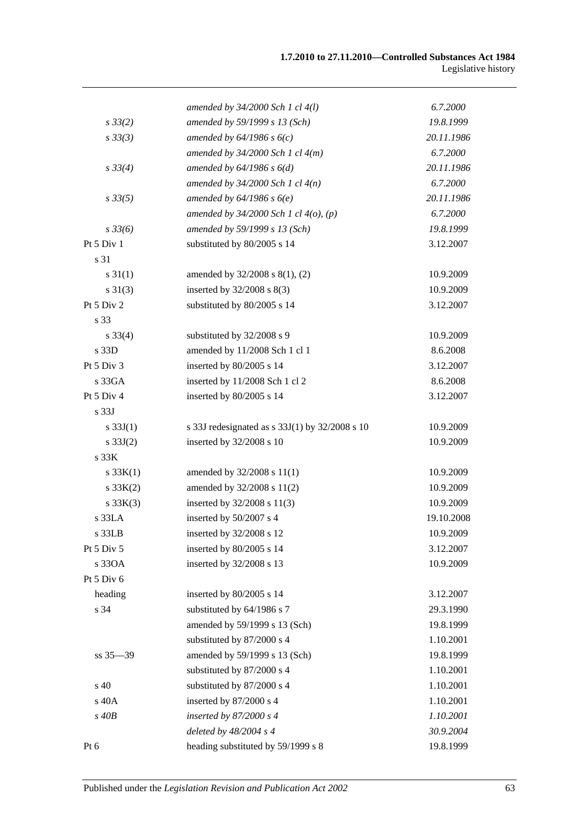|                  | amended by $34/2000$ Sch 1 cl $4(l)$           | 6.7.2000   |
|------------------|------------------------------------------------|------------|
| $s \, 33(2)$     | amended by 59/1999 s 13 (Sch)                  | 19.8.1999  |
| $s \, 33(3)$     | amended by $64/1986 s 6(c)$                    | 20.11.1986 |
|                  | amended by $34/2000$ Sch 1 cl $4(m)$           | 6.7.2000   |
| $s \, 33(4)$     | amended by $64/1986 s 6(d)$                    | 20.11.1986 |
|                  | amended by $34/2000$ Sch 1 cl $4(n)$           | 6.7.2000   |
| $s\,33(5)$       | amended by $64/1986 s 6(e)$                    | 20.11.1986 |
|                  | amended by $34/2000$ Sch 1 cl $4(o)$ , (p)     | 6.7.2000   |
| $s \frac{33}{6}$ | amended by 59/1999 s 13 (Sch)                  | 19.8.1999  |
| Pt 5 Div 1       | substituted by 80/2005 s 14                    | 3.12.2007  |
| s 31             |                                                |            |
| $s \, 31(1)$     | amended by 32/2008 s 8(1), (2)                 | 10.9.2009  |
| $s \, 31(3)$     | inserted by $32/2008$ s $8(3)$                 | 10.9.2009  |
| Pt 5 Div 2       | substituted by 80/2005 s 14                    | 3.12.2007  |
| s 33             |                                                |            |
| $s \, 33(4)$     | substituted by 32/2008 s 9                     | 10.9.2009  |
| s 33D            | amended by 11/2008 Sch 1 cl 1                  | 8.6.2008   |
| Pt 5 Div 3       | inserted by 80/2005 s 14                       | 3.12.2007  |
| s 33GA           | inserted by 11/2008 Sch 1 cl 2                 | 8.6.2008   |
| Pt 5 Div 4       | inserted by 80/2005 s 14                       | 3.12.2007  |
| s <sub>33J</sub> |                                                |            |
| s $33J(1)$       | s 33J redesignated as s 33J(1) by 32/2008 s 10 | 10.9.2009  |
| $s \, 33J(2)$    | inserted by 32/2008 s 10                       | 10.9.2009  |
| s 33K            |                                                |            |
| s 33K(1)         | amended by 32/2008 s 11(1)                     | 10.9.2009  |
| $s \, 33K(2)$    | amended by 32/2008 s 11(2)                     | 10.9.2009  |
| $s \, 33K(3)$    | inserted by 32/2008 s 11(3)                    | 10.9.2009  |
| s 33LA           | inserted by 50/2007 s 4                        | 19.10.2008 |
| s 33LB           | inserted by 32/2008 s 12                       | 10.9.2009  |
| Pt 5 Div 5       | inserted by 80/2005 s 14                       | 3.12.2007  |
| s 330A           | inserted by 32/2008 s 13                       | 10.9.2009  |
| Pt 5 Div 6       |                                                |            |
| heading          | inserted by 80/2005 s 14                       | 3.12.2007  |
| s 34             | substituted by 64/1986 s 7                     | 29.3.1990  |
|                  | amended by 59/1999 s 13 (Sch)                  | 19.8.1999  |
|                  | substituted by 87/2000 s 4                     | 1.10.2001  |
| $ss 35 - 39$     | amended by 59/1999 s 13 (Sch)                  | 19.8.1999  |
|                  | substituted by 87/2000 s 4                     | 1.10.2001  |
| $\sin 40$        | substituted by 87/2000 s 4                     | 1.10.2001  |
| s 40A            | inserted by 87/2000 s 4                        | 1.10.2001  |
| $s$ 40 $B$       | inserted by $87/2000 s4$                       | 1.10.2001  |
|                  | deleted by 48/2004 s 4                         | 30.9.2004  |
| Pt 6             | heading substituted by 59/1999 s 8             | 19.8.1999  |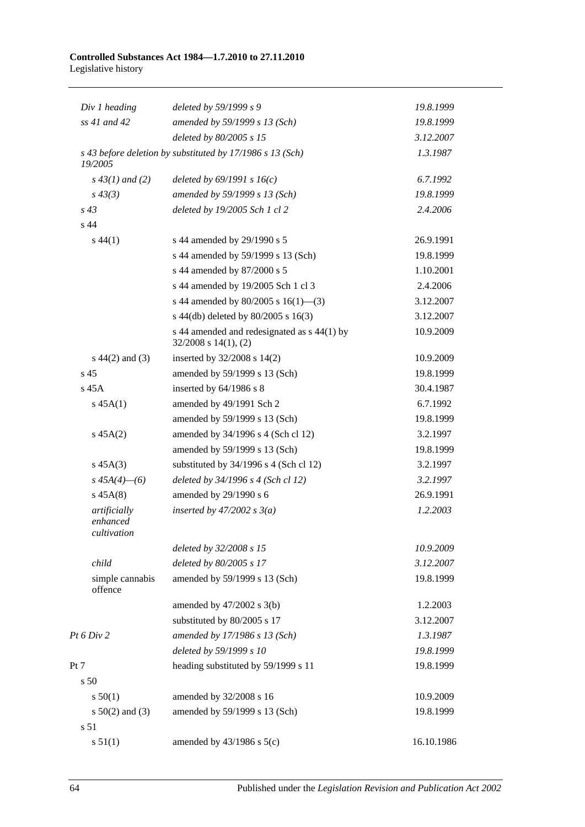#### **Controlled Substances Act 1984—1.7.2010 to 27.11.2010** Legislative history

| Div 1 heading                           | deleted by 59/1999 s 9                                                   | 19.8.1999  |
|-----------------------------------------|--------------------------------------------------------------------------|------------|
| ss 41 and 42                            | amended by 59/1999 s 13 (Sch)                                            | 19.8.1999  |
|                                         | deleted by 80/2005 s 15                                                  | 3.12.2007  |
| 19/2005                                 | s 43 before deletion by substituted by 17/1986 s 13 (Sch)                | 1.3.1987   |
| $s\,43(1)$ and (2)                      | deleted by $69/1991 s 16(c)$                                             | 6.7.1992   |
| $s\,43(3)$                              | amended by 59/1999 s 13 (Sch)                                            | 19.8.1999  |
| $s\,43$                                 | deleted by 19/2005 Sch 1 cl 2                                            | 2.4.2006   |
| s <sub>44</sub>                         |                                                                          |            |
| $s\,44(1)$                              | s 44 amended by 29/1990 s 5                                              | 26.9.1991  |
|                                         | s 44 amended by 59/1999 s 13 (Sch)                                       | 19.8.1999  |
|                                         | s 44 amended by 87/2000 s 5                                              | 1.10.2001  |
|                                         | s 44 amended by 19/2005 Sch 1 cl 3                                       | 2.4.2006   |
|                                         | s 44 amended by 80/2005 s 16(1)-(3)                                      | 3.12.2007  |
|                                         | s 44(db) deleted by 80/2005 s 16(3)                                      | 3.12.2007  |
|                                         | s 44 amended and redesignated as s 44(1) by<br>$32/2008$ s $14(1)$ , (2) | 10.9.2009  |
| $s\ 44(2)$ and (3)                      | inserted by 32/2008 s 14(2)                                              | 10.9.2009  |
| s <sub>45</sub>                         | amended by 59/1999 s 13 (Sch)                                            | 19.8.1999  |
| $s$ 45 $A$                              | inserted by 64/1986 s 8                                                  | 30.4.1987  |
| $s\,45A(1)$                             | amended by 49/1991 Sch 2                                                 | 6.7.1992   |
|                                         | amended by 59/1999 s 13 (Sch)                                            | 19.8.1999  |
| $s\,45A(2)$                             | amended by 34/1996 s 4 (Sch cl 12)                                       | 3.2.1997   |
|                                         | amended by 59/1999 s 13 (Sch)                                            | 19.8.1999  |
| $s\,45A(3)$                             | substituted by $34/1996$ s 4 (Sch cl 12)                                 | 3.2.1997   |
| $s\,45A(4)$ - (6)                       | deleted by $34/1996$ s 4 (Sch cl 12)                                     | 3.2.1997   |
| $s\,45A(8)$                             | amended by 29/1990 s 6                                                   | 26.9.1991  |
| artificially<br>enhanced<br>cultivation | inserted by $47/2002$ s $3(a)$                                           | 1.2.2003   |
|                                         | deleted by 32/2008 s 15                                                  | 10.9.2009  |
| child                                   | deleted by 80/2005 s 17                                                  | 3.12.2007  |
| simple cannabis<br>offence              | amended by 59/1999 s 13 (Sch)                                            | 19.8.1999  |
|                                         | amended by $47/2002$ s $3(b)$                                            | 1.2.2003   |
|                                         | substituted by 80/2005 s 17                                              | 3.12.2007  |
| Pt 6 Div 2                              | amended by 17/1986 s 13 (Sch)                                            | 1.3.1987   |
|                                         | deleted by 59/1999 s 10                                                  | 19.8.1999  |
| Pt 7                                    | heading substituted by 59/1999 s 11                                      | 19.8.1999  |
| s 50                                    |                                                                          |            |
| s 50(1)                                 | amended by 32/2008 s 16                                                  | 10.9.2009  |
| s $50(2)$ and (3)                       | amended by 59/1999 s 13 (Sch)                                            | 19.8.1999  |
| s 51                                    |                                                                          |            |
| s 51(1)                                 | amended by $43/1986$ s $5(c)$                                            | 16.10.1986 |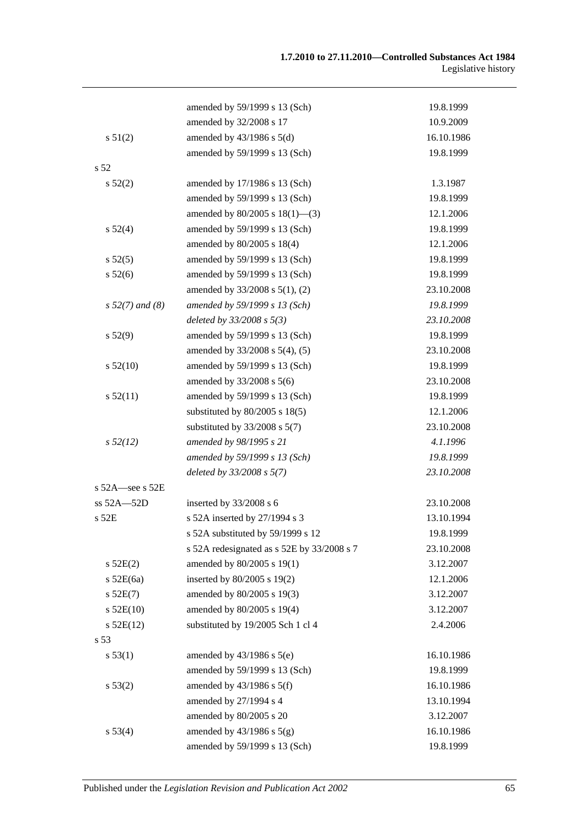|                      | amended by 59/1999 s 13 (Sch)              | 19.8.1999  |
|----------------------|--------------------------------------------|------------|
|                      | amended by 32/2008 s 17                    | 10.9.2009  |
| s 51(2)              | amended by $43/1986$ s $5(d)$              | 16.10.1986 |
|                      | amended by 59/1999 s 13 (Sch)              | 19.8.1999  |
| s <sub>52</sub>      |                                            |            |
| $s\,52(2)$           | amended by 17/1986 s 13 (Sch)              | 1.3.1987   |
|                      | amended by 59/1999 s 13 (Sch)              | 19.8.1999  |
|                      | amended by $80/2005$ s $18(1)$ —(3)        | 12.1.2006  |
| s 52(4)              | amended by 59/1999 s 13 (Sch)              | 19.8.1999  |
|                      | amended by 80/2005 s 18(4)                 | 12.1.2006  |
| s 52(5)              | amended by 59/1999 s 13 (Sch)              | 19.8.1999  |
| $s\,52(6)$           | amended by 59/1999 s 13 (Sch)              | 19.8.1999  |
|                      | amended by 33/2008 s 5(1), (2)             | 23.10.2008 |
| $s 52(7)$ and (8)    | amended by 59/1999 s 13 (Sch)              | 19.8.1999  |
|                      | deleted by $33/2008 s 5(3)$                | 23.10.2008 |
| s 52(9)              | amended by 59/1999 s 13 (Sch)              | 19.8.1999  |
|                      | amended by 33/2008 s 5(4), (5)             | 23.10.2008 |
| s 52(10)             | amended by 59/1999 s 13 (Sch)              | 19.8.1999  |
|                      | amended by 33/2008 s 5(6)                  | 23.10.2008 |
| s 52(11)             | amended by 59/1999 s 13 (Sch)              | 19.8.1999  |
|                      | substituted by $80/2005$ s $18(5)$         | 12.1.2006  |
|                      | substituted by $33/2008$ s $5(7)$          | 23.10.2008 |
| $s\,52(12)$          | amended by 98/1995 s 21                    | 4.1.1996   |
|                      | amended by 59/1999 s 13 (Sch)              | 19.8.1999  |
|                      | deleted by $33/2008$ s $5(7)$              | 23.10.2008 |
| s $52A$ -see s $52E$ |                                            |            |
| $ss 52A - 52D$       | inserted by 33/2008 s 6                    | 23.10.2008 |
| s 52E                | s 52A inserted by 27/1994 s 3              | 13.10.1994 |
|                      | s 52A substituted by 59/1999 s 12          | 19.8.1999  |
|                      | s 52A redesignated as s 52E by 33/2008 s 7 | 23.10.2008 |
| $s$ 52E(2)           | amended by 80/2005 s 19(1)                 | 3.12.2007  |
| $s$ 52E(6a)          | inserted by 80/2005 s 19(2)                | 12.1.2006  |
| s 52E(7)             | amended by 80/2005 s 19(3)                 | 3.12.2007  |
| $s$ 52E(10)          | amended by 80/2005 s 19(4)                 | 3.12.2007  |
| $s$ 52E(12)          | substituted by 19/2005 Sch 1 cl 4          | 2.4.2006   |
| s 53                 |                                            |            |
| s 53(1)              | amended by $43/1986$ s $5(e)$              | 16.10.1986 |
|                      | amended by 59/1999 s 13 (Sch)              | 19.8.1999  |
| s 53(2)              | amended by $43/1986$ s $5(f)$              | 16.10.1986 |
|                      | amended by 27/1994 s 4                     | 13.10.1994 |
|                      | amended by 80/2005 s 20                    | 3.12.2007  |
| s 53(4)              | amended by $43/1986$ s $5(g)$              | 16.10.1986 |
|                      | amended by 59/1999 s 13 (Sch)              | 19.8.1999  |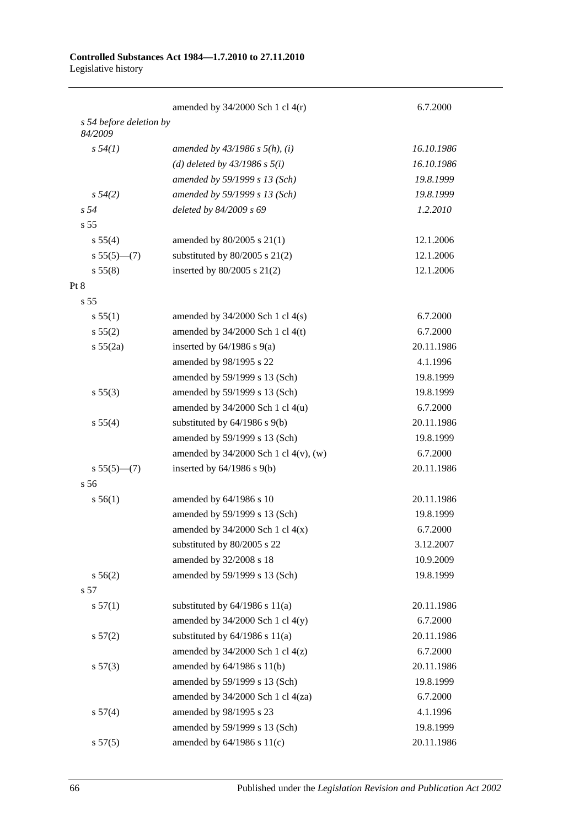|                                    | amended by $34/2000$ Sch 1 cl $4(r)$       | 6.7.2000   |
|------------------------------------|--------------------------------------------|------------|
| s 54 before deletion by<br>84/2009 |                                            |            |
| s 54(1)                            | amended by $43/1986$ s $5(h)$ , (i)        | 16.10.1986 |
|                                    | (d) deleted by $43/1986 s 5(i)$            | 16.10.1986 |
|                                    | amended by 59/1999 s 13 (Sch)              | 19.8.1999  |
| $s\,54(2)$                         | amended by 59/1999 s 13 (Sch)              | 19.8.1999  |
| s 54                               | deleted by 84/2009 s 69                    | 1.2.2010   |
| s <sub>55</sub>                    |                                            |            |
| s 55(4)                            | amended by $80/2005$ s $21(1)$             | 12.1.2006  |
| $s 55(5)$ (7)                      | substituted by $80/2005$ s $21(2)$         | 12.1.2006  |
| s 55(8)                            | inserted by $80/2005$ s $21(2)$            | 12.1.2006  |
| Pt 8                               |                                            |            |
| s <sub>55</sub>                    |                                            |            |
| s 55(1)                            | amended by $34/2000$ Sch 1 cl $4(s)$       | 6.7.2000   |
| s 55(2)                            | amended by $34/2000$ Sch 1 cl 4(t)         | 6.7.2000   |
| s 55(2a)                           | inserted by $64/1986$ s $9(a)$             | 20.11.1986 |
|                                    | amended by 98/1995 s 22                    | 4.1.1996   |
|                                    | amended by 59/1999 s 13 (Sch)              | 19.8.1999  |
| s 55(3)                            | amended by 59/1999 s 13 (Sch)              | 19.8.1999  |
|                                    | amended by 34/2000 Sch 1 cl 4(u)           | 6.7.2000   |
| s 55(4)                            | substituted by $64/1986$ s $9(b)$          | 20.11.1986 |
|                                    | amended by 59/1999 s 13 (Sch)              | 19.8.1999  |
|                                    | amended by $34/2000$ Sch 1 cl $4(v)$ , (w) | 6.7.2000   |
| $s 55(5)$ (7)                      | inserted by $64/1986$ s $9(b)$             | 20.11.1986 |
| s <sub>56</sub>                    |                                            |            |
| s 56(1)                            | amended by 64/1986 s 10                    | 20.11.1986 |
|                                    | amended by 59/1999 s 13 (Sch)              | 19.8.1999  |
|                                    | amended by $34/2000$ Sch 1 cl $4(x)$       | 6.7.2000   |
|                                    | substituted by 80/2005 s 22                | 3.12.2007  |
|                                    | amended by 32/2008 s 18                    | 10.9.2009  |
| s 56(2)                            | amended by 59/1999 s 13 (Sch)              | 19.8.1999  |
| s 57                               |                                            |            |
| s 57(1)                            | substituted by $64/1986$ s $11(a)$         | 20.11.1986 |
|                                    | amended by $34/2000$ Sch 1 cl $4(y)$       | 6.7.2000   |
| s 57(2)                            | substituted by $64/1986$ s $11(a)$         | 20.11.1986 |
|                                    | amended by $34/2000$ Sch 1 cl $4(z)$       | 6.7.2000   |
| s 57(3)                            | amended by 64/1986 s 11(b)                 | 20.11.1986 |
|                                    | amended by 59/1999 s 13 (Sch)              | 19.8.1999  |
|                                    | amended by 34/2000 Sch 1 cl 4(za)          | 6.7.2000   |
| s 57(4)                            | amended by 98/1995 s 23                    | 4.1.1996   |
|                                    | amended by 59/1999 s 13 (Sch)              | 19.8.1999  |
| s 57(5)                            | amended by 64/1986 s 11(c)                 | 20.11.1986 |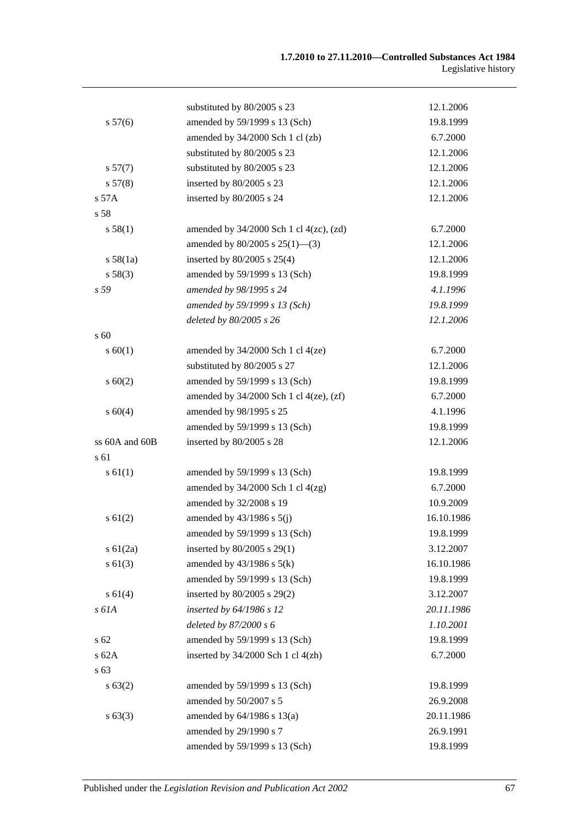|                | substituted by 80/2005 s 23                    | 12.1.2006  |
|----------------|------------------------------------------------|------------|
| s 57(6)        | amended by 59/1999 s 13 (Sch)                  | 19.8.1999  |
|                | amended by 34/2000 Sch 1 cl (zb)               | 6.7.2000   |
|                | substituted by 80/2005 s 23                    | 12.1.2006  |
| s 57(7)        | substituted by 80/2005 s 23                    | 12.1.2006  |
| s 57(8)        | inserted by 80/2005 s 23                       | 12.1.2006  |
| s 57A          | inserted by 80/2005 s 24                       | 12.1.2006  |
| s 58           |                                                |            |
| s 58(1)        | amended by $34/2000$ Sch 1 cl $4(zc)$ , $(zd)$ | 6.7.2000   |
|                | amended by $80/2005$ s $25(1)$ —(3)            | 12.1.2006  |
| s 58(1a)       | inserted by $80/2005$ s $25(4)$                | 12.1.2006  |
| s 58(3)        | amended by 59/1999 s 13 (Sch)                  | 19.8.1999  |
| s 59           | amended by 98/1995 s 24                        | 4.1.1996   |
|                | amended by 59/1999 s 13 (Sch)                  | 19.8.1999  |
|                | deleted by 80/2005 s 26                        | 12.1.2006  |
| s 60           |                                                |            |
| s 60(1)        | amended by $34/2000$ Sch 1 cl $4(ze)$          | 6.7.2000   |
|                | substituted by 80/2005 s 27                    | 12.1.2006  |
| s 60(2)        | amended by 59/1999 s 13 (Sch)                  | 19.8.1999  |
|                | amended by $34/2000$ Sch 1 cl $4(ze)$ , $(zf)$ | 6.7.2000   |
| s 60(4)        | amended by 98/1995 s 25                        | 4.1.1996   |
|                | amended by 59/1999 s 13 (Sch)                  | 19.8.1999  |
| ss 60A and 60B | inserted by 80/2005 s 28                       | 12.1.2006  |
| s 61           |                                                |            |
| s 61(1)        | amended by 59/1999 s 13 (Sch)                  | 19.8.1999  |
|                | amended by $34/2000$ Sch 1 cl $4(zg)$          | 6.7.2000   |
|                | amended by 32/2008 s 19                        | 10.9.2009  |
| s 61(2)        | amended by $43/1986$ s $5(j)$                  | 16.10.1986 |
|                | amended by 59/1999 s 13 (Sch)                  | 19.8.1999  |
| $s \, 61(2a)$  | inserted by $80/2005$ s $29(1)$                | 3.12.2007  |
| s 61(3)        | amended by $43/1986$ s $5(k)$                  | 16.10.1986 |
|                | amended by 59/1999 s 13 (Sch)                  | 19.8.1999  |
| s 61(4)        | inserted by 80/2005 s 29(2)                    | 3.12.2007  |
| s 61A          | inserted by 64/1986 s 12                       | 20.11.1986 |
|                | deleted by 87/2000 s 6                         | 1.10.2001  |
| s 62           | amended by 59/1999 s 13 (Sch)                  | 19.8.1999  |
| s 62A          | inserted by $34/2000$ Sch 1 cl $4(zh)$         | 6.7.2000   |
| s 63           |                                                |            |
| s 63(2)        | amended by 59/1999 s 13 (Sch)                  | 19.8.1999  |
|                | amended by 50/2007 s 5                         | 26.9.2008  |
| s 63(3)        | amended by 64/1986 s 13(a)                     | 20.11.1986 |
|                | amended by 29/1990 s 7                         | 26.9.1991  |
|                | amended by 59/1999 s 13 (Sch)                  | 19.8.1999  |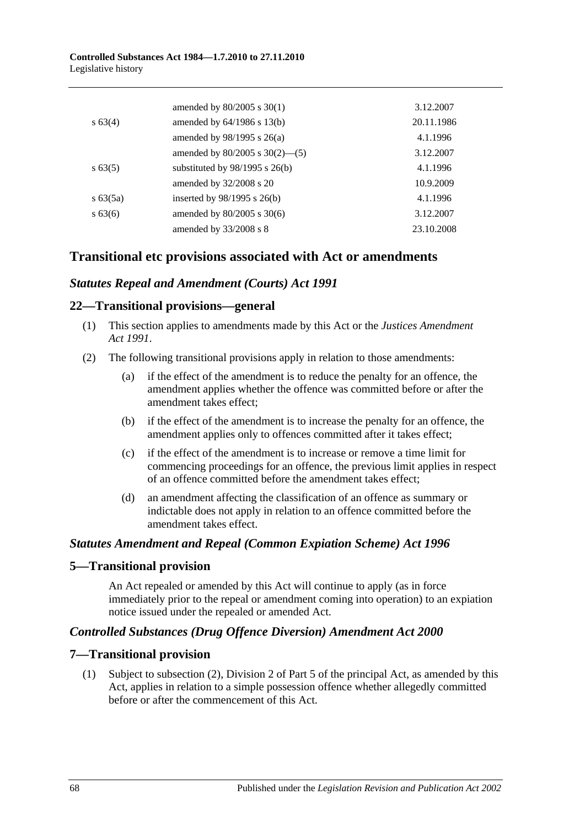|             | amended by $80/2005$ s $30(1)$      | 3.12.2007  |
|-------------|-------------------------------------|------------|
| $s\,63(4)$  | amended by $64/1986$ s $13(b)$      | 20.11.1986 |
|             | amended by $98/1995$ s $26(a)$      | 4.1.1996   |
|             | amended by $80/2005$ s $30(2)$ —(5) | 3.12.2007  |
| $s\,63(5)$  | substituted by $98/1995$ s $26(b)$  | 4.1.1996   |
|             | amended by 32/2008 s 20             | 10.9.2009  |
| $s\,63(5a)$ | inserted by $98/1995$ s $26(b)$     | 4.1.1996   |
| $s\,63(6)$  | amended by 80/2005 s 30(6)          | 3.12.2007  |
|             | amended by 33/2008 s 8              | 23.10.2008 |

## **Transitional etc provisions associated with Act or amendments**

## *Statutes Repeal and Amendment (Courts) Act 1991*

#### **22—Transitional provisions—general**

- (1) This section applies to amendments made by this Act or the *[Justices Amendment](http://www.legislation.sa.gov.au/index.aspx?action=legref&type=act&legtitle=Justices%20Amendment%20Act%201991)  Act [1991](http://www.legislation.sa.gov.au/index.aspx?action=legref&type=act&legtitle=Justices%20Amendment%20Act%201991)*.
- (2) The following transitional provisions apply in relation to those amendments:
	- (a) if the effect of the amendment is to reduce the penalty for an offence, the amendment applies whether the offence was committed before or after the amendment takes effect;
	- (b) if the effect of the amendment is to increase the penalty for an offence, the amendment applies only to offences committed after it takes effect;
	- (c) if the effect of the amendment is to increase or remove a time limit for commencing proceedings for an offence, the previous limit applies in respect of an offence committed before the amendment takes effect;
	- (d) an amendment affecting the classification of an offence as summary or indictable does not apply in relation to an offence committed before the amendment takes effect.

#### *Statutes Amendment and Repeal (Common Expiation Scheme) Act 1996*

#### **5—Transitional provision**

An Act repealed or amended by this Act will continue to apply (as in force immediately prior to the repeal or amendment coming into operation) to an expiation notice issued under the repealed or amended Act.

## *Controlled Substances (Drug Offence Diversion) Amendment Act 2000*

## **7—Transitional provision**

(1) Subject to subsection (2), Division 2 of Part 5 of the principal Act, as amended by this Act, applies in relation to a simple possession offence whether allegedly committed before or after the commencement of this Act.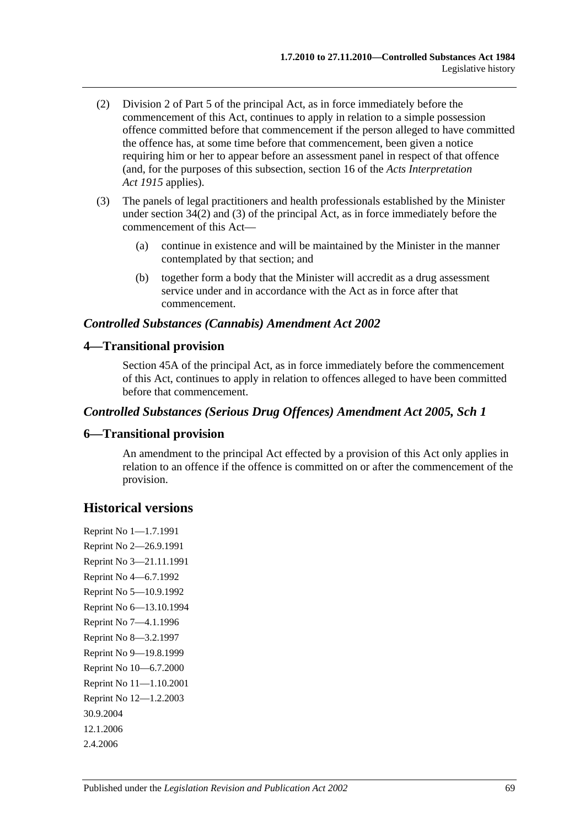- (2) Division 2 of Part 5 of the principal Act, as in force immediately before the commencement of this Act, continues to apply in relation to a simple possession offence committed before that commencement if the person alleged to have committed the offence has, at some time before that commencement, been given a notice requiring him or her to appear before an assessment panel in respect of that offence (and, for the purposes of this subsection, section 16 of the *[Acts Interpretation](http://www.legislation.sa.gov.au/index.aspx?action=legref&type=act&legtitle=Acts%20Interpretation%20Act%201915)  Act [1915](http://www.legislation.sa.gov.au/index.aspx?action=legref&type=act&legtitle=Acts%20Interpretation%20Act%201915)* applies).
- (3) The panels of legal practitioners and health professionals established by the Minister under section 34(2) and (3) of the principal Act, as in force immediately before the commencement of this Act—
	- (a) continue in existence and will be maintained by the Minister in the manner contemplated by that section; and
	- (b) together form a body that the Minister will accredit as a drug assessment service under and in accordance with the Act as in force after that commencement.

## *Controlled Substances (Cannabis) Amendment Act 2002*

## **4—Transitional provision**

Section 45A of the principal Act, as in force immediately before the commencement of this Act, continues to apply in relation to offences alleged to have been committed before that commencement.

#### *Controlled Substances (Serious Drug Offences) Amendment Act 2005, Sch 1*

#### **6—Transitional provision**

An amendment to the principal Act effected by a provision of this Act only applies in relation to an offence if the offence is committed on or after the commencement of the provision.

## **Historical versions**

Reprint No 1—1.7.1991 Reprint No 2—26.9.1991 Reprint No 3—21.11.1991 Reprint No 4—6.7.1992 Reprint No 5—10.9.1992 Reprint No 6—13.10.1994 Reprint No 7—4.1.1996 Reprint No 8—3.2.1997 Reprint No 9—19.8.1999 Reprint No 10—6.7.2000 Reprint No 11—1.10.2001 Reprint No 12—1.2.2003 30.9.2004 12.1.2006 2.4.2006